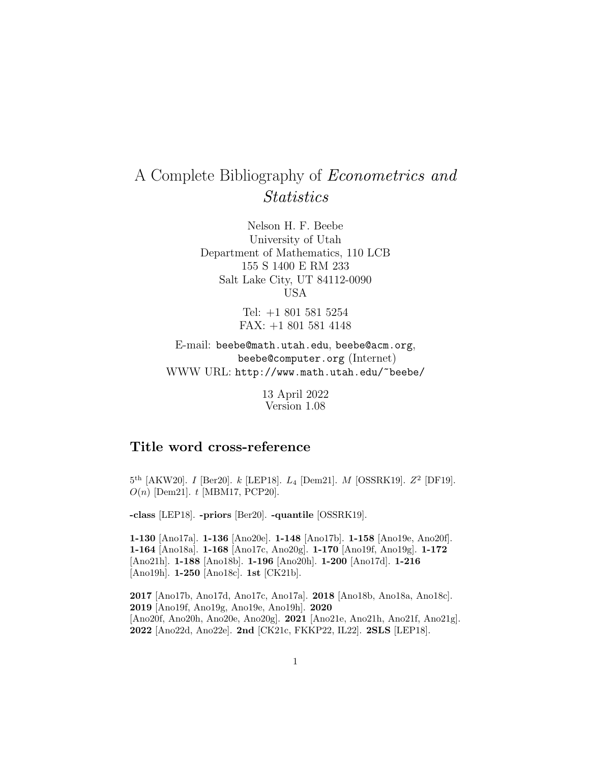# A Complete Bibliography of Econometrics and **Statistics**

Nelson H. F. Beebe University of Utah Department of Mathematics, 110 LCB 155 S 1400 E RM 233 Salt Lake City, UT 84112-0090 USA

> Tel: +1 801 581 5254 FAX: +1 801 581 4148

E-mail: beebe@math.utah.edu, beebe@acm.org, beebe@computer.org (Internet) WWW URL: http://www.math.utah.edu/~beebe/

> 13 April 2022 Version 1.08

## **Title word cross-reference**

 $5^{th}$  [AKW20]. I [Ber20]. k [LEP18].  $L_4$  [Dem21]. M [OSSRK19].  $Z^2$  [DF19].  $O(n)$  [Dem21].  $t$  [MBM17, PCP20].

**-class** [LEP18]. **-priors** [Ber20]. **-quantile** [OSSRK19].

**1-130** [Ano17a]. **1-136** [Ano20e]. **1-148** [Ano17b]. **1-158** [Ano19e, Ano20f]. **1-164** [Ano18a]. **1-168** [Ano17c, Ano20g]. **1-170** [Ano19f, Ano19g]. **1-172** [Ano21h]. **1-188** [Ano18b]. **1-196** [Ano20h]. **1-200** [Ano17d]. **1-216** [Ano19h]. **1-250** [Ano18c]. **1st** [CK21b].

 [Ano17b, Ano17d, Ano17c, Ano17a]. **2018** [Ano18b, Ano18a, Ano18c]. [Ano19f, Ano19g, Ano19e, Ano19h]. **2020** [Ano20f, Ano20h, Ano20e, Ano20g]. **2021** [Ano21e, Ano21h, Ano21f, Ano21g]. [Ano22d, Ano22e]. **2nd** [CK21c, FKKP22, IL22]. **2SLS** [LEP18].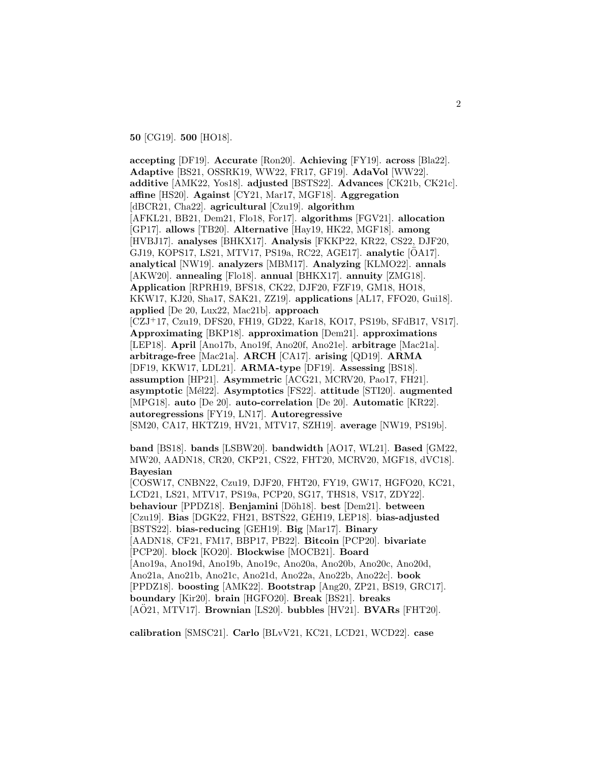**50** [CG19]. **500** [HO18].

**accepting** [DF19]. **Accurate** [Ron20]. **Achieving** [FY19]. **across** [Bla22]. **Adaptive** [BS21, OSSRK19, WW22, FR17, GF19]. **AdaVol** [WW22]. **additive** [AMK22, Yos18]. **adjusted** [BSTS22]. **Advances** [CK21b, CK21c]. **affine** [HS20]. **Against** [CY21, Mar17, MGF18]. **Aggregation** [dBCR21, Cha22]. **agricultural** [Czu19]. **algorithm** [AFKL21, BB21, Dem21, Flo18, For17]. **algorithms** [FGV21]. **allocation** [GP17]. **allows** [TB20]. **Alternative** [Hay19, HK22, MGF18]. **among** [HVBJ17]. **analyses** [BHKX17]. **Analysis** [FKKP22, KR22, CS22, DJF20, GJ19, KOPS17, LS21, MTV17, PS19a, RC22, AGE17]. **analytic** [ÖA17]. **analytical** [NW19]. **analyzers** [MBM17]. **Analyzing** [KLMO22]. **annals** [AKW20]. **annealing** [Flo18]. **annual** [BHKX17]. **annuity** [ZMG18]. **Application** [RPRH19, BFS18, CK22, DJF20, FZF19, GM18, HO18, KKW17, KJ20, Sha17, SAK21, ZZ19]. **applications** [AL17, FFO20, Gui18]. **applied** [De 20, Lux22, Mac21b]. **approach** [CZJ<sup>+</sup>17, Czu19, DFS20, FH19, GD22, Kar18, KO17, PS19b, SFdB17, VS17]. **Approximating** [BKP18]. **approximation** [Dem21]. **approximations** [LEP18]. **April** [Ano17b, Ano19f, Ano20f, Ano21e]. **arbitrage** [Mac21a]. **arbitrage-free** [Mac21a]. **ARCH** [CA17]. **arising** [QD19]. **ARMA** [DF19, KKW17, LDL21]. **ARMA-type** [DF19]. **Assessing** [BS18]. **assumption** [HP21]. **Asymmetric** [ACG21, MCRV20, Pao17, FH21]. **asymptotic** [M´el22]. **Asymptotics** [FS22]. **attitude** [STI20]. **augmented** [MPG18]. **auto** [De 20]. **auto-correlation** [De 20]. **Automatic** [KR22]. **autoregressions** [FY19, LN17]. **Autoregressive** [SM20, CA17, HKTZ19, HV21, MTV17, SZH19]. **average** [NW19, PS19b].

**band** [BS18]. **bands** [LSBW20]. **bandwidth** [AO17, WL21]. **Based** [GM22, MW20, AADN18, CR20, CKP21, CS22, FHT20, MCRV20, MGF18, dVC18]. **Bayesian**

[COSW17, CNBN22, Czu19, DJF20, FHT20, FY19, GW17, HGFO20, KC21, LCD21, LS21, MTV17, PS19a, PCP20, SG17, THS18, VS17, ZDY22]. **behaviour** [PPDZ18]. **Benjamini** [D¨oh18]. **best** [Dem21]. **between** [Czu19]. **Bias** [DGK22, FH21, BSTS22, GEH19, LEP18]. **bias-adjusted** [BSTS22]. **bias-reducing** [GEH19]. **Big** [Mar17]. **Binary** [AADN18, CF21, FM17, BBP17, PB22]. **Bitcoin** [PCP20]. **bivariate** [PCP20]. **block** [KO20]. **Blockwise** [MOCB21]. **Board** [Ano19a, Ano19d, Ano19b, Ano19c, Ano20a, Ano20b, Ano20c, Ano20d, Ano21a, Ano21b, Ano21c, Ano21d, Ano22a, Ano22b, Ano22c]. **book** [PPDZ18]. **boosting** [AMK22]. **Bootstrap** [Ang20, ZP21, BS19, GRC17]. **boundary** [Kir20]. **brain** [HGFO20]. **Break** [BS21]. **breaks**  $[A\ddot{O}21, MTV17]$ . **Brownian**  $[LS20]$ . **bubbles**  $[HV21]$ . **BVARs**  $[FHT20]$ .

**calibration** [SMSC21]. **Carlo** [BLvV21, KC21, LCD21, WCD22]. **case**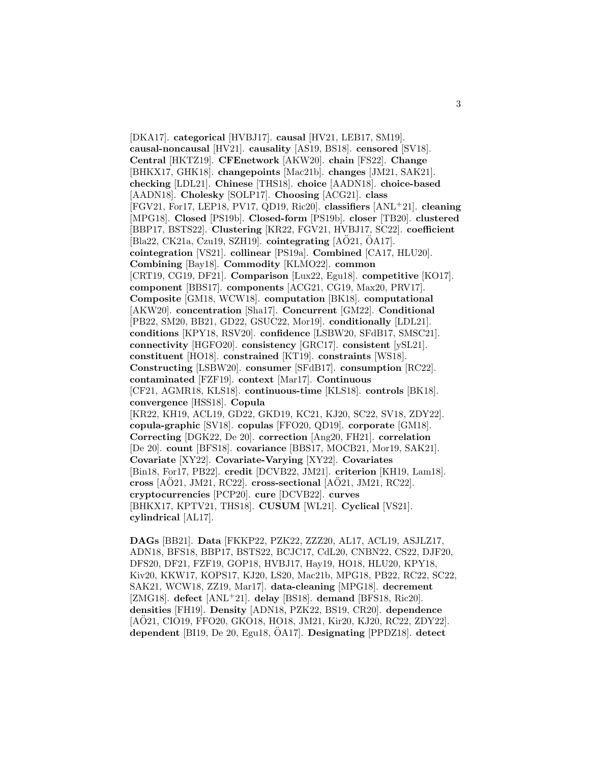[DKA17]. **categorical** [HVBJ17]. **causal** [HV21, LEB17, SM19]. **causal-noncausal** [HV21]. **causality** [AS19, BS18]. **censored** [SV18]. **Central** [HKTZ19]. **CFEnetwork** [AKW20]. **chain** [FS22]. **Change** [BHKX17, GHK18]. **changepoints** [Mac21b]. **changes** [JM21, SAK21]. **checking** [LDL21]. **Chinese** [THS18]. **choice** [AADN18]. **choice-based** [AADN18]. **Cholesky** [SOLP17]. **Choosing** [ACG21]. **class** [FGV21, For17, LEP18, PV17, QD19, Ric20]. **classifiers** [ANL<sup>+</sup>21]. **cleaning** [MPG18]. **Closed** [PS19b]. **Closed-form** [PS19b]. **closer** [TB20]. **clustered** [BBP17, BSTS22]. **Clustering** [KR22, FGV21, HVBJ17, SC22]. **coefficient**  $[Bla22, CK21a, Czu19, SZH19]$ . **cointegrating**  $[AO21, OA17]$ . **cointegration** [VS21]. **collinear** [PS19a]. **Combined** [CA17, HLU20]. **Combining** [Bay18]. **Commodity** [KLMO22]. **common** [CRT19, CG19, DF21]. **Comparison** [Lux22, Egu18]. **competitive** [KO17]. **component** [BBS17]. **components** [ACG21, CG19, Max20, PRV17]. **Composite** [GM18, WCW18]. **computation** [BK18]. **computational** [AKW20]. **concentration** [Sha17]. **Concurrent** [GM22]. **Conditional** [PB22, SM20, BB21, GD22, GSUC22, Mor19]. **conditionally** [LDL21]. **conditions** [KPY18, RSV20]. **confidence** [LSBW20, SFdB17, SMSC21]. **connectivity** [HGFO20]. **consistency** [GRC17]. **consistent** [ySL21]. **constituent** [HO18]. **constrained** [KT19]. **constraints** [WS18]. **Constructing** [LSBW20]. **consumer** [SFdB17]. **consumption** [RC22]. **contaminated** [FZF19]. **context** [Mar17]. **Continuous** [CF21, AGMR18, KLS18]. **continuous-time** [KLS18]. **controls** [BK18]. **convergence** [HSS18]. **Copula** [KR22, KH19, ACL19, GD22, GKD19, KC21, KJ20, SC22, SV18, ZDY22]. **copula-graphic** [SV18]. **copulas** [FFO20, QD19]. **corporate** [GM18]. **Correcting** [DGK22, De 20]. **correction** [Ang20, FH21]. **correlation** [De 20]. **count** [BFS18]. **covariance** [BBS17, MOCB21, Mor19, SAK21]. **Covariate** [XY22]. **Covariate-Varying** [XY22]. **Covariates** [Bin18, For17, PB22]. **credit** [DCVB22, JM21]. **criterion** [KH19, Lam18]. **cross** [AO21, JM21, RC22]. **cross-sectional** [AO21, JM21, RC22]. **cryptocurrencies** [PCP20]. **cure** [DCVB22]. **curves** [BHKX17, KPTV21, THS18]. **CUSUM** [WL21]. **Cyclical** [VS21]. **cylindrical** [AL17].

**DAGs** [BB21]. **Data** [FKKP22, PZK22, ZZZ20, AL17, ACL19, ASJLZ17, ADN18, BFS18, BBP17, BSTS22, BCJC17, CdL20, CNBN22, CS22, DJF20, DFS20, DF21, FZF19, GOP18, HVBJ17, Hay19, HO18, HLU20, KPY18, Kiv20, KKW17, KOPS17, KJ20, LS20, Mac21b, MPG18, PB22, RC22, SC22, SAK21, WCW18, ZZ19, Mar17]. **data-cleaning** [MPG18]. **decrement** [ZMG18]. **defect** [ANL<sup>+</sup>21]. **delay** [BS18]. **demand** [BFS18, Ric20]. **densities** [FH19]. **Density** [ADN18, PZK22, BS19, CR20]. **dependence** [AÖ21, CIO19, FFO20, GKO18, HO18, JM21, Kir20, KJ20, RC22, ZDY22]. **dependent** [BI19, De 20, Egu18, OA17]. ¨ **Designating** [PPDZ18]. **detect**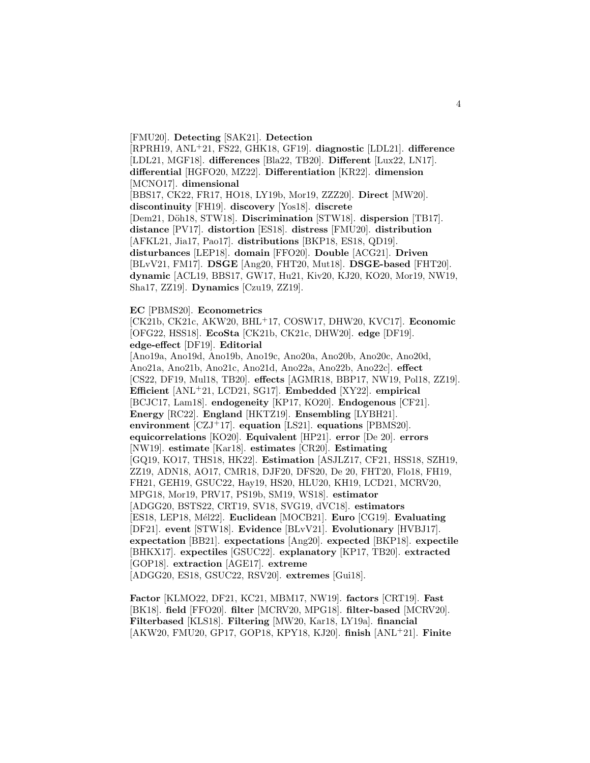[FMU20]. **Detecting** [SAK21]. **Detection** [RPRH19, ANL<sup>+</sup>21, FS22, GHK18, GF19]. **diagnostic** [LDL21]. **difference** [LDL21, MGF18]. **differences** [Bla22, TB20]. **Different** [Lux22, LN17]. **differential** [HGFO20, MZ22]. **Differentiation** [KR22]. **dimension** [MCNO17]. **dimensional** [BBS17, CK22, FR17, HO18, LY19b, Mor19, ZZZ20]. **Direct** [MW20]. **discontinuity** [FH19]. **discovery** [Yos18]. **discrete** [Dem21, Döh18, STW18]. **Discrimination** [STW18]. dispersion [TB17]. **distance** [PV17]. **distortion** [ES18]. **distress** [FMU20]. **distribution** [AFKL21, Jia17, Pao17]. **distributions** [BKP18, ES18, QD19]. **disturbances** [LEP18]. **domain** [FFO20]. **Double** [ACG21]. **Driven** [BLvV21, FM17]. **DSGE** [Ang20, FHT20, Mut18]. **DSGE-based** [FHT20]. **dynamic** [ACL19, BBS17, GW17, Hu21, Kiv20, KJ20, KO20, Mor19, NW19, Sha17, ZZ19]. **Dynamics** [Czu19, ZZ19].

**EC** [PBMS20]. **Econometrics**

[CK21b, CK21c, AKW20, BHL<sup>+</sup>17, COSW17, DHW20, KVC17]. **Economic** [OFG22, HSS18]. **EcoSta** [CK21b, CK21c, DHW20]. **edge** [DF19]. **edge-effect** [DF19]. **Editorial**

[Ano19a, Ano19d, Ano19b, Ano19c, Ano20a, Ano20b, Ano20c, Ano20d, Ano21a, Ano21b, Ano21c, Ano21d, Ano22a, Ano22b, Ano22c]. **effect** [CS22, DF19, Mul18, TB20]. **effects** [AGMR18, BBP17, NW19, Pol18, ZZ19]. **Efficient** [ANL<sup>+</sup>21, LCD21, SG17]. **Embedded** [XY22]. **empirical** [BCJC17, Lam18]. **endogeneity** [KP17, KO20]. **Endogenous** [CF21]. **Energy** [RC22]. **England** [HKTZ19]. **Ensembling** [LYBH21]. **environment** [CZJ<sup>+</sup>17]. **equation** [LS21]. **equations** [PBMS20]. **equicorrelations** [KO20]. **Equivalent** [HP21]. **error** [De 20]. **errors** [NW19]. **estimate** [Kar18]. **estimates** [CR20]. **Estimating** [GQ19, KO17, THS18, HK22]. **Estimation** [ASJLZ17, CF21, HSS18, SZH19, ZZ19, ADN18, AO17, CMR18, DJF20, DFS20, De 20, FHT20, Flo18, FH19, FH21, GEH19, GSUC22, Hay19, HS20, HLU20, KH19, LCD21, MCRV20, MPG18, Mor19, PRV17, PS19b, SM19, WS18]. **estimator** [ADGG20, BSTS22, CRT19, SV18, SVG19, dVC18]. **estimators** [ES18, LEP18, M´el22]. **Euclidean** [MOCB21]. **Euro** [CG19]. **Evaluating** [DF21]. **event** [STW18]. **Evidence** [BLvV21]. **Evolutionary** [HVBJ17]. **expectation** [BB21]. **expectations** [Ang20]. **expected** [BKP18]. **expectile** [BHKX17]. **expectiles** [GSUC22]. **explanatory** [KP17, TB20]. **extracted** [GOP18]. **extraction** [AGE17]. **extreme** [ADGG20, ES18, GSUC22, RSV20]. **extremes** [Gui18].

**Factor** [KLMO22, DF21, KC21, MBM17, NW19]. **factors** [CRT19]. **Fast** [BK18]. **field** [FFO20]. **filter** [MCRV20, MPG18]. **filter-based** [MCRV20]. **Filterbased** [KLS18]. **Filtering** [MW20, Kar18, LY19a]. **financial** [AKW20, FMU20, GP17, GOP18, KPY18, KJ20]. **finish** [ANL<sup>+</sup>21]. **Finite**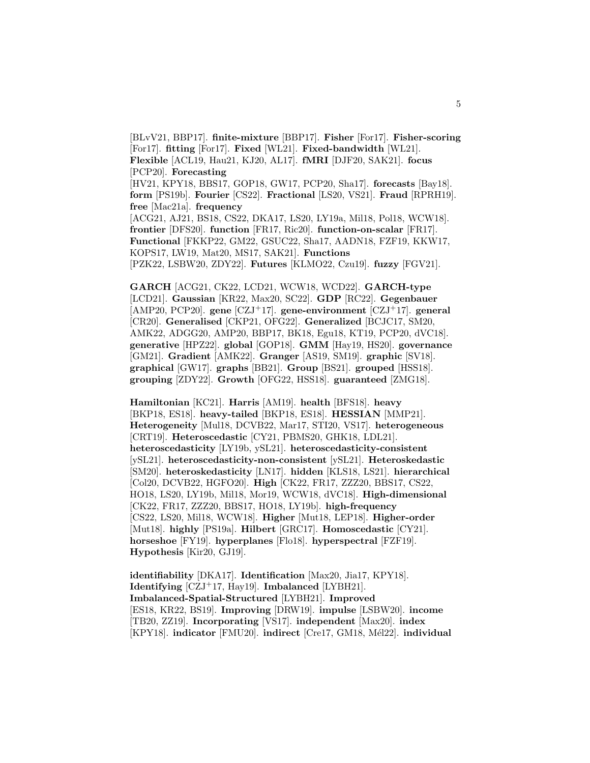[BLvV21, BBP17]. **finite-mixture** [BBP17]. **Fisher** [For17]. **Fisher-scoring** [For17]. **fitting** [For17]. **Fixed** [WL21]. **Fixed-bandwidth** [WL21]. **Flexible** [ACL19, Hau21, KJ20, AL17]. **fMRI** [DJF20, SAK21]. **focus** [PCP20]. **Forecasting** [HV21, KPY18, BBS17, GOP18, GW17, PCP20, Sha17]. **forecasts** [Bay18]. **form** [PS19b]. **Fourier** [CS22]. **Fractional** [LS20, VS21]. **Fraud** [RPRH19]. **free** [Mac21a]. **frequency** [ACG21, AJ21, BS18, CS22, DKA17, LS20, LY19a, Mil18, Pol18, WCW18]. **frontier** [DFS20]. **function** [FR17, Ric20]. **function-on-scalar** [FR17]. **Functional** [FKKP22, GM22, GSUC22, Sha17, AADN18, FZF19, KKW17, KOPS17, LW19, Mat20, MS17, SAK21]. **Functions** [PZK22, LSBW20, ZDY22]. **Futures** [KLMO22, Czu19]. **fuzzy** [FGV21].

**GARCH** [ACG21, CK22, LCD21, WCW18, WCD22]. **GARCH-type** [LCD21]. **Gaussian** [KR22, Max20, SC22]. **GDP** [RC22]. **Gegenbauer** [AMP20, PCP20]. **gene** [CZJ<sup>+</sup>17]. **gene-environment** [CZJ<sup>+</sup>17]. **general** [CR20]. **Generalised** [CKP21, OFG22]. **Generalized** [BCJC17, SM20, AMK22, ADGG20, AMP20, BBP17, BK18, Egu18, KT19, PCP20, dVC18]. **generative** [HPZ22]. **global** [GOP18]. **GMM** [Hay19, HS20]. **governance** [GM21]. **Gradient** [AMK22]. **Granger** [AS19, SM19]. **graphic** [SV18]. **graphical** [GW17]. **graphs** [BB21]. **Group** [BS21]. **grouped** [HSS18]. **grouping** [ZDY22]. **Growth** [OFG22, HSS18]. **guaranteed** [ZMG18].

**Hamiltonian** [KC21]. **Harris** [AM19]. **health** [BFS18]. **heavy** [BKP18, ES18]. **heavy-tailed** [BKP18, ES18]. **HESSIAN** [MMP21]. **Heterogeneity** [Mul18, DCVB22, Mar17, STI20, VS17]. **heterogeneous** [CRT19]. **Heteroscedastic** [CY21, PBMS20, GHK18, LDL21]. **heteroscedasticity** [LY19b, ySL21]. **heteroscedasticity-consistent** [ySL21]. **heteroscedasticity-non-consistent** [ySL21]. **Heteroskedastic** [SM20]. **heteroskedasticity** [LN17]. **hidden** [KLS18, LS21]. **hierarchical** [Col20, DCVB22, HGFO20]. **High** [CK22, FR17, ZZZ20, BBS17, CS22, HO18, LS20, LY19b, Mil18, Mor19, WCW18, dVC18]. **High-dimensional** [CK22, FR17, ZZZ20, BBS17, HO18, LY19b]. **high-frequency** [CS22, LS20, Mil18, WCW18]. **Higher** [Mut18, LEP18]. **Higher-order** [Mut18]. **highly** [PS19a]. **Hilbert** [GRC17]. **Homoscedastic** [CY21]. **horseshoe** [FY19]. **hyperplanes** [Flo18]. **hyperspectral** [FZF19]. **Hypothesis** [Kir20, GJ19].

**identifiability** [DKA17]. **Identification** [Max20, Jia17, KPY18]. **Identifying** [CZJ<sup>+</sup>17, Hay19]. **Imbalanced** [LYBH21]. **Imbalanced-Spatial-Structured** [LYBH21]. **Improved** [ES18, KR22, BS19]. **Improving** [DRW19]. **impulse** [LSBW20]. **income** [TB20, ZZ19]. **Incorporating** [VS17]. **independent** [Max20]. **index** [KPY18]. **indicator** [FMU20]. **indirect** [Cre17, GM18, Mél22]. **individual**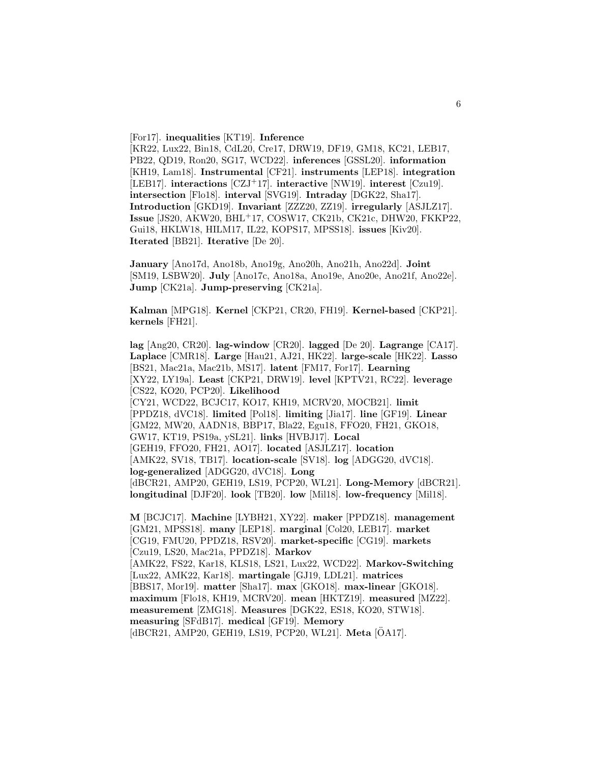[For17]. **inequalities** [KT19]. **Inference**

[KR22, Lux22, Bin18, CdL20, Cre17, DRW19, DF19, GM18, KC21, LEB17, PB22, QD19, Ron20, SG17, WCD22]. **inferences** [GSSL20]. **information** [KH19, Lam18]. **Instrumental** [CF21]. **instruments** [LEP18]. **integration** [LEB17]. **interactions** [CZJ<sup>+</sup>17]. **interactive** [NW19]. **interest** [Czu19]. **intersection** [Flo18]. **interval** [SVG19]. **Intraday** [DGK22, Sha17]. **Introduction** [GKD19]. **Invariant** [ZZZ20, ZZ19]. **irregularly** [ASJLZ17]. **Issue** [JS20, AKW20, BHL<sup>+</sup>17, COSW17, CK21b, CK21c, DHW20, FKKP22, Gui18, HKLW18, HILM17, IL22, KOPS17, MPSS18]. **issues** [Kiv20]. **Iterated** [BB21]. **Iterative** [De 20].

**January** [Ano17d, Ano18b, Ano19g, Ano20h, Ano21h, Ano22d]. **Joint** [SM19, LSBW20]. **July** [Ano17c, Ano18a, Ano19e, Ano20e, Ano21f, Ano22e]. **Jump** [CK21a]. **Jump-preserving** [CK21a].

**Kalman** [MPG18]. **Kernel** [CKP21, CR20, FH19]. **Kernel-based** [CKP21]. **kernels** [FH21].

**lag** [Ang20, CR20]. **lag-window** [CR20]. **lagged** [De 20]. **Lagrange** [CA17]. **Laplace** [CMR18]. **Large** [Hau21, AJ21, HK22]. **large-scale** [HK22]. **Lasso** [BS21, Mac21a, Mac21b, MS17]. **latent** [FM17, For17]. **Learning** [XY22, LY19a]. **Least** [CKP21, DRW19]. **level** [KPTV21, RC22]. **leverage** [CS22, KO20, PCP20]. **Likelihood** [CY21, WCD22, BCJC17, KO17, KH19, MCRV20, MOCB21]. **limit** [PPDZ18, dVC18]. **limited** [Pol18]. **limiting** [Jia17]. **line** [GF19]. **Linear** [GM22, MW20, AADN18, BBP17, Bla22, Egu18, FFO20, FH21, GKO18, GW17, KT19, PS19a, ySL21]. **links** [HVBJ17]. **Local** [GEH19, FFO20, FH21, AO17]. **located** [ASJLZ17]. **location** [AMK22, SV18, TB17]. **location-scale** [SV18]. **log** [ADGG20, dVC18]. **log-generalized** [ADGG20, dVC18]. **Long** [dBCR21, AMP20, GEH19, LS19, PCP20, WL21]. **Long-Memory** [dBCR21]. **longitudinal** [DJF20]. **look** [TB20]. **low** [Mil18]. **low-frequency** [Mil18]. **M** [BCJC17]. **Machine** [LYBH21, XY22]. **maker** [PPDZ18]. **management** [GM21, MPSS18]. **many** [LEP18]. **marginal** [Col20, LEB17]. **market** [CG19, FMU20, PPDZ18, RSV20]. **market-specific** [CG19]. **markets** [Czu19, LS20, Mac21a, PPDZ18]. **Markov** [AMK22, FS22, Kar18, KLS18, LS21, Lux22, WCD22]. **Markov-Switching** [Lux22, AMK22, Kar18]. **martingale** [GJ19, LDL21]. **matrices** [BBS17, Mor19]. **matter** [Sha17]. **max** [GKO18]. **max-linear** [GKO18].

**maximum** [Flo18, KH19, MCRV20]. **mean** [HKTZ19]. **measured** [MZ22]. **measurement** [ZMG18]. **Measures** [DGK22, ES18, KO20, STW18].

**measuring** [SFdB17]. **medical** [GF19]. **Memory**

[dBCR21, AMP20, GEH19, LS19, PCP20, WL21]. **Meta** [OA17].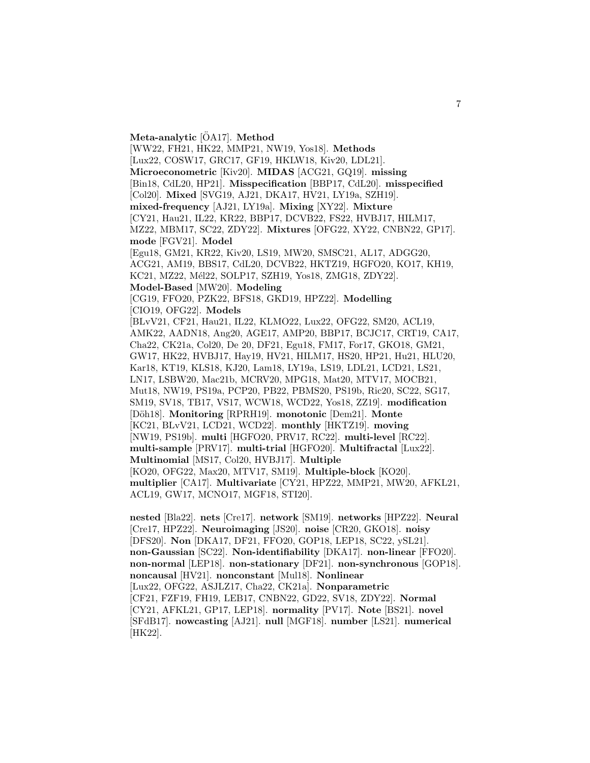**Meta-analytic** [OA17]. **Method** 

[WW22, FH21, HK22, MMP21, NW19, Yos18]. **Methods** [Lux22, COSW17, GRC17, GF19, HKLW18, Kiv20, LDL21]. **Microeconometric** [Kiv20]. **MIDAS** [ACG21, GQ19]. **missing** [Bin18, CdL20, HP21]. **Misspecification** [BBP17, CdL20]. **misspecified** [Col20]. **Mixed** [SVG19, AJ21, DKA17, HV21, LY19a, SZH19]. **mixed-frequency** [AJ21, LY19a]. **Mixing** [XY22]. **Mixture** [CY21, Hau21, IL22, KR22, BBP17, DCVB22, FS22, HVBJ17, HILM17, MZ22, MBM17, SC22, ZDY22]. **Mixtures** [OFG22, XY22, CNBN22, GP17]. **mode** [FGV21]. **Model** [Egu18, GM21, KR22, Kiv20, LS19, MW20, SMSC21, AL17, ADGG20, ACG21, AM19, BBS17, CdL20, DCVB22, HKTZ19, HGFO20, KO17, KH19, KC21, MZ22, Mél22, SOLP17, SZH19, Yos18, ZMG18, ZDY22]. **Model-Based** [MW20]. **Modeling** [CG19, FFO20, PZK22, BFS18, GKD19, HPZ22]. **Modelling** [CIO19, OFG22]. **Models** [BLvV21, CF21, Hau21, IL22, KLMO22, Lux22, OFG22, SM20, ACL19, AMK22, AADN18, Ang20, AGE17, AMP20, BBP17, BCJC17, CRT19, CA17, Cha22, CK21a, Col20, De 20, DF21, Egu18, FM17, For17, GKO18, GM21, GW17, HK22, HVBJ17, Hay19, HV21, HILM17, HS20, HP21, Hu21, HLU20, Kar18, KT19, KLS18, KJ20, Lam18, LY19a, LS19, LDL21, LCD21, LS21, LN17, LSBW20, Mac21b, MCRV20, MPG18, Mat20, MTV17, MOCB21, Mut18, NW19, PS19a, PCP20, PB22, PBMS20, PS19b, Ric20, SC22, SG17, SM19, SV18, TB17, VS17, WCW18, WCD22, Yos18, ZZ19]. **modification** [D¨oh18]. **Monitoring** [RPRH19]. **monotonic** [Dem21]. **Monte** [KC21, BLvV21, LCD21, WCD22]. **monthly** [HKTZ19]. **moving** [NW19, PS19b]. **multi** [HGFO20, PRV17, RC22]. **multi-level** [RC22]. **multi-sample** [PRV17]. **multi-trial** [HGFO20]. **Multifractal** [Lux22]. **Multinomial** [MS17, Col20, HVBJ17]. **Multiple** [KO20, OFG22, Max20, MTV17, SM19]. **Multiple-block** [KO20]. **multiplier** [CA17]. **Multivariate** [CY21, HPZ22, MMP21, MW20, AFKL21, ACL19, GW17, MCNO17, MGF18, STI20].

**nested** [Bla22]. **nets** [Cre17]. **network** [SM19]. **networks** [HPZ22]. **Neural** [Cre17, HPZ22]. **Neuroimaging** [JS20]. **noise** [CR20, GKO18]. **noisy** [DFS20]. **Non** [DKA17, DF21, FFO20, GOP18, LEP18, SC22, ySL21]. **non-Gaussian** [SC22]. **Non-identifiability** [DKA17]. **non-linear** [FFO20]. **non-normal** [LEP18]. **non-stationary** [DF21]. **non-synchronous** [GOP18]. **noncausal** [HV21]. **nonconstant** [Mul18]. **Nonlinear** [Lux22, OFG22, ASJLZ17, Cha22, CK21a]. **Nonparametric** [CF21, FZF19, FH19, LEB17, CNBN22, GD22, SV18, ZDY22]. **Normal** [CY21, AFKL21, GP17, LEP18]. **normality** [PV17]. **Note** [BS21]. **novel** [SFdB17]. **nowcasting** [AJ21]. **null** [MGF18]. **number** [LS21]. **numerical** [HK22].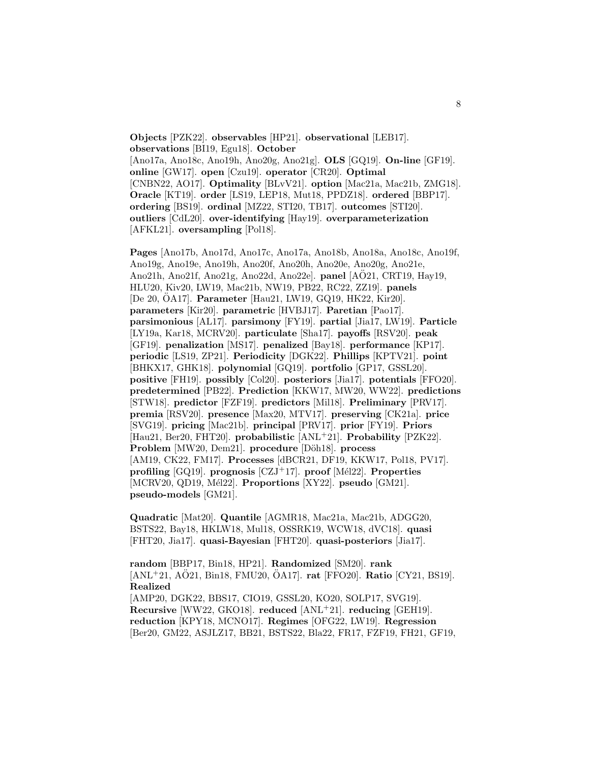**Objects** [PZK22]. **observables** [HP21]. **observational** [LEB17]. **observations** [BI19, Egu18]. **October** [Ano17a, Ano18c, Ano19h, Ano20g, Ano21g]. **OLS** [GQ19]. **On-line** [GF19]. **online** [GW17]. **open** [Czu19]. **operator** [CR20]. **Optimal** [CNBN22, AO17]. **Optimality** [BLvV21]. **option** [Mac21a, Mac21b, ZMG18]. **Oracle** [KT19]. **order** [LS19, LEP18, Mut18, PPDZ18]. **ordered** [BBP17]. **ordering** [BS19]. **ordinal** [MZ22, STI20, TB17]. **outcomes** [STI20]. **outliers** [CdL20]. **over-identifying** [Hay19]. **overparameterization** [AFKL21]. **oversampling** [Pol18].

**Pages** [Ano17b, Ano17d, Ano17c, Ano17a, Ano18b, Ano18a, Ano18c, Ano19f, Ano19g, Ano19e, Ano19h, Ano20f, Ano20h, Ano20e, Ano20g, Ano21e, Ano21h, Ano21f, Ano21g, Ano22d, Ano22e]. **panel** [AO21, CRT19, Hay19, ¨ HLU20, Kiv20, LW19, Mac21b, NW19, PB22, RC22, ZZ19]. **panels** [De 20, OA17]. **Parameter** [Hau21, LW19, GQ19, HK22, Kir20]. **parameters** [Kir20]. **parametric** [HVBJ17]. **Paretian** [Pao17]. **parsimonious** [AL17]. **parsimony** [FY19]. **partial** [Jia17, LW19]. **Particle** [LY19a, Kar18, MCRV20]. **particulate** [Sha17]. **payoffs** [RSV20]. **peak** [GF19]. **penalization** [MS17]. **penalized** [Bay18]. **performance** [KP17]. **periodic** [LS19, ZP21]. **Periodicity** [DGK22]. **Phillips** [KPTV21]. **point** [BHKX17, GHK18]. **polynomial** [GQ19]. **portfolio** [GP17, GSSL20]. **positive** [FH19]. **possibly** [Col20]. **posteriors** [Jia17]. **potentials** [FFO20]. **predetermined** [PB22]. **Prediction** [KKW17, MW20, WW22]. **predictions** [STW18]. **predictor** [FZF19]. **predictors** [Mil18]. **Preliminary** [PRV17]. **premia** [RSV20]. **presence** [Max20, MTV17]. **preserving** [CK21a]. **price** [SVG19]. **pricing** [Mac21b]. **principal** [PRV17]. **prior** [FY19]. **Priors** [Hau21, Ber20, FHT20]. **probabilistic** [ANL<sup>+</sup>21]. **Probability** [PZK22]. **Problem** [MW20, Dem21]. **procedure** [Döh18]. **process** [AM19, CK22, FM17]. **Processes** [dBCR21, DF19, KKW17, Pol18, PV17]. **profiling** [GQ19]. **prognosis** [CZJ<sup>+</sup>17]. **proof** [M´el22]. **Properties** [MCRV20, QD19, Mél22]. **Proportions** [XY22]. **pseudo** [GM21]. **pseudo-models** [GM21].

**Quadratic** [Mat20]. **Quantile** [AGMR18, Mac21a, Mac21b, ADGG20, BSTS22, Bay18, HKLW18, Mul18, OSSRK19, WCW18, dVC18]. **quasi** [FHT20, Jia17]. **quasi-Bayesian** [FHT20]. **quasi-posteriors** [Jia17].

**random** [BBP17, Bin18, HP21]. **Randomized** [SM20]. **rank**  $[ANL+21, A\ddot{O}21, Bin18, FMU20, \ddot{O}A17]$ . **rat**  $[FFO20]$ . **Ratio**  $[CY21, BS19]$ . **Realized** [AMP20, DGK22, BBS17, CIO19, GSSL20, KO20, SOLP17, SVG19]. **Recursive** [WW22, GKO18]. **reduced** [ANL<sup>+</sup>21]. **reducing** [GEH19]. **reduction** [KPY18, MCNO17]. **Regimes** [OFG22, LW19]. **Regression** [Ber20, GM22, ASJLZ17, BB21, BSTS22, Bla22, FR17, FZF19, FH21, GF19,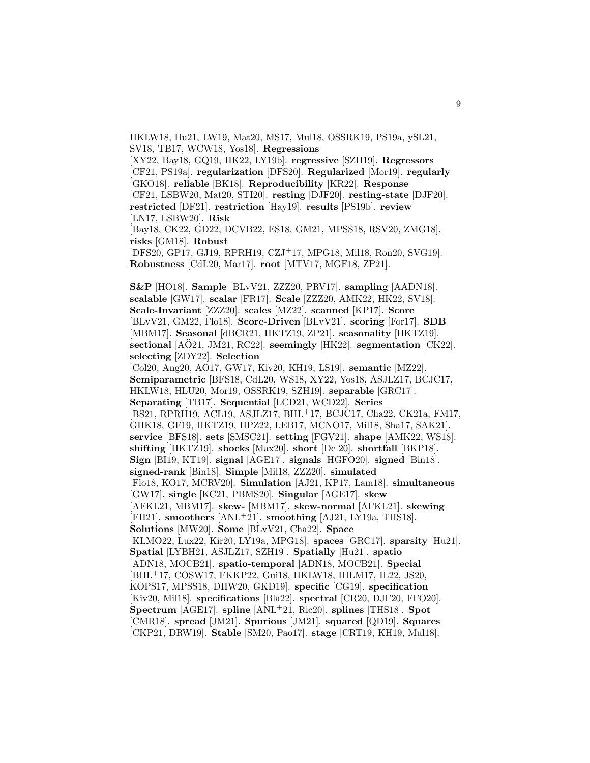HKLW18, Hu21, LW19, Mat20, MS17, Mul18, OSSRK19, PS19a, ySL21, SV18, TB17, WCW18, Yos18]. **Regressions**

[XY22, Bay18, GQ19, HK22, LY19b]. **regressive** [SZH19]. **Regressors** [CF21, PS19a]. **regularization** [DFS20]. **Regularized** [Mor19]. **regularly** [GKO18]. **reliable** [BK18]. **Reproducibility** [KR22]. **Response** [CF21, LSBW20, Mat20, STI20]. **resting** [DJF20]. **resting-state** [DJF20]. **restricted** [DF21]. **restriction** [Hay19]. **results** [PS19b]. **review** [LN17, LSBW20]. **Risk**

[Bay18, CK22, GD22, DCVB22, ES18, GM21, MPSS18, RSV20, ZMG18]. **risks** [GM18]. **Robust**

[DFS20, GP17, GJ19, RPRH19, CZJ<sup>+</sup>17, MPG18, Mil18, Ron20, SVG19]. **Robustness** [CdL20, Mar17]. **root** [MTV17, MGF18, ZP21].

**S&P** [HO18]. **Sample** [BLvV21, ZZZ20, PRV17]. **sampling** [AADN18]. **scalable** [GW17]. **scalar** [FR17]. **Scale** [ZZZ20, AMK22, HK22, SV18]. **Scale-Invariant** [ZZZ20]. **scales** [MZ22]. **scanned** [KP17]. **Score** [BLvV21, GM22, Flo18]. **Score-Driven** [BLvV21]. **scoring** [For17]. **SDB** [MBM17]. **Seasonal** [dBCR21, HKTZ19, ZP21]. **seasonality** [HKTZ19]. **sectional** [AO21, JM21, RC22]. **seemingly** [HK22]. **segmentation** [CK22]. **selecting** [ZDY22]. **Selection**

[Col20, Ang20, AO17, GW17, Kiv20, KH19, LS19]. **semantic** [MZ22]. **Semiparametric** [BFS18, CdL20, WS18, XY22, Yos18, ASJLZ17, BCJC17, HKLW18, HLU20, Mor19, OSSRK19, SZH19]. **separable** [GRC17]. **Separating** [TB17]. **Sequential** [LCD21, WCD22]. **Series** [BS21, RPRH19, ACL19, ASJLZ17, BHL<sup>+</sup>17, BCJC17, Cha22, CK21a, FM17, GHK18, GF19, HKTZ19, HPZ22, LEB17, MCNO17, Mil18, Sha17, SAK21]. **service** [BFS18]. **sets** [SMSC21]. **setting** [FGV21]. **shape** [AMK22, WS18]. **shifting** [HKTZ19]. **shocks** [Max20]. **short** [De 20]. **shortfall** [BKP18]. **Sign** [BI19, KT19]. **signal** [AGE17]. **signals** [HGFO20]. **signed** [Bin18]. **signed-rank** [Bin18]. **Simple** [Mil18, ZZZ20]. **simulated** [Flo18, KO17, MCRV20]. **Simulation** [AJ21, KP17, Lam18]. **simultaneous** [GW17]. **single** [KC21, PBMS20]. **Singular** [AGE17]. **skew** [AFKL21, MBM17]. **skew-** [MBM17]. **skew-normal** [AFKL21]. **skewing** [FH21]. **smoothers** [ANL<sup>+</sup>21]. **smoothing** [AJ21, LY19a, THS18]. **Solutions** [MW20]. **Some** [BLvV21, Cha22]. **Space** [KLMO22, Lux22, Kir20, LY19a, MPG18]. **spaces** [GRC17]. **sparsity** [Hu21]. **Spatial** [LYBH21, ASJLZ17, SZH19]. **Spatially** [Hu21]. **spatio** [ADN18, MOCB21]. **spatio-temporal** [ADN18, MOCB21]. **Special** [BHL<sup>+</sup>17, COSW17, FKKP22, Gui18, HKLW18, HILM17, IL22, JS20, KOPS17, MPSS18, DHW20, GKD19]. **specific** [CG19]. **specification** [Kiv20, Mil18]. **specifications** [Bla22]. **spectral** [CR20, DJF20, FFO20]. **Spectrum** [AGE17]. **spline** [ANL<sup>+</sup>21, Ric20]. **splines** [THS18]. **Spot** [CMR18]. **spread** [JM21]. **Spurious** [JM21]. **squared** [QD19]. **Squares** [CKP21, DRW19]. **Stable** [SM20, Pao17]. **stage** [CRT19, KH19, Mul18].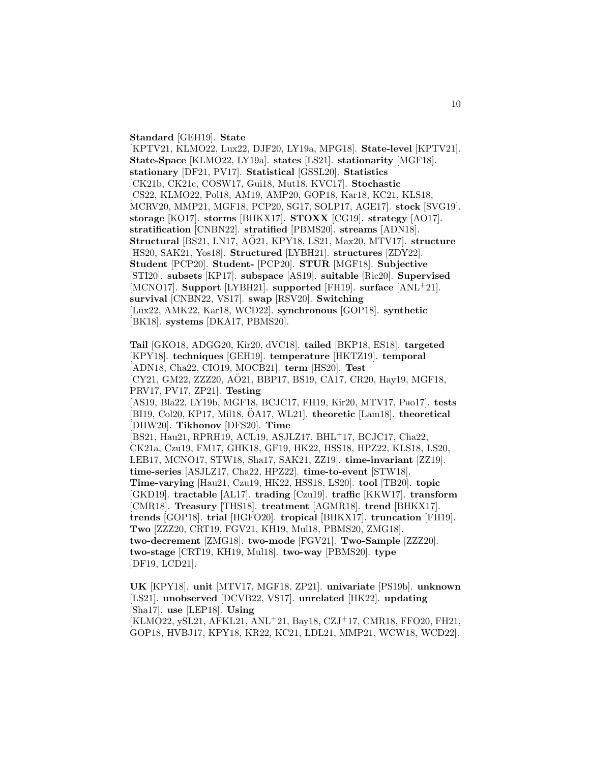#### **Standard** [GEH19]. **State**

[KPTV21, KLMO22, Lux22, DJF20, LY19a, MPG18]. **State-level** [KPTV21]. **State-Space** [KLMO22, LY19a]. **states** [LS21]. **stationarity** [MGF18]. **stationary** [DF21, PV17]. **Statistical** [GSSL20]. **Statistics** [CK21b, CK21c, COSW17, Gui18, Mut18, KVC17]. **Stochastic** [CS22, KLMO22, Pol18, AM19, AMP20, GOP18, Kar18, KC21, KLS18, MCRV20, MMP21, MGF18, PCP20, SG17, SOLP17, AGE17]. **stock** [SVG19]. **storage** [KO17]. **storms** [BHKX17]. **STOXX** [CG19]. **strategy** [AO17]. **stratification** [CNBN22]. **stratified** [PBMS20]. **streams** [ADN18]. **Structural** [BS21, LN17, AO21, KPY18, LS21, Max20, MTV17]. ¨ **structure** [HS20, SAK21, Yos18]. **Structured** [LYBH21]. **structures** [ZDY22]. **Student** [PCP20]. **Student-** [PCP20]. **STUR** [MGF18]. **Subjective** [STI20]. **subsets** [KP17]. **subspace** [AS19]. **suitable** [Ric20]. **Supervised** [MCNO17]. **Support** [LYBH21]. **supported** [FH19]. **surface** [ANL<sup>+</sup>21]. **survival** [CNBN22, VS17]. **swap** [RSV20]. **Switching** [Lux22, AMK22, Kar18, WCD22]. **synchronous** [GOP18]. **synthetic** [BK18]. **systems** [DKA17, PBMS20].

**Tail** [GKO18, ADGG20, Kir20, dVC18]. **tailed** [BKP18, ES18]. **targeted** [KPY18]. **techniques** [GEH19]. **temperature** [HKTZ19]. **temporal** [ADN18, Cha22, CIO19, MOCB21]. **term** [HS20]. **Test** [CY21, GM22, ZZZ20, AÖ21, BBP17, BS19, CA17, CR20, Hay19, MGF18, PRV17, PV17, ZP21]. **Testing** [AS19, Bla22, LY19b, MGF18, BCJC17, FH19, Kir20, MTV17, Pao17]. **tests** [BI19, Col20, KP17, Mil18, ÖA17, WL21]. **theoretic** [Lam18]. **theoretical** [DHW20]. **Tikhonov** [DFS20]. **Time** [BS21, Hau21, RPRH19, ACL19, ASJLZ17, BHL<sup>+</sup>17, BCJC17, Cha22, CK21a, Czu19, FM17, GHK18, GF19, HK22, HSS18, HPZ22, KLS18, LS20, LEB17, MCNO17, STW18, Sha17, SAK21, ZZ19]. **time-invariant** [ZZ19]. **time-series** [ASJLZ17, Cha22, HPZ22]. **time-to-event** [STW18]. **Time-varying** [Hau21, Czu19, HK22, HSS18, LS20]. **tool** [TB20]. **topic** [GKD19]. **tractable** [AL17]. **trading** [Czu19]. **traffic** [KKW17]. **transform** [CMR18]. **Treasury** [THS18]. **treatment** [AGMR18]. **trend** [BHKX17]. **trends** [GOP18]. **trial** [HGFO20]. **tropical** [BHKX17]. **truncation** [FH19]. **Two** [ZZZ20, CRT19, FGV21, KH19, Mul18, PBMS20, ZMG18]. **two-decrement** [ZMG18]. **two-mode** [FGV21]. **Two-Sample** [ZZZ20]. **two-stage** [CRT19, KH19, Mul18]. **two-way** [PBMS20]. **type** [DF19, LCD21].

**UK** [KPY18]. **unit** [MTV17, MGF18, ZP21]. **univariate** [PS19b]. **unknown** [LS21]. **unobserved** [DCVB22, VS17]. **unrelated** [HK22]. **updating** [Sha17]. **use** [LEP18]. **Using**

[KLMO22, ySL21, AFKL21, ANL<sup>+</sup>21, Bay18, CZJ<sup>+</sup>17, CMR18, FFO20, FH21, GOP18, HVBJ17, KPY18, KR22, KC21, LDL21, MMP21, WCW18, WCD22].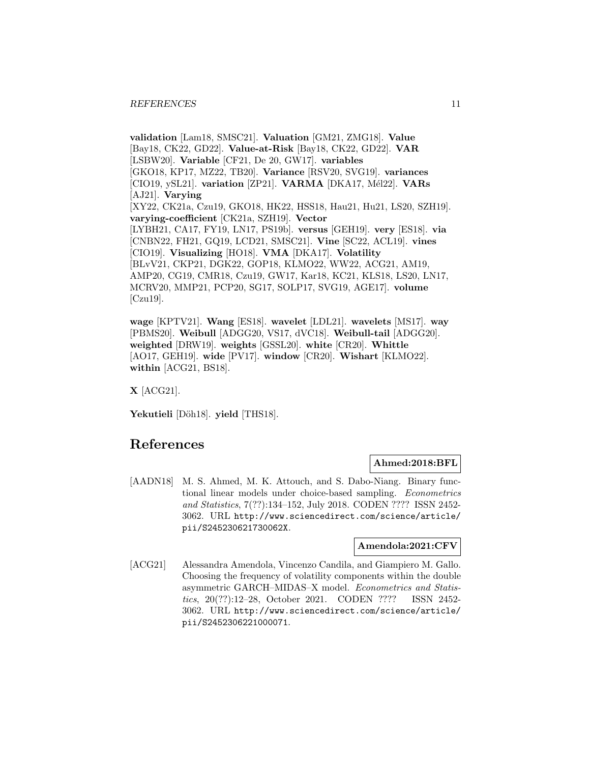**validation** [Lam18, SMSC21]. **Valuation** [GM21, ZMG18]. **Value** [Bay18, CK22, GD22]. **Value-at-Risk** [Bay18, CK22, GD22]. **VAR** [LSBW20]. **Variable** [CF21, De 20, GW17]. **variables** [GKO18, KP17, MZ22, TB20]. **Variance** [RSV20, SVG19]. **variances** [CIO19, ySL21]. **variation** [ZP21]. **VARMA** [DKA17, M´el22]. **VARs** [AJ21]. **Varying** [XY22, CK21a, Czu19, GKO18, HK22, HSS18, Hau21, Hu21, LS20, SZH19]. **varying-coefficient** [CK21a, SZH19]. **Vector** [LYBH21, CA17, FY19, LN17, PS19b]. **versus** [GEH19]. **very** [ES18]. **via** [CNBN22, FH21, GQ19, LCD21, SMSC21]. **Vine** [SC22, ACL19]. **vines** [CIO19]. **Visualizing** [HO18]. **VMA** [DKA17]. **Volatility** [BLvV21, CKP21, DGK22, GOP18, KLMO22, WW22, ACG21, AM19, AMP20, CG19, CMR18, Czu19, GW17, Kar18, KC21, KLS18, LS20, LN17, MCRV20, MMP21, PCP20, SG17, SOLP17, SVG19, AGE17]. **volume** [Czu19].

**wage** [KPTV21]. **Wang** [ES18]. **wavelet** [LDL21]. **wavelets** [MS17]. **way** [PBMS20]. **Weibull** [ADGG20, VS17, dVC18]. **Weibull-tail** [ADGG20]. **weighted** [DRW19]. **weights** [GSSL20]. **white** [CR20]. **Whittle** [AO17, GEH19]. **wide** [PV17]. **window** [CR20]. **Wishart** [KLMO22]. **within** [ACG21, BS18].

**X** [ACG21].

Yekutieli<sup>[Döh18]</sup>. yield<sup>[THS18].</sup>

## **References**

## **Ahmed:2018:BFL**

[AADN18] M. S. Ahmed, M. K. Attouch, and S. Dabo-Niang. Binary functional linear models under choice-based sampling. Econometrics and Statistics, 7(??):134–152, July 2018. CODEN ???? ISSN 2452- 3062. URL http://www.sciencedirect.com/science/article/ pii/S245230621730062X.

## **Amendola:2021:CFV**

[ACG21] Alessandra Amendola, Vincenzo Candila, and Giampiero M. Gallo. Choosing the frequency of volatility components within the double asymmetric GARCH–MIDAS–X model. Econometrics and Statistics, 20(??):12–28, October 2021. CODEN ???? ISSN 2452- 3062. URL http://www.sciencedirect.com/science/article/ pii/S2452306221000071.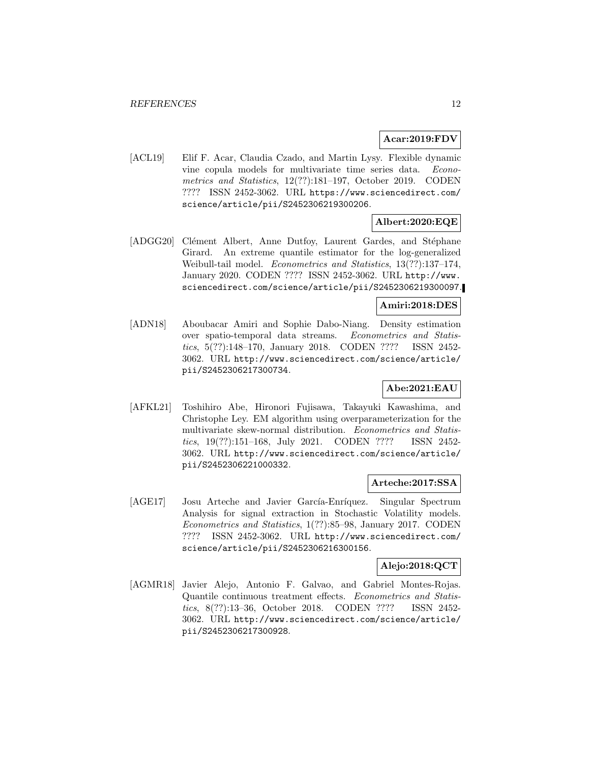## **Acar:2019:FDV**

[ACL19] Elif F. Acar, Claudia Czado, and Martin Lysy. Flexible dynamic vine copula models for multivariate time series data. Econometrics and Statistics, 12(??):181–197, October 2019. CODEN ???? ISSN 2452-3062. URL https://www.sciencedirect.com/ science/article/pii/S2452306219300206.

## **Albert:2020:EQE**

[ADGG20] Clément Albert, Anne Dutfoy, Laurent Gardes, and Stéphane Girard. An extreme quantile estimator for the log-generalized Weibull-tail model. Econometrics and Statistics, 13(??):137–174, January 2020. CODEN ???? ISSN 2452-3062. URL http://www. sciencedirect.com/science/article/pii/S2452306219300097.

## **Amiri:2018:DES**

[ADN18] Aboubacar Amiri and Sophie Dabo-Niang. Density estimation over spatio-temporal data streams. Econometrics and Statistics, 5(??):148–170, January 2018. CODEN ???? ISSN 2452- 3062. URL http://www.sciencedirect.com/science/article/ pii/S2452306217300734.

## **Abe:2021:EAU**

[AFKL21] Toshihiro Abe, Hironori Fujisawa, Takayuki Kawashima, and Christophe Ley. EM algorithm using overparameterization for the multivariate skew-normal distribution. Econometrics and Statistics, 19(??):151–168, July 2021. CODEN ???? ISSN 2452- 3062. URL http://www.sciencedirect.com/science/article/ pii/S2452306221000332.

## **Arteche:2017:SSA**

[AGE17] Josu Arteche and Javier García-Enríquez. Singular Spectrum Analysis for signal extraction in Stochastic Volatility models. Econometrics and Statistics, 1(??):85–98, January 2017. CODEN ???? ISSN 2452-3062. URL http://www.sciencedirect.com/ science/article/pii/S2452306216300156.

## **Alejo:2018:QCT**

[AGMR18] Javier Alejo, Antonio F. Galvao, and Gabriel Montes-Rojas. Quantile continuous treatment effects. Econometrics and Statistics, 8(??):13–36, October 2018. CODEN ???? ISSN 2452- 3062. URL http://www.sciencedirect.com/science/article/ pii/S2452306217300928.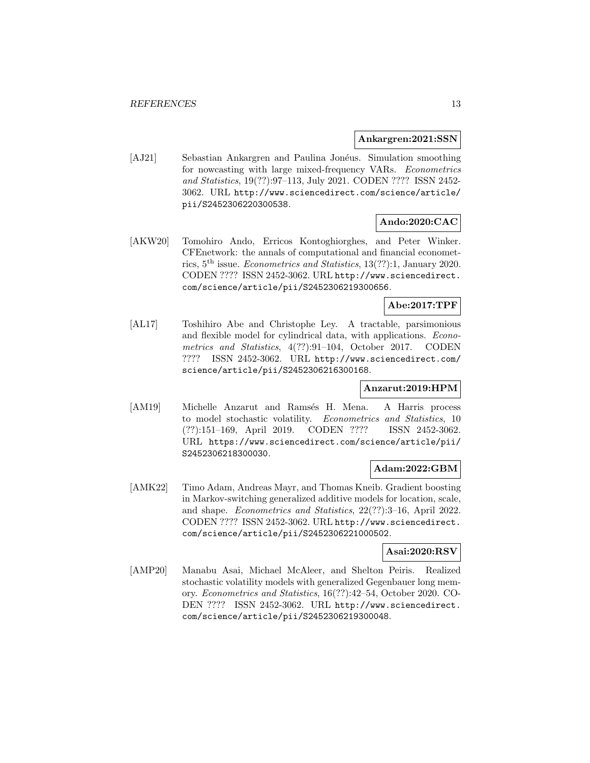#### **Ankargren:2021:SSN**

[AJ21] Sebastian Ankargren and Paulina Jonéus. Simulation smoothing for nowcasting with large mixed-frequency VARs. Econometrics and Statistics, 19(??):97–113, July 2021. CODEN ???? ISSN 2452- 3062. URL http://www.sciencedirect.com/science/article/ pii/S2452306220300538.

## **Ando:2020:CAC**

[AKW20] Tomohiro Ando, Erricos Kontoghiorghes, and Peter Winker. CFEnetwork: the annals of computational and financial econometrics, 5th issue. Econometrics and Statistics, 13(??):1, January 2020. CODEN ???? ISSN 2452-3062. URL http://www.sciencedirect. com/science/article/pii/S2452306219300656.

## **Abe:2017:TPF**

[AL17] Toshihiro Abe and Christophe Ley. A tractable, parsimonious and flexible model for cylindrical data, with applications. Econometrics and Statistics, 4(??):91–104, October 2017. CODEN ???? ISSN 2452-3062. URL http://www.sciencedirect.com/ science/article/pii/S2452306216300168.

## **Anzarut:2019:HPM**

[AM19] Michelle Anzarut and Ramsés H. Mena. A Harris process to model stochastic volatility. Econometrics and Statistics, 10 (??):151–169, April 2019. CODEN ???? ISSN 2452-3062. URL https://www.sciencedirect.com/science/article/pii/ S2452306218300030.

## **Adam:2022:GBM**

[AMK22] Timo Adam, Andreas Mayr, and Thomas Kneib. Gradient boosting in Markov-switching generalized additive models for location, scale, and shape. Econometrics and Statistics, 22(??):3–16, April 2022. CODEN ???? ISSN 2452-3062. URL http://www.sciencedirect. com/science/article/pii/S2452306221000502.

## **Asai:2020:RSV**

[AMP20] Manabu Asai, Michael McAleer, and Shelton Peiris. Realized stochastic volatility models with generalized Gegenbauer long memory. Econometrics and Statistics, 16(??):42–54, October 2020. CO-DEN ???? ISSN 2452-3062. URL http://www.sciencedirect. com/science/article/pii/S2452306219300048.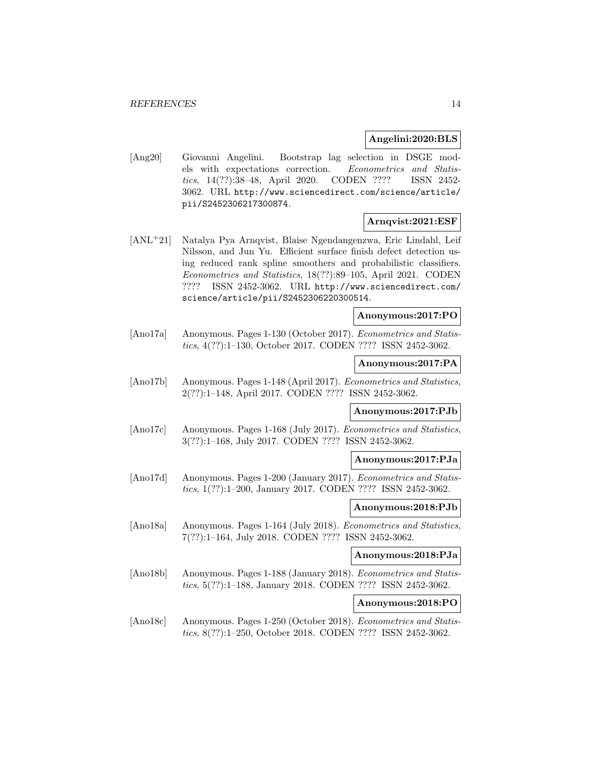### **Angelini:2020:BLS**

[Ang20] Giovanni Angelini. Bootstrap lag selection in DSGE models with expectations correction. Econometrics and Statistics, 14(??):38–48, April 2020. CODEN ???? ISSN 2452- 3062. URL http://www.sciencedirect.com/science/article/ pii/S2452306217300874.

## **Arnqvist:2021:ESF**

[ANL<sup>+</sup>21] Natalya Pya Arnqvist, Blaise Ngendangenzwa, Eric Lindahl, Leif Nilsson, and Jun Yu. Efficient surface finish defect detection using reduced rank spline smoothers and probabilistic classifiers. Econometrics and Statistics, 18(??):89–105, April 2021. CODEN ???? ISSN 2452-3062. URL http://www.sciencedirect.com/ science/article/pii/S2452306220300514.

#### **Anonymous:2017:PO**

[Ano17a] Anonymous. Pages 1-130 (October 2017). Econometrics and Statistics, 4(??):1–130, October 2017. CODEN ???? ISSN 2452-3062.

#### **Anonymous:2017:PA**

[Ano17b] Anonymous. Pages 1-148 (April 2017). Econometrics and Statistics, 2(??):1–148, April 2017. CODEN ???? ISSN 2452-3062.

## **Anonymous:2017:PJb**

[Ano17c] Anonymous. Pages 1-168 (July 2017). Econometrics and Statistics, 3(??):1–168, July 2017. CODEN ???? ISSN 2452-3062.

## **Anonymous:2017:PJa**

[Ano17d] Anonymous. Pages 1-200 (January 2017). Econometrics and Statistics, 1(??):1–200, January 2017. CODEN ???? ISSN 2452-3062.

## **Anonymous:2018:PJb**

[Ano18a] Anonymous. Pages 1-164 (July 2018). Econometrics and Statistics, 7(??):1–164, July 2018. CODEN ???? ISSN 2452-3062.

## **Anonymous:2018:PJa**

[Ano18b] Anonymous. Pages 1-188 (January 2018). Econometrics and Statistics, 5(??):1–188, January 2018. CODEN ???? ISSN 2452-3062.

## **Anonymous:2018:PO**

[Ano18c] Anonymous. Pages 1-250 (October 2018). Econometrics and Statistics, 8(??):1–250, October 2018. CODEN ???? ISSN 2452-3062.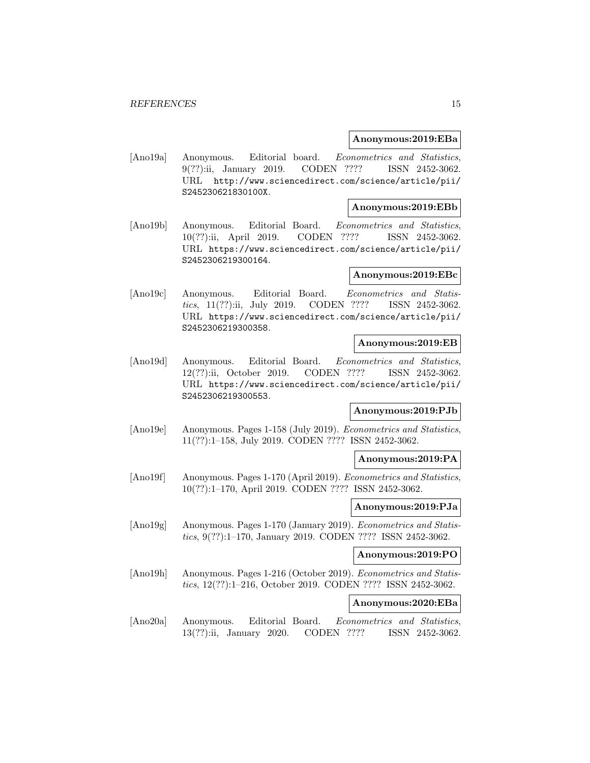#### **Anonymous:2019:EBa**

[Ano19a] Anonymous. Editorial board. Econometrics and Statistics, 9(??):ii, January 2019. CODEN ???? ISSN 2452-3062. URL http://www.sciencedirect.com/science/article/pii/ S245230621830100X.

#### **Anonymous:2019:EBb**

[Ano19b] Anonymous. Editorial Board. Econometrics and Statistics, 10(??):ii, April 2019. CODEN ???? ISSN 2452-3062. URL https://www.sciencedirect.com/science/article/pii/ S2452306219300164.

## **Anonymous:2019:EBc**

[Ano19c] Anonymous. Editorial Board. Econometrics and Statistics, 11(??):ii, July 2019. CODEN ???? ISSN 2452-3062. URL https://www.sciencedirect.com/science/article/pii/ S2452306219300358.

#### **Anonymous:2019:EB**

[Ano19d] Anonymous. Editorial Board. Econometrics and Statistics, 12(??):ii, October 2019. CODEN ???? ISSN 2452-3062. URL https://www.sciencedirect.com/science/article/pii/ S2452306219300553.

## **Anonymous:2019:PJb**

[Ano19e] Anonymous. Pages 1-158 (July 2019). Econometrics and Statistics, 11(??):1–158, July 2019. CODEN ???? ISSN 2452-3062.

#### **Anonymous:2019:PA**

[Ano19f] Anonymous. Pages 1-170 (April 2019). *Econometrics and Statistics*, 10(??):1–170, April 2019. CODEN ???? ISSN 2452-3062.

## **Anonymous:2019:PJa**

[Ano19g] Anonymous. Pages 1-170 (January 2019). Econometrics and Statistics, 9(??):1–170, January 2019. CODEN ???? ISSN 2452-3062.

## **Anonymous:2019:PO**

[Ano19h] Anonymous. Pages 1-216 (October 2019). Econometrics and Statistics, 12(??):1–216, October 2019. CODEN ???? ISSN 2452-3062.

## **Anonymous:2020:EBa**

[Ano20a] Anonymous. Editorial Board. Econometrics and Statistics, 13(??):ii, January 2020. CODEN ???? ISSN 2452-3062.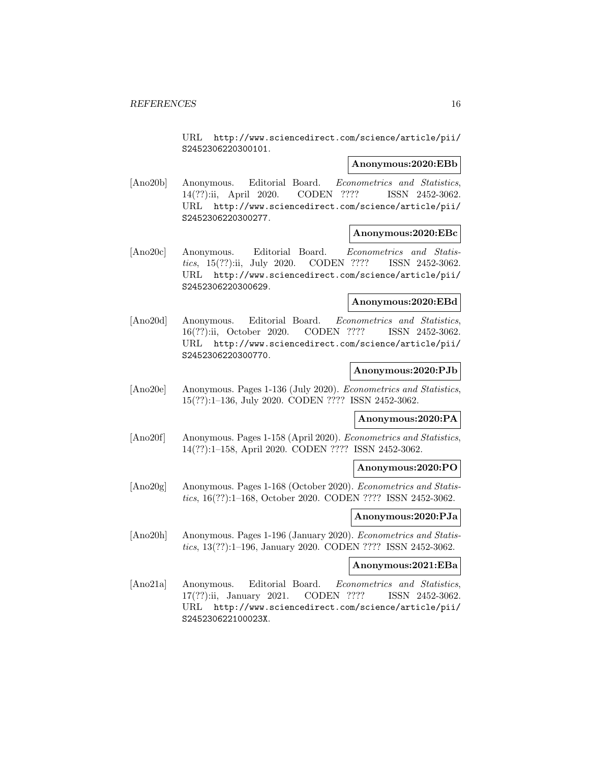URL http://www.sciencedirect.com/science/article/pii/ S2452306220300101.

#### **Anonymous:2020:EBb**

[Ano20b] Anonymous. Editorial Board. Econometrics and Statistics, 14(??):ii, April 2020. CODEN ???? ISSN 2452-3062. URL http://www.sciencedirect.com/science/article/pii/ S2452306220300277.

#### **Anonymous:2020:EBc**

[Ano20c] Anonymous. Editorial Board. Econometrics and Statistics, 15(??):ii, July 2020. CODEN ???? ISSN 2452-3062. URL http://www.sciencedirect.com/science/article/pii/ S2452306220300629.

#### **Anonymous:2020:EBd**

[Ano20d] Anonymous. Editorial Board. Econometrics and Statistics, 16(??):ii, October 2020. CODEN ???? ISSN 2452-3062. URL http://www.sciencedirect.com/science/article/pii/ S2452306220300770.

#### **Anonymous:2020:PJb**

[Ano20e] Anonymous. Pages 1-136 (July 2020). Econometrics and Statistics, 15(??):1–136, July 2020. CODEN ???? ISSN 2452-3062.

#### **Anonymous:2020:PA**

[Ano20f] Anonymous. Pages 1-158 (April 2020). Econometrics and Statistics, 14(??):1–158, April 2020. CODEN ???? ISSN 2452-3062.

#### **Anonymous:2020:PO**

[Ano20g] Anonymous. Pages 1-168 (October 2020). Econometrics and Statistics, 16(??):1–168, October 2020. CODEN ???? ISSN 2452-3062.

#### **Anonymous:2020:PJa**

[Ano20h] Anonymous. Pages 1-196 (January 2020). Econometrics and Statistics, 13(??):1–196, January 2020. CODEN ???? ISSN 2452-3062.

#### **Anonymous:2021:EBa**

[Ano21a] Anonymous. Editorial Board. Econometrics and Statistics, 17(??):ii, January 2021. CODEN ???? ISSN 2452-3062. URL http://www.sciencedirect.com/science/article/pii/ S245230622100023X.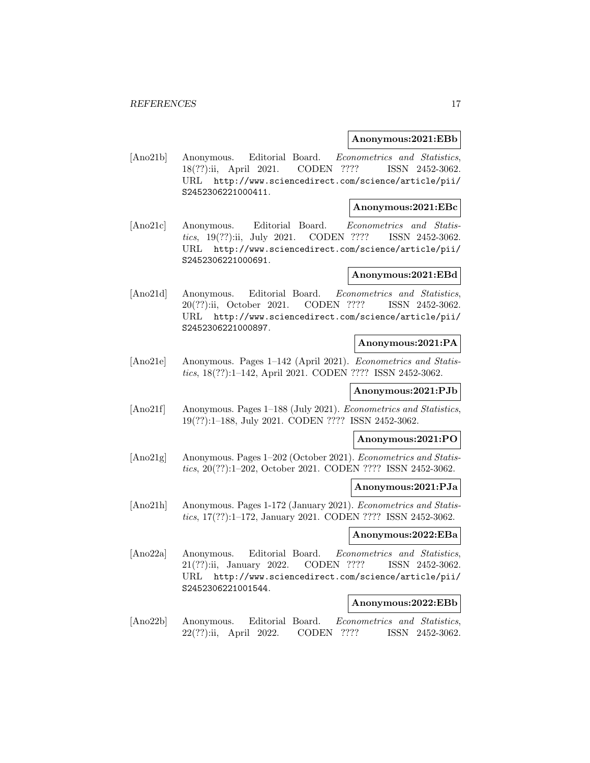#### **Anonymous:2021:EBb**

[Ano21b] Anonymous. Editorial Board. Econometrics and Statistics, 18(??):ii, April 2021. CODEN ???? ISSN 2452-3062. URL http://www.sciencedirect.com/science/article/pii/ S2452306221000411.

#### **Anonymous:2021:EBc**

[Ano21c] Anonymous. Editorial Board. Econometrics and Statistics, 19(??):ii, July 2021. CODEN ???? ISSN 2452-3062. URL http://www.sciencedirect.com/science/article/pii/ S2452306221000691.

## **Anonymous:2021:EBd**

[Ano21d] Anonymous. Editorial Board. Econometrics and Statistics, 20(??):ii, October 2021. CODEN ???? ISSN 2452-3062. URL http://www.sciencedirect.com/science/article/pii/ S2452306221000897.

#### **Anonymous:2021:PA**

[Ano21e] Anonymous. Pages 1–142 (April 2021). Econometrics and Statistics, 18(??):1–142, April 2021. CODEN ???? ISSN 2452-3062.

#### **Anonymous:2021:PJb**

[Ano21f] Anonymous. Pages 1–188 (July 2021). Econometrics and Statistics, 19(??):1–188, July 2021. CODEN ???? ISSN 2452-3062.

#### **Anonymous:2021:PO**

[Ano21g] Anonymous. Pages 1–202 (October 2021). Econometrics and Statistics, 20(??):1–202, October 2021. CODEN ???? ISSN 2452-3062.

#### **Anonymous:2021:PJa**

[Ano21h] Anonymous. Pages 1-172 (January 2021). Econometrics and Statistics, 17(??):1–172, January 2021. CODEN ???? ISSN 2452-3062.

#### **Anonymous:2022:EBa**

[Ano22a] Anonymous. Editorial Board. Econometrics and Statistics, 21(??):ii, January 2022. CODEN ???? ISSN 2452-3062. URL http://www.sciencedirect.com/science/article/pii/ S2452306221001544.

## **Anonymous:2022:EBb**

[Ano22b] Anonymous. Editorial Board. Econometrics and Statistics, 22(??):ii, April 2022. CODEN ???? ISSN 2452-3062.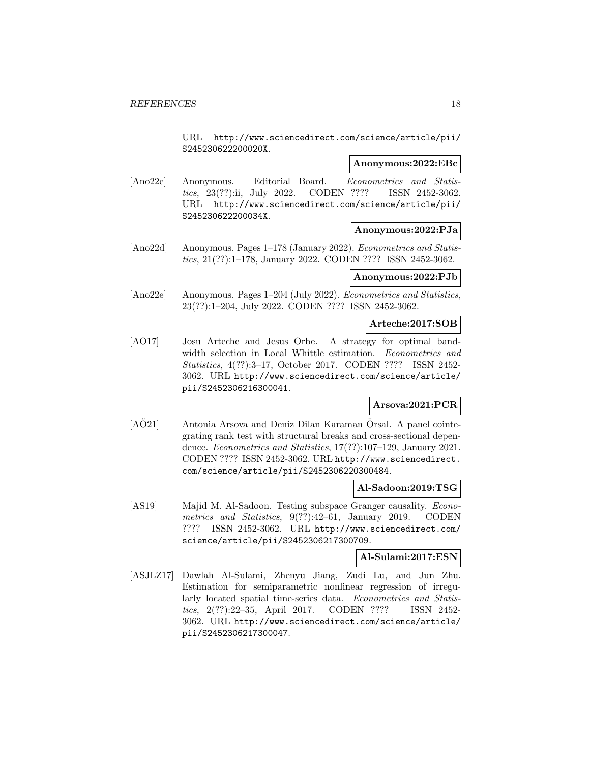URL http://www.sciencedirect.com/science/article/pii/ S245230622200020X.

## **Anonymous:2022:EBc**

[Ano22c] Anonymous. Editorial Board. Econometrics and Statistics, 23(??):ii, July 2022. CODEN ???? ISSN 2452-3062. URL http://www.sciencedirect.com/science/article/pii/ S245230622200034X.

## **Anonymous:2022:PJa**

[Ano22d] Anonymous. Pages 1–178 (January 2022). Econometrics and Statistics, 21(??):1–178, January 2022. CODEN ???? ISSN 2452-3062.

### **Anonymous:2022:PJb**

[Ano22e] Anonymous. Pages 1–204 (July 2022). *Econometrics and Statistics*, 23(??):1–204, July 2022. CODEN ???? ISSN 2452-3062.

## **Arteche:2017:SOB**

[AO17] Josu Arteche and Jesus Orbe. A strategy for optimal bandwidth selection in Local Whittle estimation. Econometrics and Statistics, 4(??):3–17, October 2017. CODEN ???? ISSN 2452- 3062. URL http://www.sciencedirect.com/science/article/ pii/S2452306216300041.

## **Arsova:2021:PCR**

 $[A\ddot{O}21]$  Antonia Arsova and Deniz Dilan Karaman  $\ddot{O}$ rsal. A panel cointegrating rank test with structural breaks and cross-sectional dependence. Econometrics and Statistics, 17(??):107–129, January 2021. CODEN ???? ISSN 2452-3062. URL http://www.sciencedirect. com/science/article/pii/S2452306220300484.

## **Al-Sadoon:2019:TSG**

[AS19] Majid M. Al-Sadoon. Testing subspace Granger causality. Econometrics and Statistics, 9(??):42–61, January 2019. CODEN ???? ISSN 2452-3062. URL http://www.sciencedirect.com/ science/article/pii/S2452306217300709.

## **Al-Sulami:2017:ESN**

[ASJLZ17] Dawlah Al-Sulami, Zhenyu Jiang, Zudi Lu, and Jun Zhu. Estimation for semiparametric nonlinear regression of irregularly located spatial time-series data. Econometrics and Statistics, 2(??):22–35, April 2017. CODEN ???? ISSN 2452- 3062. URL http://www.sciencedirect.com/science/article/ pii/S2452306217300047.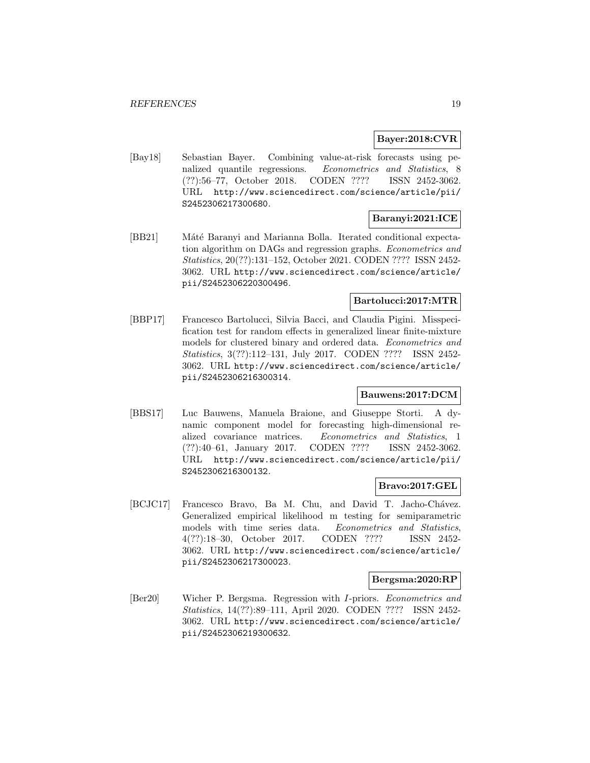## **Bayer:2018:CVR**

[Bay18] Sebastian Bayer. Combining value-at-risk forecasts using penalized quantile regressions. Econometrics and Statistics, 8 (??):56–77, October 2018. CODEN ???? ISSN 2452-3062. URL http://www.sciencedirect.com/science/article/pii/ S2452306217300680.

## **Baranyi:2021:ICE**

[BB21] Máté Baranyi and Marianna Bolla. Iterated conditional expectation algorithm on DAGs and regression graphs. Econometrics and Statistics, 20(??):131–152, October 2021. CODEN ???? ISSN 2452- 3062. URL http://www.sciencedirect.com/science/article/ pii/S2452306220300496.

## **Bartolucci:2017:MTR**

[BBP17] Francesco Bartolucci, Silvia Bacci, and Claudia Pigini. Misspecification test for random effects in generalized linear finite-mixture models for clustered binary and ordered data. Econometrics and Statistics, 3(??):112–131, July 2017. CODEN ???? ISSN 2452- 3062. URL http://www.sciencedirect.com/science/article/ pii/S2452306216300314.

## **Bauwens:2017:DCM**

[BBS17] Luc Bauwens, Manuela Braione, and Giuseppe Storti. A dynamic component model for forecasting high-dimensional realized covariance matrices. Econometrics and Statistics, 1 (??):40–61, January 2017. CODEN ???? ISSN 2452-3062. URL http://www.sciencedirect.com/science/article/pii/ S2452306216300132.

## **Bravo:2017:GEL**

[BCJC17] Francesco Bravo, Ba M. Chu, and David T. Jacho-Chávez. Generalized empirical likelihood m testing for semiparametric models with time series data. Econometrics and Statistics, 4(??):18–30, October 2017. CODEN ???? ISSN 2452- 3062. URL http://www.sciencedirect.com/science/article/ pii/S2452306217300023.

#### **Bergsma:2020:RP**

[Ber20] Wicher P. Bergsma. Regression with I-priors. Econometrics and Statistics, 14(??):89–111, April 2020. CODEN ???? ISSN 2452- 3062. URL http://www.sciencedirect.com/science/article/ pii/S2452306219300632.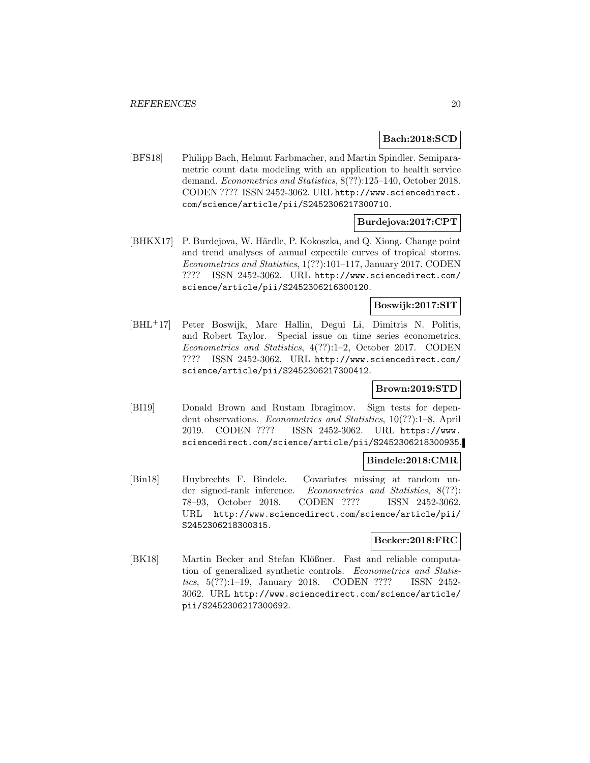## **Bach:2018:SCD**

[BFS18] Philipp Bach, Helmut Farbmacher, and Martin Spindler. Semiparametric count data modeling with an application to health service demand. Econometrics and Statistics, 8(??):125–140, October 2018. CODEN ???? ISSN 2452-3062. URL http://www.sciencedirect. com/science/article/pii/S2452306217300710.

## **Burdejova:2017:CPT**

[BHKX17] P. Burdejova, W. Härdle, P. Kokoszka, and Q. Xiong. Change point and trend analyses of annual expectile curves of tropical storms. Econometrics and Statistics, 1(??):101–117, January 2017. CODEN ???? ISSN 2452-3062. URL http://www.sciencedirect.com/ science/article/pii/S2452306216300120.

## **Boswijk:2017:SIT**

[BHL<sup>+</sup>17] Peter Boswijk, Marc Hallin, Degui Li, Dimitris N. Politis, and Robert Taylor. Special issue on time series econometrics. Econometrics and Statistics, 4(??):1–2, October 2017. CODEN ???? ISSN 2452-3062. URL http://www.sciencedirect.com/ science/article/pii/S2452306217300412.

## **Brown:2019:STD**

[BI19] Donald Brown and Rustam Ibragimov. Sign tests for dependent observations. Econometrics and Statistics, 10(??):1–8, April 2019. CODEN ???? ISSN 2452-3062. URL https://www. sciencedirect.com/science/article/pii/S2452306218300935.

### **Bindele:2018:CMR**

[Bin18] Huybrechts F. Bindele. Covariates missing at random under signed-rank inference. Econometrics and Statistics, 8(??): 78–93, October 2018. CODEN ???? ISSN 2452-3062. URL http://www.sciencedirect.com/science/article/pii/ S2452306218300315.

### **Becker:2018:FRC**

[BK18] Martin Becker and Stefan Klößner. Fast and reliable computation of generalized synthetic controls. Econometrics and Statistics, 5(??):1–19, January 2018. CODEN ???? ISSN 2452- 3062. URL http://www.sciencedirect.com/science/article/ pii/S2452306217300692.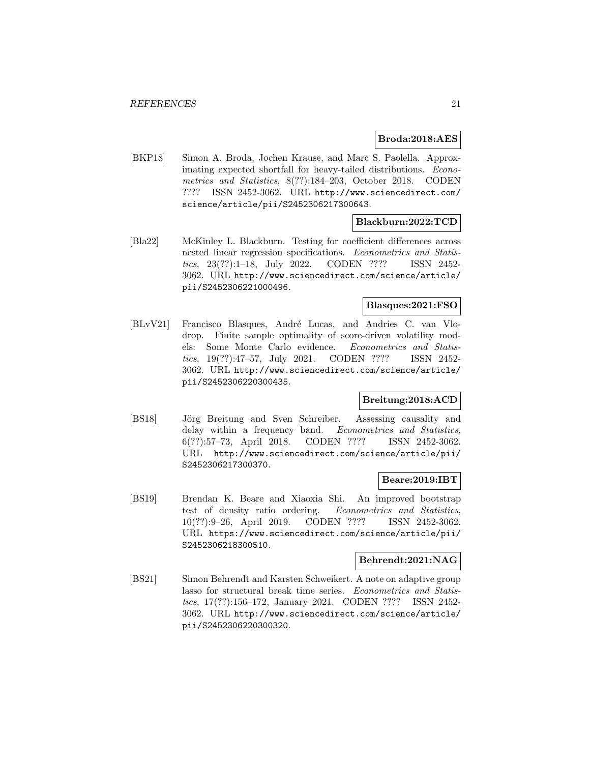### **Broda:2018:AES**

[BKP18] Simon A. Broda, Jochen Krause, and Marc S. Paolella. Approximating expected shortfall for heavy-tailed distributions. Econometrics and Statistics, 8(??):184–203, October 2018. CODEN ???? ISSN 2452-3062. URL http://www.sciencedirect.com/ science/article/pii/S2452306217300643.

## **Blackburn:2022:TCD**

[Bla22] McKinley L. Blackburn. Testing for coefficient differences across nested linear regression specifications. Econometrics and Statistics, 23(??):1–18, July 2022. CODEN ???? ISSN 2452- 3062. URL http://www.sciencedirect.com/science/article/ pii/S2452306221000496.

## **Blasques:2021:FSO**

[BLvV21] Francisco Blasques, André Lucas, and Andries C. van Vlodrop. Finite sample optimality of score-driven volatility models: Some Monte Carlo evidence. Econometrics and Statistics, 19(??):47–57, July 2021. CODEN ???? ISSN 2452- 3062. URL http://www.sciencedirect.com/science/article/ pii/S2452306220300435.

## **Breitung:2018:ACD**

[BS18] Jörg Breitung and Sven Schreiber. Assessing causality and delay within a frequency band. Econometrics and Statistics, 6(??):57–73, April 2018. CODEN ???? ISSN 2452-3062. URL http://www.sciencedirect.com/science/article/pii/ S2452306217300370.

#### **Beare:2019:IBT**

[BS19] Brendan K. Beare and Xiaoxia Shi. An improved bootstrap test of density ratio ordering. Econometrics and Statistics, 10(??):9–26, April 2019. CODEN ???? ISSN 2452-3062. URL https://www.sciencedirect.com/science/article/pii/ S2452306218300510.

## **Behrendt:2021:NAG**

[BS21] Simon Behrendt and Karsten Schweikert. A note on adaptive group lasso for structural break time series. Econometrics and Statistics, 17(??):156–172, January 2021. CODEN ???? ISSN 2452- 3062. URL http://www.sciencedirect.com/science/article/ pii/S2452306220300320.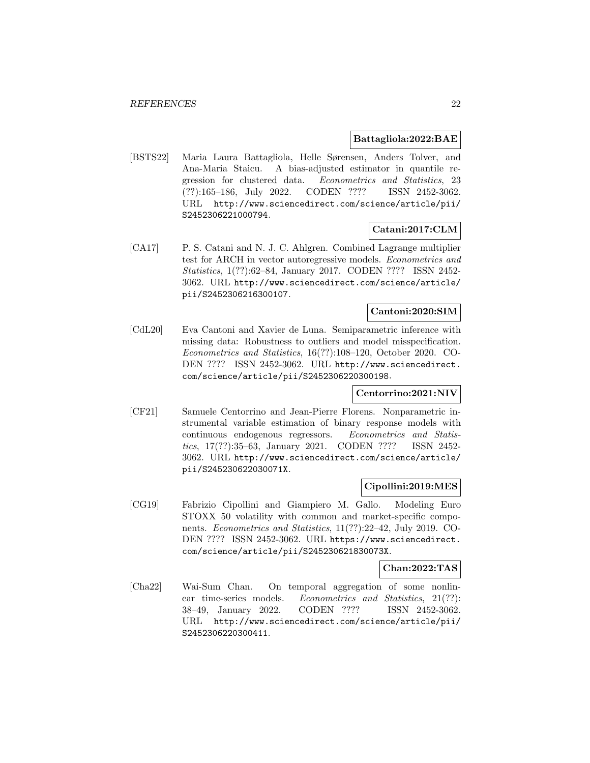### **Battagliola:2022:BAE**

[BSTS22] Maria Laura Battagliola, Helle Sørensen, Anders Tolver, and Ana-Maria Staicu. A bias-adjusted estimator in quantile regression for clustered data. Econometrics and Statistics, 23 (??):165–186, July 2022. CODEN ???? ISSN 2452-3062. URL http://www.sciencedirect.com/science/article/pii/ S2452306221000794.

## **Catani:2017:CLM**

[CA17] P. S. Catani and N. J. C. Ahlgren. Combined Lagrange multiplier test for ARCH in vector autoregressive models. Econometrics and Statistics, 1(??):62–84, January 2017. CODEN ???? ISSN 2452- 3062. URL http://www.sciencedirect.com/science/article/ pii/S2452306216300107.

#### **Cantoni:2020:SIM**

[CdL20] Eva Cantoni and Xavier de Luna. Semiparametric inference with missing data: Robustness to outliers and model misspecification. Econometrics and Statistics, 16(??):108–120, October 2020. CO-DEN ???? ISSN 2452-3062. URL http://www.sciencedirect. com/science/article/pii/S2452306220300198.

## **Centorrino:2021:NIV**

[CF21] Samuele Centorrino and Jean-Pierre Florens. Nonparametric instrumental variable estimation of binary response models with continuous endogenous regressors. Econometrics and Statistics, 17(??):35–63, January 2021. CODEN ???? ISSN 2452- 3062. URL http://www.sciencedirect.com/science/article/ pii/S245230622030071X.

## **Cipollini:2019:MES**

[CG19] Fabrizio Cipollini and Giampiero M. Gallo. Modeling Euro STOXX 50 volatility with common and market-specific components. Econometrics and Statistics, 11(??):22–42, July 2019. CO-DEN ???? ISSN 2452-3062. URL https://www.sciencedirect. com/science/article/pii/S245230621830073X.

## **Chan:2022:TAS**

[Cha22] Wai-Sum Chan. On temporal aggregation of some nonlinear time-series models. Econometrics and Statistics, 21(??): 38–49, January 2022. CODEN ???? ISSN 2452-3062. URL http://www.sciencedirect.com/science/article/pii/ S2452306220300411.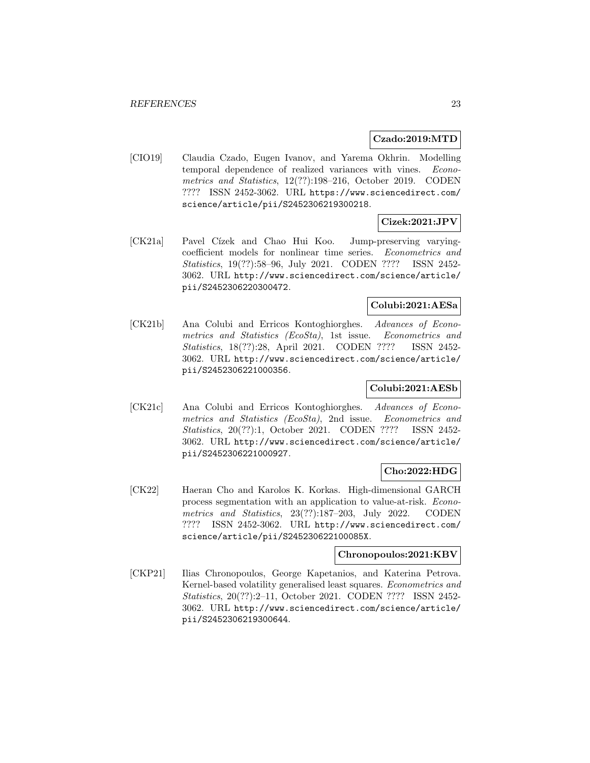#### **Czado:2019:MTD**

[CIO19] Claudia Czado, Eugen Ivanov, and Yarema Okhrin. Modelling temporal dependence of realized variances with vines. Econometrics and Statistics, 12(??):198–216, October 2019. CODEN ???? ISSN 2452-3062. URL https://www.sciencedirect.com/ science/article/pii/S2452306219300218.

## **Cizek:2021:JPV**

[CK21a] Pavel Cízek and Chao Hui Koo. Jump-preserving varyingcoefficient models for nonlinear time series. Econometrics and Statistics, 19(??):58–96, July 2021. CODEN ???? ISSN 2452- 3062. URL http://www.sciencedirect.com/science/article/ pii/S2452306220300472.

## **Colubi:2021:AESa**

[CK21b] Ana Colubi and Erricos Kontoghiorghes. Advances of Econometrics and Statistics (EcoSta), 1st issue. Econometrics and Statistics, 18(??):28, April 2021. CODEN ???? ISSN 2452- 3062. URL http://www.sciencedirect.com/science/article/ pii/S2452306221000356.

## **Colubi:2021:AESb**

[CK21c] Ana Colubi and Erricos Kontoghiorghes. Advances of Econometrics and Statistics (EcoSta), 2nd issue. Econometrics and Statistics, 20(??):1, October 2021. CODEN ???? ISSN 2452- 3062. URL http://www.sciencedirect.com/science/article/ pii/S2452306221000927.

## **Cho:2022:HDG**

[CK22] Haeran Cho and Karolos K. Korkas. High-dimensional GARCH process segmentation with an application to value-at-risk. Econometrics and Statistics, 23(??):187–203, July 2022. CODEN ???? ISSN 2452-3062. URL http://www.sciencedirect.com/ science/article/pii/S245230622100085X.

## **Chronopoulos:2021:KBV**

[CKP21] Ilias Chronopoulos, George Kapetanios, and Katerina Petrova. Kernel-based volatility generalised least squares. Econometrics and Statistics, 20(??):2–11, October 2021. CODEN ???? ISSN 2452- 3062. URL http://www.sciencedirect.com/science/article/ pii/S2452306219300644.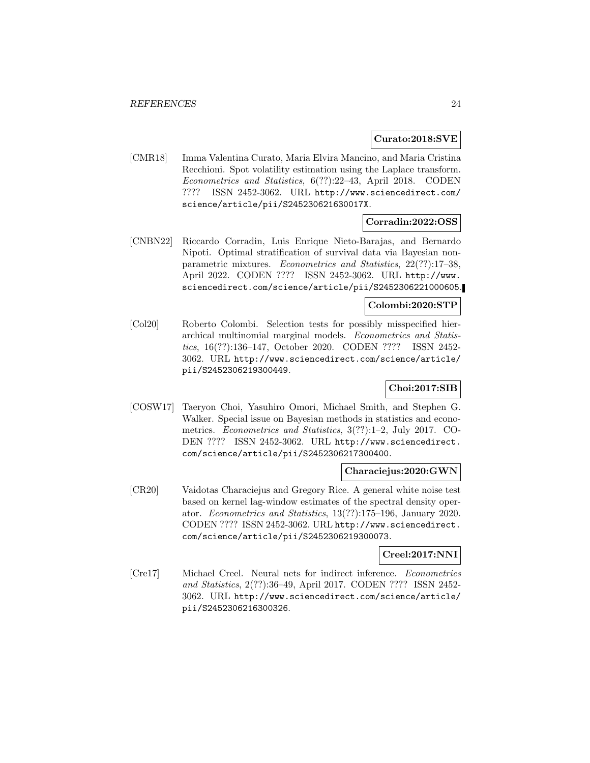### **Curato:2018:SVE**

[CMR18] Imma Valentina Curato, Maria Elvira Mancino, and Maria Cristina Recchioni. Spot volatility estimation using the Laplace transform. Econometrics and Statistics, 6(??):22–43, April 2018. CODEN ???? ISSN 2452-3062. URL http://www.sciencedirect.com/ science/article/pii/S245230621630017X.

## **Corradin:2022:OSS**

[CNBN22] Riccardo Corradin, Luis Enrique Nieto-Barajas, and Bernardo Nipoti. Optimal stratification of survival data via Bayesian nonparametric mixtures. Econometrics and Statistics, 22(??):17–38, April 2022. CODEN ???? ISSN 2452-3062. URL http://www. sciencedirect.com/science/article/pii/S2452306221000605.

## **Colombi:2020:STP**

[Col20] Roberto Colombi. Selection tests for possibly misspecified hierarchical multinomial marginal models. Econometrics and Statistics, 16(??):136–147, October 2020. CODEN ???? ISSN 2452- 3062. URL http://www.sciencedirect.com/science/article/ pii/S2452306219300449.

## **Choi:2017:SIB**

[COSW17] Taeryon Choi, Yasuhiro Omori, Michael Smith, and Stephen G. Walker. Special issue on Bayesian methods in statistics and econometrics. Econometrics and Statistics, 3(??):1–2, July 2017. CO-DEN ???? ISSN 2452-3062. URL http://www.sciencedirect. com/science/article/pii/S2452306217300400.

## **Characiejus:2020:GWN**

[CR20] Vaidotas Characiejus and Gregory Rice. A general white noise test based on kernel lag-window estimates of the spectral density operator. Econometrics and Statistics, 13(??):175–196, January 2020. CODEN ???? ISSN 2452-3062. URL http://www.sciencedirect. com/science/article/pii/S2452306219300073.

## **Creel:2017:NNI**

[Cre17] Michael Creel. Neural nets for indirect inference. Econometrics and Statistics, 2(??):36–49, April 2017. CODEN ???? ISSN 2452- 3062. URL http://www.sciencedirect.com/science/article/ pii/S2452306216300326.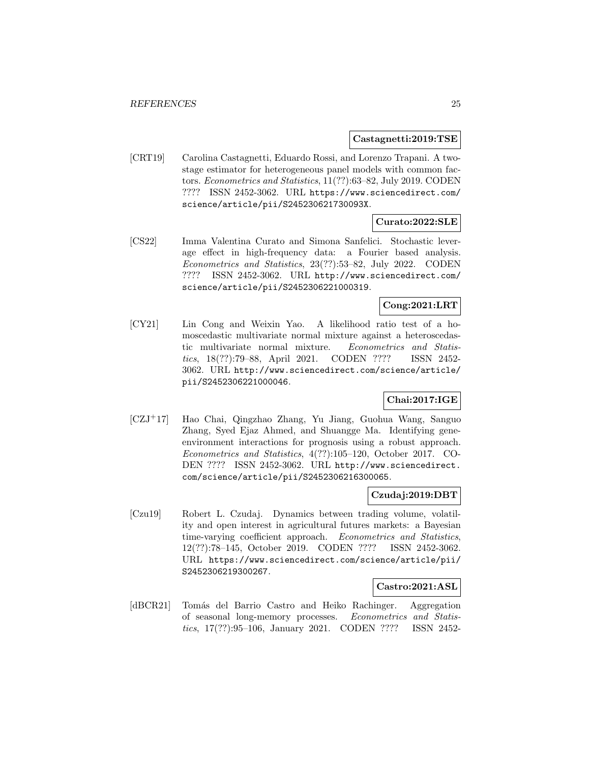#### **Castagnetti:2019:TSE**

[CRT19] Carolina Castagnetti, Eduardo Rossi, and Lorenzo Trapani. A twostage estimator for heterogeneous panel models with common factors. Econometrics and Statistics, 11(??):63–82, July 2019. CODEN ???? ISSN 2452-3062. URL https://www.sciencedirect.com/ science/article/pii/S245230621730093X.

## **Curato:2022:SLE**

[CS22] Imma Valentina Curato and Simona Sanfelici. Stochastic leverage effect in high-frequency data: a Fourier based analysis. Econometrics and Statistics, 23(??):53–82, July 2022. CODEN ???? ISSN 2452-3062. URL http://www.sciencedirect.com/ science/article/pii/S2452306221000319.

## **Cong:2021:LRT**

[CY21] Lin Cong and Weixin Yao. A likelihood ratio test of a homoscedastic multivariate normal mixture against a heteroscedastic multivariate normal mixture. Econometrics and Statistics, 18(??):79–88, April 2021. CODEN ???? ISSN 2452- 3062. URL http://www.sciencedirect.com/science/article/ pii/S2452306221000046.

## **Chai:2017:IGE**

[CZJ<sup>+</sup>17] Hao Chai, Qingzhao Zhang, Yu Jiang, Guohua Wang, Sanguo Zhang, Syed Ejaz Ahmed, and Shuangge Ma. Identifying geneenvironment interactions for prognosis using a robust approach. Econometrics and Statistics, 4(??):105–120, October 2017. CO-DEN ???? ISSN 2452-3062. URL http://www.sciencedirect. com/science/article/pii/S2452306216300065.

#### **Czudaj:2019:DBT**

[Czu19] Robert L. Czudaj. Dynamics between trading volume, volatility and open interest in agricultural futures markets: a Bayesian time-varying coefficient approach. Econometrics and Statistics, 12(??):78–145, October 2019. CODEN ???? ISSN 2452-3062. URL https://www.sciencedirect.com/science/article/pii/ S2452306219300267.

## **Castro:2021:ASL**

[dBCR21] Tomás del Barrio Castro and Heiko Rachinger. Aggregation of seasonal long-memory processes. Econometrics and Statistics, 17(??):95–106, January 2021. CODEN ???? ISSN 2452-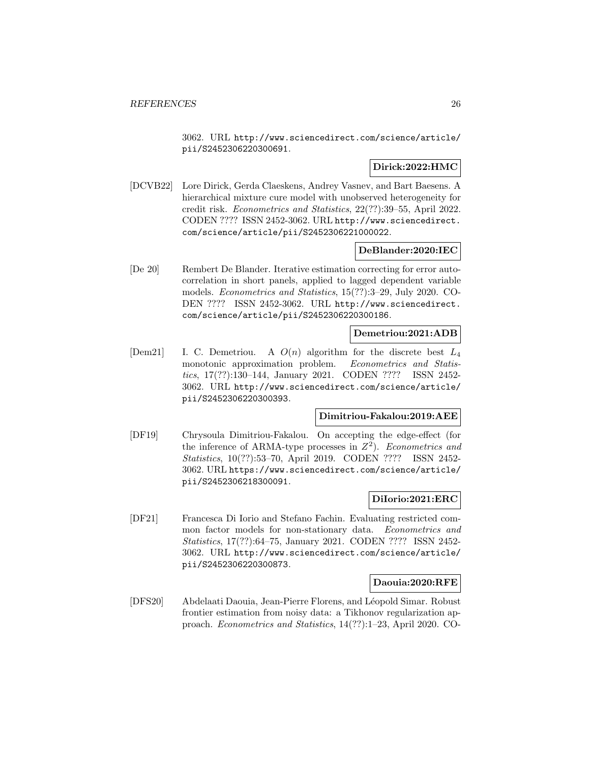3062. URL http://www.sciencedirect.com/science/article/ pii/S2452306220300691.

## **Dirick:2022:HMC**

[DCVB22] Lore Dirick, Gerda Claeskens, Andrey Vasnev, and Bart Baesens. A hierarchical mixture cure model with unobserved heterogeneity for credit risk. Econometrics and Statistics, 22(??):39–55, April 2022. CODEN ???? ISSN 2452-3062. URL http://www.sciencedirect. com/science/article/pii/S2452306221000022.

## **DeBlander:2020:IEC**

[De 20] Rembert De Blander. Iterative estimation correcting for error autocorrelation in short panels, applied to lagged dependent variable models. Econometrics and Statistics, 15(??):3–29, July 2020. CO-DEN ???? ISSN 2452-3062. URL http://www.sciencedirect. com/science/article/pii/S2452306220300186.

## **Demetriou:2021:ADB**

 $[Dem21]$  I. C. Demetriou. A  $O(n)$  algorithm for the discrete best  $L_4$ monotonic approximation problem. Econometrics and Statistics, 17(??):130–144, January 2021. CODEN ???? ISSN 2452- 3062. URL http://www.sciencedirect.com/science/article/ pii/S2452306220300393.

## **Dimitriou-Fakalou:2019:AEE**

[DF19] Chrysoula Dimitriou-Fakalou. On accepting the edge-effect (for the inference of ARMA-type processes in  $Z^2$ ). Econometrics and Statistics, 10(??):53–70, April 2019. CODEN ???? ISSN 2452- 3062. URL https://www.sciencedirect.com/science/article/ pii/S2452306218300091.

## **DiIorio:2021:ERC**

[DF21] Francesca Di Iorio and Stefano Fachin. Evaluating restricted common factor models for non-stationary data. Econometrics and Statistics, 17(??):64–75, January 2021. CODEN ???? ISSN 2452- 3062. URL http://www.sciencedirect.com/science/article/ pii/S2452306220300873.

## **Daouia:2020:RFE**

[DFS20] Abdelaati Daouia, Jean-Pierre Florens, and Léopold Simar. Robust frontier estimation from noisy data: a Tikhonov regularization approach. Econometrics and Statistics, 14(??):1–23, April 2020. CO-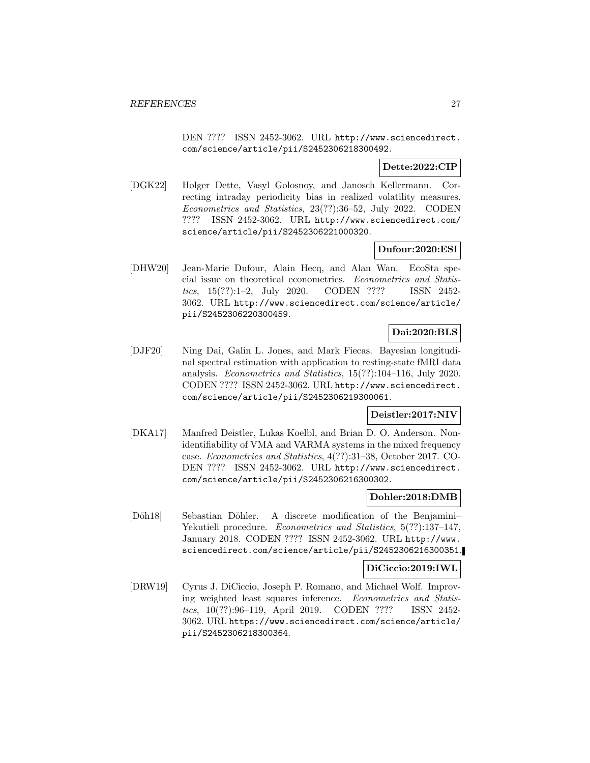DEN ???? ISSN 2452-3062. URL http://www.sciencedirect. com/science/article/pii/S2452306218300492.

## **Dette:2022:CIP**

[DGK22] Holger Dette, Vasyl Golosnoy, and Janosch Kellermann. Correcting intraday periodicity bias in realized volatility measures. Econometrics and Statistics, 23(??):36–52, July 2022. CODEN ???? ISSN 2452-3062. URL http://www.sciencedirect.com/ science/article/pii/S2452306221000320.

## **Dufour:2020:ESI**

[DHW20] Jean-Marie Dufour, Alain Hecq, and Alan Wan. EcoSta special issue on theoretical econometrics. Econometrics and Statistics, 15(??):1–2, July 2020. CODEN ???? ISSN 2452- 3062. URL http://www.sciencedirect.com/science/article/ pii/S2452306220300459.

## **Dai:2020:BLS**

[DJF20] Ning Dai, Galin L. Jones, and Mark Fiecas. Bayesian longitudinal spectral estimation with application to resting-state fMRI data analysis. Econometrics and Statistics, 15(??):104–116, July 2020. CODEN ???? ISSN 2452-3062. URL http://www.sciencedirect. com/science/article/pii/S2452306219300061.

## **Deistler:2017:NIV**

[DKA17] Manfred Deistler, Lukas Koelbl, and Brian D. O. Anderson. Nonidentifiability of VMA and VARMA systems in the mixed frequency case. Econometrics and Statistics, 4(??):31–38, October 2017. CO-DEN ???? ISSN 2452-3062. URL http://www.sciencedirect. com/science/article/pii/S2452306216300302.

## **Dohler:2018:DMB**

[Döh18] Sebastian Döhler. A discrete modification of the Benjamini– Yekutieli procedure. Econometrics and Statistics, 5(??):137–147, January 2018. CODEN ???? ISSN 2452-3062. URL http://www. sciencedirect.com/science/article/pii/S2452306216300351.

## **DiCiccio:2019:IWL**

[DRW19] Cyrus J. DiCiccio, Joseph P. Romano, and Michael Wolf. Improving weighted least squares inference. Econometrics and Statistics, 10(??):96–119, April 2019. CODEN ???? ISSN 2452- 3062. URL https://www.sciencedirect.com/science/article/ pii/S2452306218300364.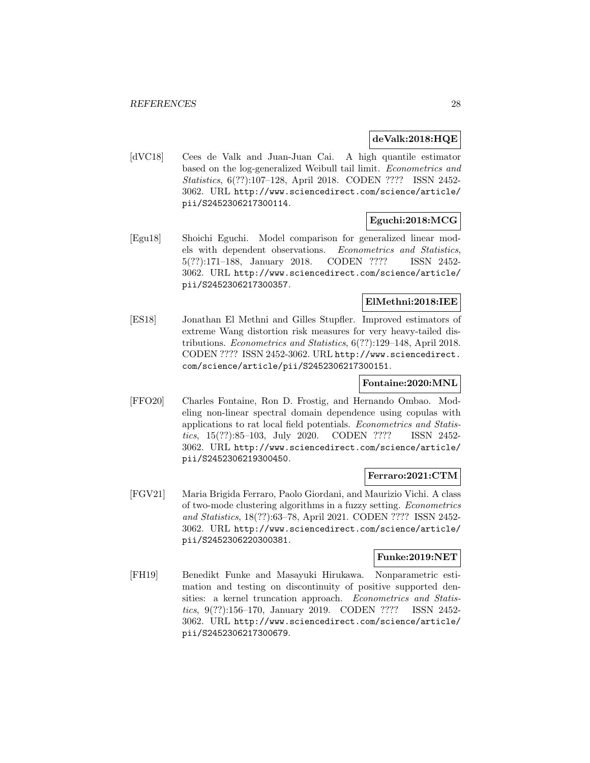## **deValk:2018:HQE**

[dVC18] Cees de Valk and Juan-Juan Cai. A high quantile estimator based on the log-generalized Weibull tail limit. Econometrics and Statistics, 6(??):107–128, April 2018. CODEN ???? ISSN 2452- 3062. URL http://www.sciencedirect.com/science/article/ pii/S2452306217300114.

## **Eguchi:2018:MCG**

[Egu18] Shoichi Eguchi. Model comparison for generalized linear models with dependent observations. Econometrics and Statistics, 5(??):171–188, January 2018. CODEN ???? ISSN 2452- 3062. URL http://www.sciencedirect.com/science/article/ pii/S2452306217300357.

## **ElMethni:2018:IEE**

[ES18] Jonathan El Methni and Gilles Stupfler. Improved estimators of extreme Wang distortion risk measures for very heavy-tailed distributions. Econometrics and Statistics, 6(??):129–148, April 2018. CODEN ???? ISSN 2452-3062. URL http://www.sciencedirect. com/science/article/pii/S2452306217300151.

## **Fontaine:2020:MNL**

[FFO20] Charles Fontaine, Ron D. Frostig, and Hernando Ombao. Modeling non-linear spectral domain dependence using copulas with applications to rat local field potentials. Econometrics and Statistics, 15(??):85–103, July 2020. CODEN ???? ISSN 2452- 3062. URL http://www.sciencedirect.com/science/article/ pii/S2452306219300450.

## **Ferraro:2021:CTM**

[FGV21] Maria Brigida Ferraro, Paolo Giordani, and Maurizio Vichi. A class of two-mode clustering algorithms in a fuzzy setting. Econometrics and Statistics, 18(??):63–78, April 2021. CODEN ???? ISSN 2452- 3062. URL http://www.sciencedirect.com/science/article/ pii/S2452306220300381.

## **Funke:2019:NET**

[FH19] Benedikt Funke and Masayuki Hirukawa. Nonparametric estimation and testing on discontinuity of positive supported densities: a kernel truncation approach. Econometrics and Statistics, 9(??):156–170, January 2019. CODEN ???? ISSN 2452- 3062. URL http://www.sciencedirect.com/science/article/ pii/S2452306217300679.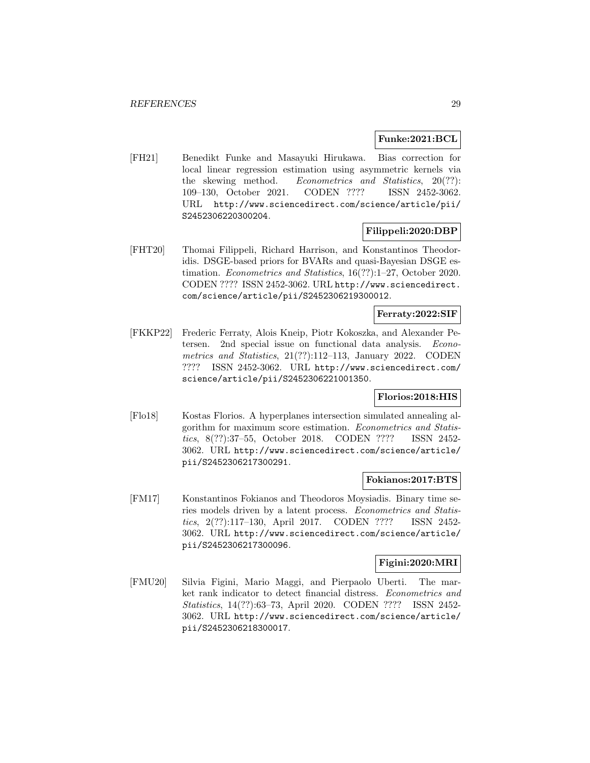## **Funke:2021:BCL**

[FH21] Benedikt Funke and Masayuki Hirukawa. Bias correction for local linear regression estimation using asymmetric kernels via the skewing method. Econometrics and Statistics, 20(??): 109–130, October 2021. CODEN ???? ISSN 2452-3062. URL http://www.sciencedirect.com/science/article/pii/ S2452306220300204.

## **Filippeli:2020:DBP**

[FHT20] Thomai Filippeli, Richard Harrison, and Konstantinos Theodoridis. DSGE-based priors for BVARs and quasi-Bayesian DSGE estimation. Econometrics and Statistics, 16(??):1–27, October 2020. CODEN ???? ISSN 2452-3062. URL http://www.sciencedirect. com/science/article/pii/S2452306219300012.

## **Ferraty:2022:SIF**

[FKKP22] Frederic Ferraty, Alois Kneip, Piotr Kokoszka, and Alexander Petersen. 2nd special issue on functional data analysis. Econometrics and Statistics, 21(??):112–113, January 2022. CODEN ???? ISSN 2452-3062. URL http://www.sciencedirect.com/ science/article/pii/S2452306221001350.

## **Florios:2018:HIS**

[Flo18] Kostas Florios. A hyperplanes intersection simulated annealing algorithm for maximum score estimation. Econometrics and Statistics, 8(??):37–55, October 2018. CODEN ???? ISSN 2452- 3062. URL http://www.sciencedirect.com/science/article/ pii/S2452306217300291.

## **Fokianos:2017:BTS**

[FM17] Konstantinos Fokianos and Theodoros Moysiadis. Binary time series models driven by a latent process. Econometrics and Statistics, 2(??):117–130, April 2017. CODEN ???? ISSN 2452- 3062. URL http://www.sciencedirect.com/science/article/ pii/S2452306217300096.

## **Figini:2020:MRI**

[FMU20] Silvia Figini, Mario Maggi, and Pierpaolo Uberti. The market rank indicator to detect financial distress. Econometrics and Statistics, 14(??):63–73, April 2020. CODEN ???? ISSN 2452- 3062. URL http://www.sciencedirect.com/science/article/ pii/S2452306218300017.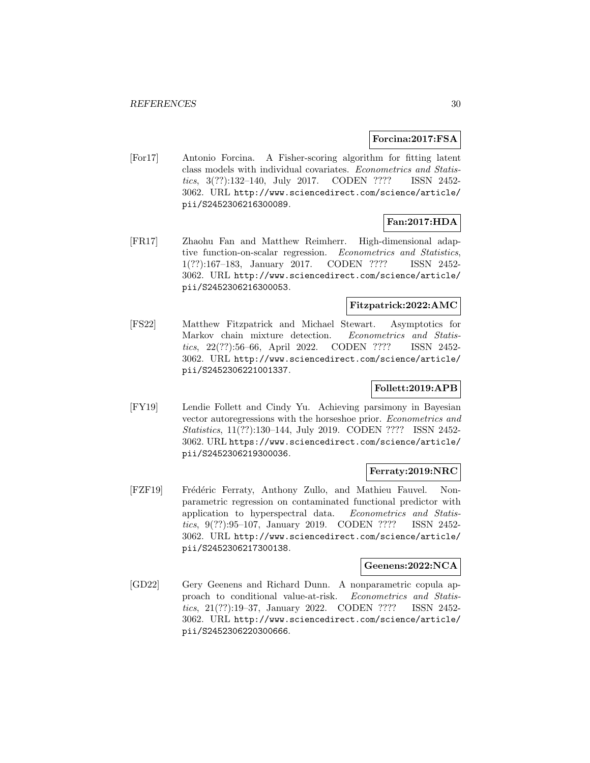### **Forcina:2017:FSA**

[For17] Antonio Forcina. A Fisher-scoring algorithm for fitting latent class models with individual covariates. Econometrics and Statistics, 3(??):132–140, July 2017. CODEN ???? ISSN 2452- 3062. URL http://www.sciencedirect.com/science/article/ pii/S2452306216300089.

## **Fan:2017:HDA**

[FR17] Zhaohu Fan and Matthew Reimherr. High-dimensional adaptive function-on-scalar regression. Econometrics and Statistics, 1(??):167–183, January 2017. CODEN ???? ISSN 2452- 3062. URL http://www.sciencedirect.com/science/article/ pii/S2452306216300053.

## **Fitzpatrick:2022:AMC**

[FS22] Matthew Fitzpatrick and Michael Stewart. Asymptotics for Markov chain mixture detection. Econometrics and Statistics, 22(??):56–66, April 2022. CODEN ???? ISSN 2452- 3062. URL http://www.sciencedirect.com/science/article/ pii/S2452306221001337.

## **Follett:2019:APB**

[FY19] Lendie Follett and Cindy Yu. Achieving parsimony in Bayesian vector autoregressions with the horseshoe prior. Econometrics and Statistics, 11(??):130–144, July 2019. CODEN ???? ISSN 2452- 3062. URL https://www.sciencedirect.com/science/article/ pii/S2452306219300036.

#### **Ferraty:2019:NRC**

[FZF19] Frédéric Ferraty, Anthony Zullo, and Mathieu Fauvel. Nonparametric regression on contaminated functional predictor with application to hyperspectral data. Econometrics and Statistics, 9(??):95–107, January 2019. CODEN ???? ISSN 2452- 3062. URL http://www.sciencedirect.com/science/article/ pii/S2452306217300138.

#### **Geenens:2022:NCA**

[GD22] Gery Geenens and Richard Dunn. A nonparametric copula approach to conditional value-at-risk. Econometrics and Statistics, 21(??):19–37, January 2022. CODEN ???? ISSN 2452- 3062. URL http://www.sciencedirect.com/science/article/ pii/S2452306220300666.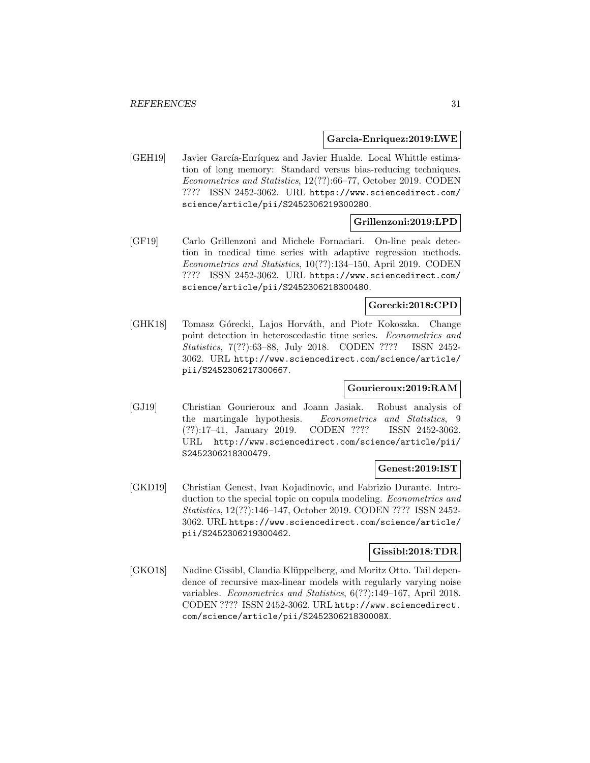#### **Garcia-Enriquez:2019:LWE**

[GEH19] Javier García-Enríquez and Javier Hualde. Local Whittle estimation of long memory: Standard versus bias-reducing techniques. Econometrics and Statistics, 12(??):66–77, October 2019. CODEN ???? ISSN 2452-3062. URL https://www.sciencedirect.com/ science/article/pii/S2452306219300280.

## **Grillenzoni:2019:LPD**

[GF19] Carlo Grillenzoni and Michele Fornaciari. On-line peak detection in medical time series with adaptive regression methods. Econometrics and Statistics, 10(??):134–150, April 2019. CODEN ???? ISSN 2452-3062. URL https://www.sciencedirect.com/ science/article/pii/S2452306218300480.

## **Gorecki:2018:CPD**

[GHK18] Tomasz Górecki, Lajos Horváth, and Piotr Kokoszka. Change point detection in heteroscedastic time series. Econometrics and Statistics, 7(??):63–88, July 2018. CODEN ???? ISSN 2452- 3062. URL http://www.sciencedirect.com/science/article/ pii/S2452306217300667.

## **Gourieroux:2019:RAM**

[GJ19] Christian Gourieroux and Joann Jasiak. Robust analysis of the martingale hypothesis. Econometrics and Statistics, 9 (??):17–41, January 2019. CODEN ???? ISSN 2452-3062. URL http://www.sciencedirect.com/science/article/pii/ S2452306218300479.

## **Genest:2019:IST**

[GKD19] Christian Genest, Ivan Kojadinovic, and Fabrizio Durante. Introduction to the special topic on copula modeling. Econometrics and Statistics, 12(??):146–147, October 2019. CODEN ???? ISSN 2452- 3062. URL https://www.sciencedirect.com/science/article/ pii/S2452306219300462.

## **Gissibl:2018:TDR**

[GKO18] Nadine Gissibl, Claudia Klüppelberg, and Moritz Otto. Tail dependence of recursive max-linear models with regularly varying noise variables. Econometrics and Statistics, 6(??):149–167, April 2018. CODEN ???? ISSN 2452-3062. URL http://www.sciencedirect. com/science/article/pii/S245230621830008X.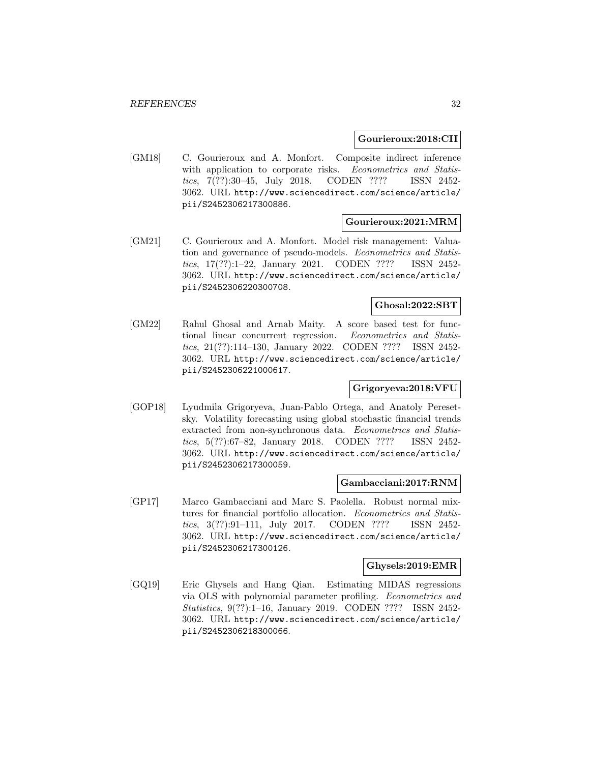### **Gourieroux:2018:CII**

[GM18] C. Gourieroux and A. Monfort. Composite indirect inference with application to corporate risks. Econometrics and Statistics, 7(??):30–45, July 2018. CODEN ???? ISSN 2452- 3062. URL http://www.sciencedirect.com/science/article/ pii/S2452306217300886.

## **Gourieroux:2021:MRM**

[GM21] C. Gourieroux and A. Monfort. Model risk management: Valuation and governance of pseudo-models. Econometrics and Statistics, 17(??):1–22, January 2021. CODEN ???? ISSN 2452- 3062. URL http://www.sciencedirect.com/science/article/ pii/S2452306220300708.

## **Ghosal:2022:SBT**

[GM22] Rahul Ghosal and Arnab Maity. A score based test for functional linear concurrent regression. Econometrics and Statistics, 21(??):114–130, January 2022. CODEN ???? ISSN 2452- 3062. URL http://www.sciencedirect.com/science/article/ pii/S2452306221000617.

## **Grigoryeva:2018:VFU**

[GOP18] Lyudmila Grigoryeva, Juan-Pablo Ortega, and Anatoly Peresetsky. Volatility forecasting using global stochastic financial trends extracted from non-synchronous data. Econometrics and Statistics, 5(??):67–82, January 2018. CODEN ???? ISSN 2452- 3062. URL http://www.sciencedirect.com/science/article/ pii/S2452306217300059.

#### **Gambacciani:2017:RNM**

[GP17] Marco Gambacciani and Marc S. Paolella. Robust normal mixtures for financial portfolio allocation. Econometrics and Statistics, 3(??):91–111, July 2017. CODEN ???? ISSN 2452- 3062. URL http://www.sciencedirect.com/science/article/ pii/S2452306217300126.

#### **Ghysels:2019:EMR**

[GQ19] Eric Ghysels and Hang Qian. Estimating MIDAS regressions via OLS with polynomial parameter profiling. Econometrics and Statistics, 9(??):1–16, January 2019. CODEN ???? ISSN 2452- 3062. URL http://www.sciencedirect.com/science/article/ pii/S2452306218300066.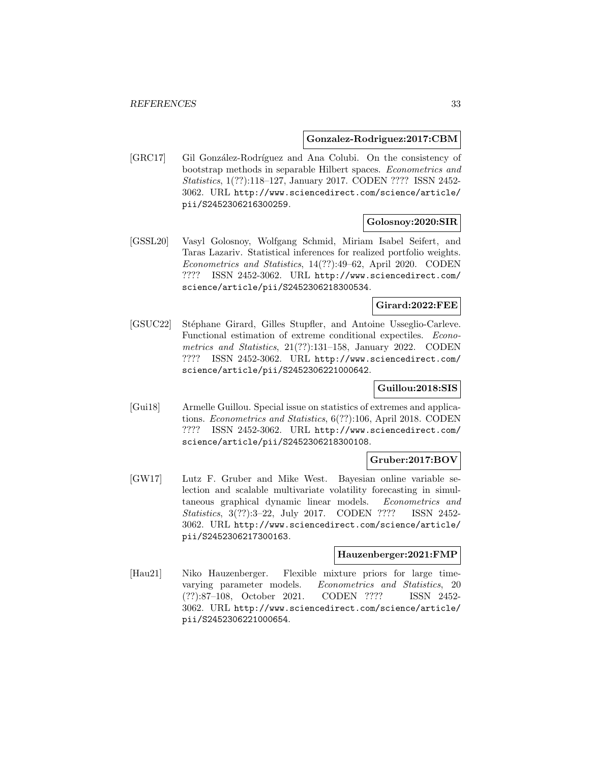#### **Gonzalez-Rodriguez:2017:CBM**

[GRC17] Gil González-Rodríguez and Ana Colubi. On the consistency of bootstrap methods in separable Hilbert spaces. Econometrics and Statistics, 1(??):118–127, January 2017. CODEN ???? ISSN 2452- 3062. URL http://www.sciencedirect.com/science/article/ pii/S2452306216300259.

## **Golosnoy:2020:SIR**

[GSSL20] Vasyl Golosnoy, Wolfgang Schmid, Miriam Isabel Seifert, and Taras Lazariv. Statistical inferences for realized portfolio weights. Econometrics and Statistics, 14(??):49–62, April 2020. CODEN ???? ISSN 2452-3062. URL http://www.sciencedirect.com/ science/article/pii/S2452306218300534.

## **Girard:2022:FEE**

[GSUC22] Stéphane Girard, Gilles Stupfler, and Antoine Usseglio-Carleve. Functional estimation of extreme conditional expectiles. Econometrics and Statistics, 21(??):131–158, January 2022. CODEN ???? ISSN 2452-3062. URL http://www.sciencedirect.com/ science/article/pii/S2452306221000642.

## **Guillou:2018:SIS**

[Gui18] Armelle Guillou. Special issue on statistics of extremes and applications. Econometrics and Statistics, 6(??):106, April 2018. CODEN ???? ISSN 2452-3062. URL http://www.sciencedirect.com/ science/article/pii/S2452306218300108.

### **Gruber:2017:BOV**

[GW17] Lutz F. Gruber and Mike West. Bayesian online variable selection and scalable multivariate volatility forecasting in simultaneous graphical dynamic linear models. Econometrics and Statistics, 3(??):3–22, July 2017. CODEN ???? ISSN 2452- 3062. URL http://www.sciencedirect.com/science/article/ pii/S2452306217300163.

#### **Hauzenberger:2021:FMP**

[Hau21] Niko Hauzenberger. Flexible mixture priors for large timevarying parameter models. Econometrics and Statistics, 20 (??):87–108, October 2021. CODEN ???? ISSN 2452- 3062. URL http://www.sciencedirect.com/science/article/ pii/S2452306221000654.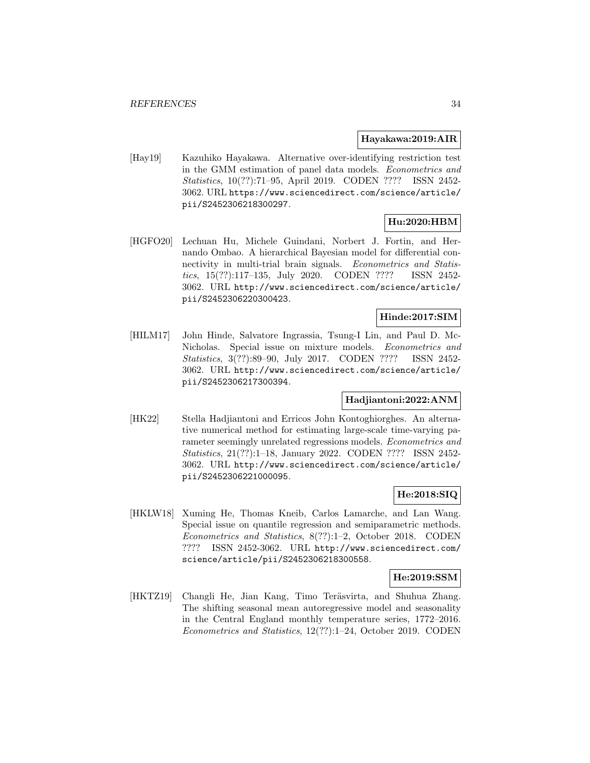#### **Hayakawa:2019:AIR**

[Hay19] Kazuhiko Hayakawa. Alternative over-identifying restriction test in the GMM estimation of panel data models. Econometrics and Statistics, 10(??):71–95, April 2019. CODEN ???? ISSN 2452- 3062. URL https://www.sciencedirect.com/science/article/ pii/S2452306218300297.

## **Hu:2020:HBM**

[HGFO20] Lechuan Hu, Michele Guindani, Norbert J. Fortin, and Hernando Ombao. A hierarchical Bayesian model for differential connectivity in multi-trial brain signals. Econometrics and Statistics, 15(??):117–135, July 2020. CODEN ???? ISSN 2452- 3062. URL http://www.sciencedirect.com/science/article/ pii/S2452306220300423.

## **Hinde:2017:SIM**

[HILM17] John Hinde, Salvatore Ingrassia, Tsung-I Lin, and Paul D. Mc-Nicholas. Special issue on mixture models. Econometrics and Statistics, 3(??):89–90, July 2017. CODEN ???? ISSN 2452- 3062. URL http://www.sciencedirect.com/science/article/ pii/S2452306217300394.

## **Hadjiantoni:2022:ANM**

[HK22] Stella Hadjiantoni and Erricos John Kontoghiorghes. An alternative numerical method for estimating large-scale time-varying parameter seemingly unrelated regressions models. Econometrics and Statistics, 21(??):1–18, January 2022. CODEN ???? ISSN 2452- 3062. URL http://www.sciencedirect.com/science/article/ pii/S2452306221000095.

## **He:2018:SIQ**

[HKLW18] Xuming He, Thomas Kneib, Carlos Lamarche, and Lan Wang. Special issue on quantile regression and semiparametric methods. Econometrics and Statistics, 8(??):1–2, October 2018. CODEN ???? ISSN 2452-3062. URL http://www.sciencedirect.com/ science/article/pii/S2452306218300558.

## **He:2019:SSM**

[HKTZ19] Changli He, Jian Kang, Timo Teräsvirta, and Shuhua Zhang. The shifting seasonal mean autoregressive model and seasonality in the Central England monthly temperature series, 1772–2016. Econometrics and Statistics, 12(??):1–24, October 2019. CODEN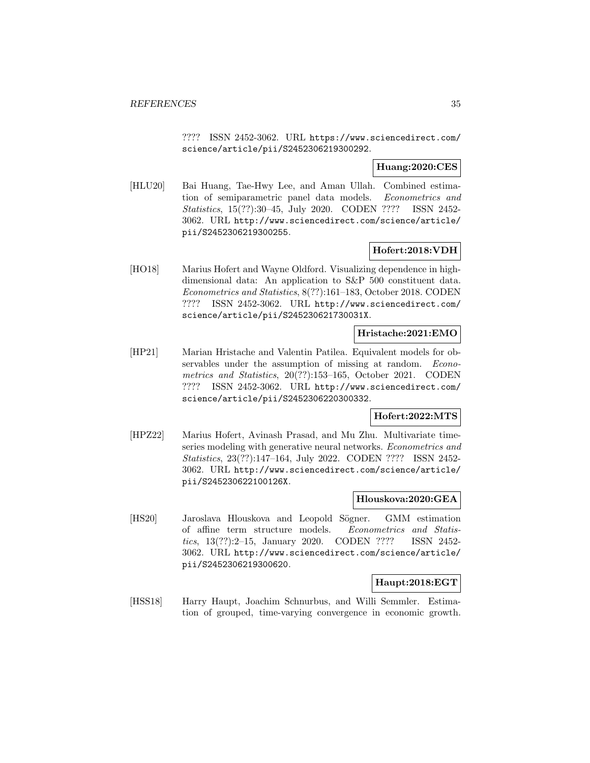???? ISSN 2452-3062. URL https://www.sciencedirect.com/ science/article/pii/S2452306219300292.

## **Huang:2020:CES**

[HLU20] Bai Huang, Tae-Hwy Lee, and Aman Ullah. Combined estimation of semiparametric panel data models. Econometrics and Statistics, 15(??):30–45, July 2020. CODEN ???? ISSN 2452- 3062. URL http://www.sciencedirect.com/science/article/ pii/S2452306219300255.

## **Hofert:2018:VDH**

[HO18] Marius Hofert and Wayne Oldford. Visualizing dependence in highdimensional data: An application to S&P 500 constituent data. Econometrics and Statistics, 8(??):161–183, October 2018. CODEN ???? ISSN 2452-3062. URL http://www.sciencedirect.com/ science/article/pii/S245230621730031X.

## **Hristache:2021:EMO**

[HP21] Marian Hristache and Valentin Patilea. Equivalent models for observables under the assumption of missing at random. Econometrics and Statistics, 20(??):153–165, October 2021. CODEN ???? ISSN 2452-3062. URL http://www.sciencedirect.com/ science/article/pii/S2452306220300332.

## **Hofert:2022:MTS**

[HPZ22] Marius Hofert, Avinash Prasad, and Mu Zhu. Multivariate timeseries modeling with generative neural networks. Econometrics and Statistics, 23(??):147–164, July 2022. CODEN ???? ISSN 2452- 3062. URL http://www.sciencedirect.com/science/article/ pii/S245230622100126X.

## **Hlouskova:2020:GEA**

[HS20] Jaroslava Hlouskova and Leopold Sögner. GMM estimation of affine term structure models. Econometrics and Statistics, 13(??):2–15, January 2020. CODEN ???? ISSN 2452- 3062. URL http://www.sciencedirect.com/science/article/ pii/S2452306219300620.

## **Haupt:2018:EGT**

[HSS18] Harry Haupt, Joachim Schnurbus, and Willi Semmler. Estimation of grouped, time-varying convergence in economic growth.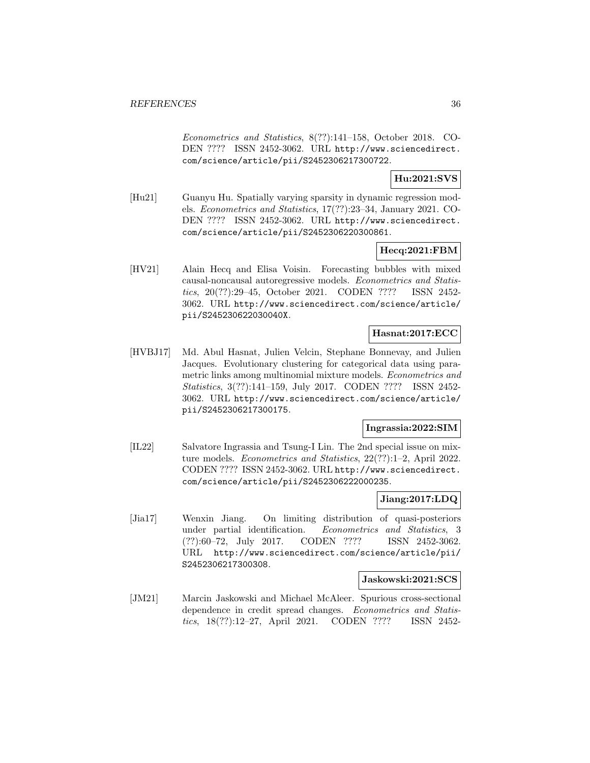Econometrics and Statistics, 8(??):141–158, October 2018. CO-DEN ???? ISSN 2452-3062. URL http://www.sciencedirect. com/science/article/pii/S2452306217300722.

**Hu:2021:SVS**

[Hu21] Guanyu Hu. Spatially varying sparsity in dynamic regression models. Econometrics and Statistics, 17(??):23–34, January 2021. CO-DEN ???? ISSN 2452-3062. URL http://www.sciencedirect. com/science/article/pii/S2452306220300861.

## **Hecq:2021:FBM**

[HV21] Alain Hecq and Elisa Voisin. Forecasting bubbles with mixed causal-noncausal autoregressive models. Econometrics and Statistics, 20(??):29–45, October 2021. CODEN ???? ISSN 2452- 3062. URL http://www.sciencedirect.com/science/article/ pii/S245230622030040X.

## **Hasnat:2017:ECC**

[HVBJ17] Md. Abul Hasnat, Julien Velcin, Stephane Bonnevay, and Julien Jacques. Evolutionary clustering for categorical data using parametric links among multinomial mixture models. Econometrics and Statistics, 3(??):141–159, July 2017. CODEN ???? ISSN 2452- 3062. URL http://www.sciencedirect.com/science/article/ pii/S2452306217300175.

## **Ingrassia:2022:SIM**

[IL22] Salvatore Ingrassia and Tsung-I Lin. The 2nd special issue on mixture models. Econometrics and Statistics, 22(??):1–2, April 2022. CODEN ???? ISSN 2452-3062. URL http://www.sciencedirect. com/science/article/pii/S2452306222000235.

## **Jiang:2017:LDQ**

[Jia17] Wenxin Jiang. On limiting distribution of quasi-posteriors under partial identification. Econometrics and Statistics, 3 (??):60–72, July 2017. CODEN ???? ISSN 2452-3062. URL http://www.sciencedirect.com/science/article/pii/ S2452306217300308.

## **Jaskowski:2021:SCS**

[JM21] Marcin Jaskowski and Michael McAleer. Spurious cross-sectional dependence in credit spread changes. Econometrics and Statistics, 18(??):12–27, April 2021. CODEN ???? ISSN 2452-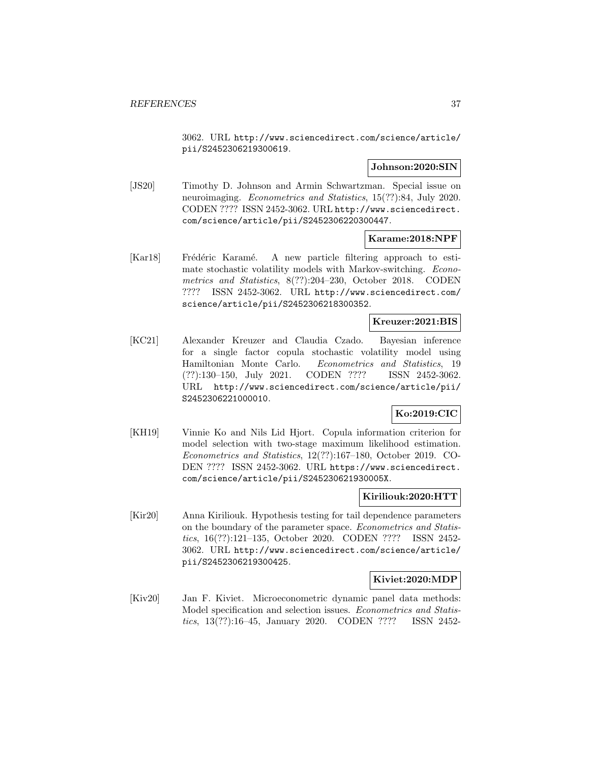3062. URL http://www.sciencedirect.com/science/article/ pii/S2452306219300619.

### **Johnson:2020:SIN**

[JS20] Timothy D. Johnson and Armin Schwartzman. Special issue on neuroimaging. Econometrics and Statistics, 15(??):84, July 2020. CODEN ???? ISSN 2452-3062. URL http://www.sciencedirect. com/science/article/pii/S2452306220300447.

## **Karame:2018:NPF**

[Kar18] Frédéric Karamé. A new particle filtering approach to estimate stochastic volatility models with Markov-switching. Econometrics and Statistics, 8(??):204–230, October 2018. CODEN ???? ISSN 2452-3062. URL http://www.sciencedirect.com/ science/article/pii/S2452306218300352.

## **Kreuzer:2021:BIS**

[KC21] Alexander Kreuzer and Claudia Czado. Bayesian inference for a single factor copula stochastic volatility model using Hamiltonian Monte Carlo. Econometrics and Statistics, 19 (??):130–150, July 2021. CODEN ???? ISSN 2452-3062. URL http://www.sciencedirect.com/science/article/pii/ S2452306221000010.

## **Ko:2019:CIC**

[KH19] Vinnie Ko and Nils Lid Hjort. Copula information criterion for model selection with two-stage maximum likelihood estimation. Econometrics and Statistics, 12(??):167–180, October 2019. CO-DEN ???? ISSN 2452-3062. URL https://www.sciencedirect. com/science/article/pii/S245230621930005X.

### **Kiriliouk:2020:HTT**

[Kir20] Anna Kiriliouk. Hypothesis testing for tail dependence parameters on the boundary of the parameter space. Econometrics and Statistics, 16(??):121–135, October 2020. CODEN ???? ISSN 2452- 3062. URL http://www.sciencedirect.com/science/article/ pii/S2452306219300425.

## **Kiviet:2020:MDP**

[Kiv20] Jan F. Kiviet. Microeconometric dynamic panel data methods: Model specification and selection issues. Econometrics and Statistics, 13(??):16–45, January 2020. CODEN ???? ISSN 2452-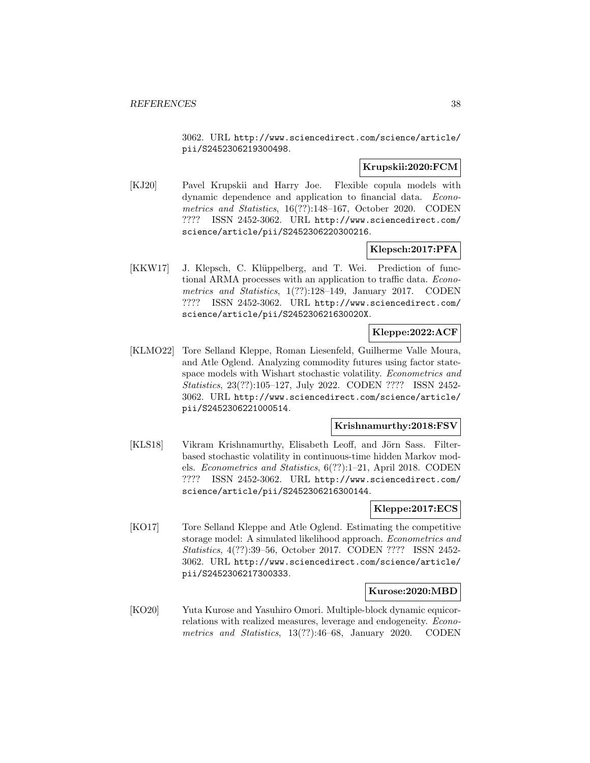3062. URL http://www.sciencedirect.com/science/article/ pii/S2452306219300498.

## **Krupskii:2020:FCM**

[KJ20] Pavel Krupskii and Harry Joe. Flexible copula models with dynamic dependence and application to financial data. Econometrics and Statistics, 16(??):148–167, October 2020. CODEN ???? ISSN 2452-3062. URL http://www.sciencedirect.com/ science/article/pii/S2452306220300216.

## **Klepsch:2017:PFA**

[KKW17] J. Klepsch, C. Klüppelberg, and T. Wei. Prediction of functional ARMA processes with an application to traffic data. Econometrics and Statistics, 1(??):128–149, January 2017. CODEN ???? ISSN 2452-3062. URL http://www.sciencedirect.com/ science/article/pii/S245230621630020X.

## **Kleppe:2022:ACF**

[KLMO22] Tore Selland Kleppe, Roman Liesenfeld, Guilherme Valle Moura, and Atle Oglend. Analyzing commodity futures using factor statespace models with Wishart stochastic volatility. Econometrics and Statistics, 23(??):105–127, July 2022. CODEN ???? ISSN 2452- 3062. URL http://www.sciencedirect.com/science/article/ pii/S2452306221000514.

#### **Krishnamurthy:2018:FSV**

[KLS18] Vikram Krishnamurthy, Elisabeth Leoff, and Jörn Sass. Filterbased stochastic volatility in continuous-time hidden Markov models. Econometrics and Statistics, 6(??):1–21, April 2018. CODEN ???? ISSN 2452-3062. URL http://www.sciencedirect.com/ science/article/pii/S2452306216300144.

## **Kleppe:2017:ECS**

[KO17] Tore Selland Kleppe and Atle Oglend. Estimating the competitive storage model: A simulated likelihood approach. Econometrics and Statistics, 4(??):39–56, October 2017. CODEN ???? ISSN 2452- 3062. URL http://www.sciencedirect.com/science/article/ pii/S2452306217300333.

## **Kurose:2020:MBD**

[KO20] Yuta Kurose and Yasuhiro Omori. Multiple-block dynamic equicorrelations with realized measures, leverage and endogeneity. Econometrics and Statistics, 13(??):46–68, January 2020. CODEN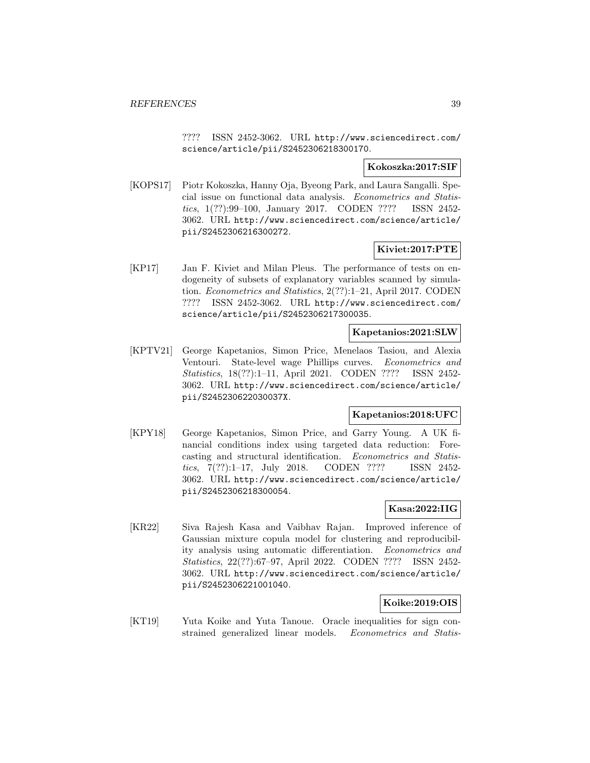???? ISSN 2452-3062. URL http://www.sciencedirect.com/ science/article/pii/S2452306218300170.

## **Kokoszka:2017:SIF**

[KOPS17] Piotr Kokoszka, Hanny Oja, Byeong Park, and Laura Sangalli. Special issue on functional data analysis. Econometrics and Statistics, 1(??):99–100, January 2017. CODEN ???? ISSN 2452- 3062. URL http://www.sciencedirect.com/science/article/ pii/S2452306216300272.

## **Kiviet:2017:PTE**

[KP17] Jan F. Kiviet and Milan Pleus. The performance of tests on endogeneity of subsets of explanatory variables scanned by simulation. Econometrics and Statistics, 2(??):1–21, April 2017. CODEN ???? ISSN 2452-3062. URL http://www.sciencedirect.com/ science/article/pii/S2452306217300035.

## **Kapetanios:2021:SLW**

[KPTV21] George Kapetanios, Simon Price, Menelaos Tasiou, and Alexia Ventouri. State-level wage Phillips curves. Econometrics and Statistics, 18(??):1–11, April 2021. CODEN ???? ISSN 2452- 3062. URL http://www.sciencedirect.com/science/article/ pii/S245230622030037X.

## **Kapetanios:2018:UFC**

[KPY18] George Kapetanios, Simon Price, and Garry Young. A UK financial conditions index using targeted data reduction: Forecasting and structural identification. Econometrics and Statistics, 7(??):1–17, July 2018. CODEN ???? ISSN 2452- 3062. URL http://www.sciencedirect.com/science/article/ pii/S2452306218300054.

## **Kasa:2022:IIG**

[KR22] Siva Rajesh Kasa and Vaibhav Rajan. Improved inference of Gaussian mixture copula model for clustering and reproducibility analysis using automatic differentiation. Econometrics and Statistics, 22(??):67–97, April 2022. CODEN ???? ISSN 2452- 3062. URL http://www.sciencedirect.com/science/article/ pii/S2452306221001040.

## **Koike:2019:OIS**

[KT19] Yuta Koike and Yuta Tanoue. Oracle inequalities for sign constrained generalized linear models. Econometrics and Statis-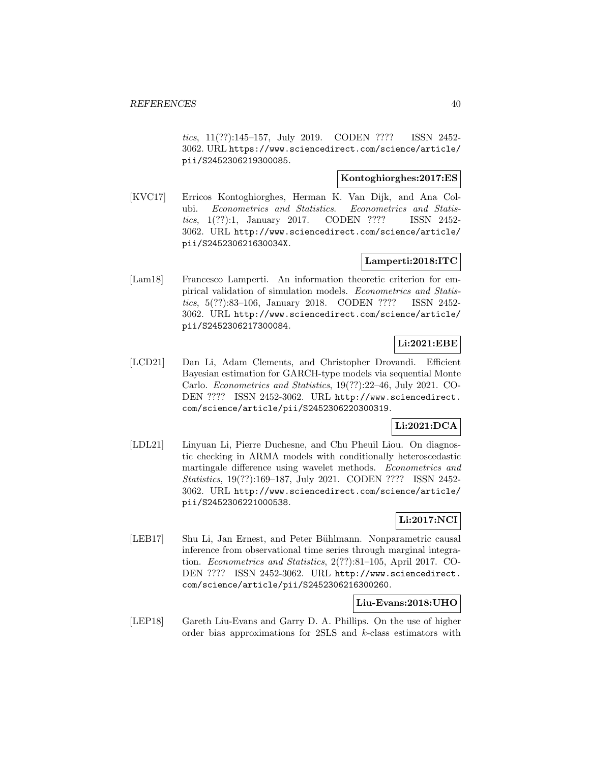tics, 11(??):145–157, July 2019. CODEN ???? ISSN 2452- 3062. URL https://www.sciencedirect.com/science/article/ pii/S2452306219300085.

## **Kontoghiorghes:2017:ES**

[KVC17] Erricos Kontoghiorghes, Herman K. Van Dijk, and Ana Colubi. Econometrics and Statistics. Econometrics and Statistics, 1(??):1, January 2017. CODEN ???? ISSN 2452- 3062. URL http://www.sciencedirect.com/science/article/ pii/S245230621630034X.

## **Lamperti:2018:ITC**

[Lam18] Francesco Lamperti. An information theoretic criterion for empirical validation of simulation models. Econometrics and Statistics, 5(??):83–106, January 2018. CODEN ???? ISSN 2452- 3062. URL http://www.sciencedirect.com/science/article/ pii/S2452306217300084.

## **Li:2021:EBE**

[LCD21] Dan Li, Adam Clements, and Christopher Drovandi. Efficient Bayesian estimation for GARCH-type models via sequential Monte Carlo. Econometrics and Statistics, 19(??):22–46, July 2021. CO-DEN ???? ISSN 2452-3062. URL http://www.sciencedirect. com/science/article/pii/S2452306220300319.

## **Li:2021:DCA**

[LDL21] Linyuan Li, Pierre Duchesne, and Chu Pheuil Liou. On diagnostic checking in ARMA models with conditionally heteroscedastic martingale difference using wavelet methods. Econometrics and Statistics, 19(??):169–187, July 2021. CODEN ???? ISSN 2452- 3062. URL http://www.sciencedirect.com/science/article/ pii/S2452306221000538.

## **Li:2017:NCI**

[LEB17] Shu Li, Jan Ernest, and Peter Bühlmann. Nonparametric causal inference from observational time series through marginal integration. Econometrics and Statistics, 2(??):81–105, April 2017. CO-DEN ???? ISSN 2452-3062. URL http://www.sciencedirect. com/science/article/pii/S2452306216300260.

## **Liu-Evans:2018:UHO**

[LEP18] Gareth Liu-Evans and Garry D. A. Phillips. On the use of higher order bias approximations for 2SLS and k-class estimators with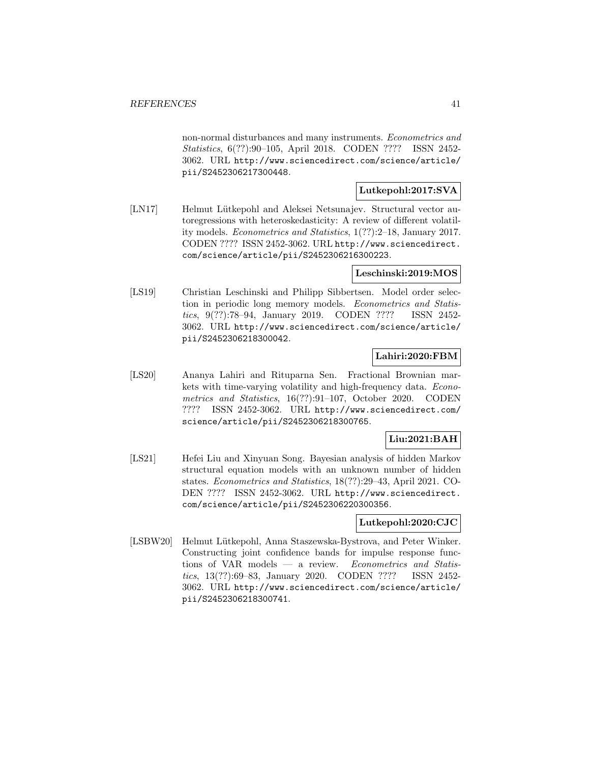non-normal disturbances and many instruments. Econometrics and Statistics, 6(??):90–105, April 2018. CODEN ???? ISSN 2452- 3062. URL http://www.sciencedirect.com/science/article/ pii/S2452306217300448.

## **Lutkepohl:2017:SVA**

[LN17] Helmut Lütkepohl and Aleksei Netsunajev. Structural vector autoregressions with heteroskedasticity: A review of different volatility models. Econometrics and Statistics, 1(??):2–18, January 2017. CODEN ???? ISSN 2452-3062. URL http://www.sciencedirect. com/science/article/pii/S2452306216300223.

## **Leschinski:2019:MOS**

[LS19] Christian Leschinski and Philipp Sibbertsen. Model order selection in periodic long memory models. Econometrics and Statistics, 9(??):78–94, January 2019. CODEN ???? ISSN 2452- 3062. URL http://www.sciencedirect.com/science/article/ pii/S2452306218300042.

## **Lahiri:2020:FBM**

[LS20] Ananya Lahiri and Rituparna Sen. Fractional Brownian markets with time-varying volatility and high-frequency data. Econometrics and Statistics, 16(??):91–107, October 2020. CODEN ???? ISSN 2452-3062. URL http://www.sciencedirect.com/ science/article/pii/S2452306218300765.

## **Liu:2021:BAH**

[LS21] Hefei Liu and Xinyuan Song. Bayesian analysis of hidden Markov structural equation models with an unknown number of hidden states. Econometrics and Statistics, 18(??):29–43, April 2021. CO-DEN ???? ISSN 2452-3062. URL http://www.sciencedirect. com/science/article/pii/S2452306220300356.

## **Lutkepohl:2020:CJC**

[LSBW20] Helmut Lütkepohl, Anna Staszewska-Bystrova, and Peter Winker. Constructing joint confidence bands for impulse response functions of VAR models  $-$  a review. Econometrics and Statistics, 13(??):69–83, January 2020. CODEN ???? ISSN 2452- 3062. URL http://www.sciencedirect.com/science/article/ pii/S2452306218300741.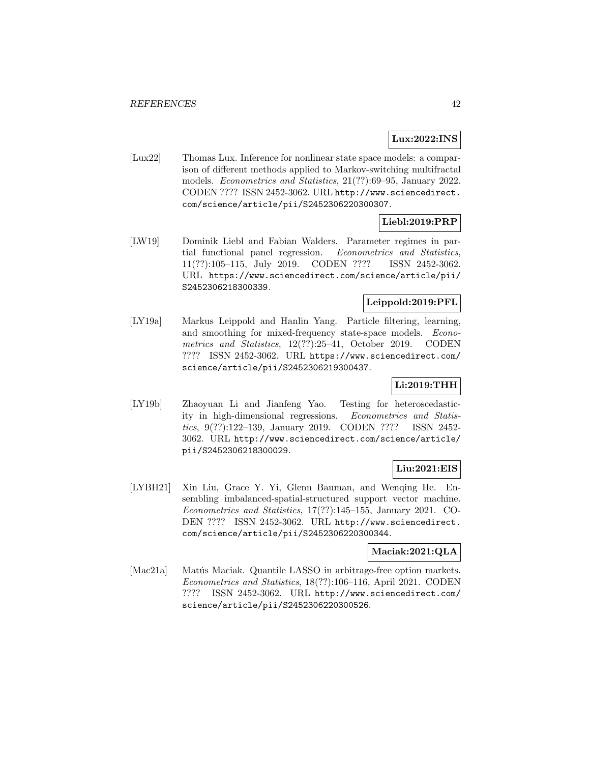## **Lux:2022:INS**

[Lux22] Thomas Lux. Inference for nonlinear state space models: a comparison of different methods applied to Markov-switching multifractal models. Econometrics and Statistics, 21(??):69–95, January 2022. CODEN ???? ISSN 2452-3062. URL http://www.sciencedirect. com/science/article/pii/S2452306220300307.

## **Liebl:2019:PRP**

[LW19] Dominik Liebl and Fabian Walders. Parameter regimes in partial functional panel regression. Econometrics and Statistics, 11(??):105–115, July 2019. CODEN ???? ISSN 2452-3062. URL https://www.sciencedirect.com/science/article/pii/ S2452306218300339.

## **Leippold:2019:PFL**

[LY19a] Markus Leippold and Hanlin Yang. Particle filtering, learning, and smoothing for mixed-frequency state-space models. Econometrics and Statistics, 12(??):25–41, October 2019. CODEN ???? ISSN 2452-3062. URL https://www.sciencedirect.com/ science/article/pii/S2452306219300437.

## **Li:2019:THH**

[LY19b] Zhaoyuan Li and Jianfeng Yao. Testing for heteroscedasticity in high-dimensional regressions. Econometrics and Statistics, 9(??):122–139, January 2019. CODEN ???? ISSN 2452- 3062. URL http://www.sciencedirect.com/science/article/ pii/S2452306218300029.

## **Liu:2021:EIS**

[LYBH21] Xin Liu, Grace Y. Yi, Glenn Bauman, and Wenqing He. Ensembling imbalanced-spatial-structured support vector machine. Econometrics and Statistics, 17(??):145–155, January 2021. CO-DEN ???? ISSN 2452-3062. URL http://www.sciencedirect. com/science/article/pii/S2452306220300344.

## **Maciak:2021:QLA**

[Mac21a] Matús Maciak. Quantile LASSO in arbitrage-free option markets. Econometrics and Statistics, 18(??):106–116, April 2021. CODEN ???? ISSN 2452-3062. URL http://www.sciencedirect.com/ science/article/pii/S2452306220300526.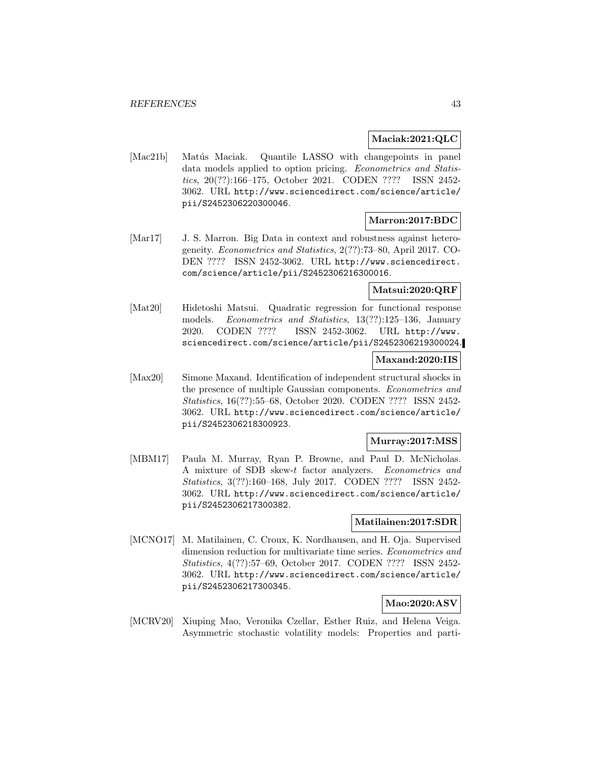## **Maciak:2021:QLC**

[Mac21b] Matús Maciak. Quantile LASSO with changepoints in panel data models applied to option pricing. Econometrics and Statistics, 20(??):166–175, October 2021. CODEN ???? ISSN 2452- 3062. URL http://www.sciencedirect.com/science/article/ pii/S2452306220300046.

## **Marron:2017:BDC**

[Mar17] J. S. Marron. Big Data in context and robustness against heterogeneity. Econometrics and Statistics, 2(??):73–80, April 2017. CO-DEN ???? ISSN 2452-3062. URL http://www.sciencedirect. com/science/article/pii/S2452306216300016.

## **Matsui:2020:QRF**

[Mat20] Hidetoshi Matsui. Quadratic regression for functional response models. Econometrics and Statistics, 13(??):125–136, January 2020. CODEN ???? ISSN 2452-3062. URL http://www. sciencedirect.com/science/article/pii/S2452306219300024.

## **Maxand:2020:IIS**

[Max20] Simone Maxand. Identification of independent structural shocks in the presence of multiple Gaussian components. Econometrics and Statistics, 16(??):55–68, October 2020. CODEN ???? ISSN 2452- 3062. URL http://www.sciencedirect.com/science/article/ pii/S2452306218300923.

### **Murray:2017:MSS**

[MBM17] Paula M. Murray, Ryan P. Browne, and Paul D. McNicholas. A mixture of SDB skew-t factor analyzers. Econometrics and Statistics, 3(??):160–168, July 2017. CODEN ???? ISSN 2452- 3062. URL http://www.sciencedirect.com/science/article/ pii/S2452306217300382.

## **Matilainen:2017:SDR**

[MCNO17] M. Matilainen, C. Croux, K. Nordhausen, and H. Oja. Supervised dimension reduction for multivariate time series. Econometrics and Statistics, 4(??):57–69, October 2017. CODEN ???? ISSN 2452- 3062. URL http://www.sciencedirect.com/science/article/ pii/S2452306217300345.

## **Mao:2020:ASV**

[MCRV20] Xiuping Mao, Veronika Czellar, Esther Ruiz, and Helena Veiga. Asymmetric stochastic volatility models: Properties and parti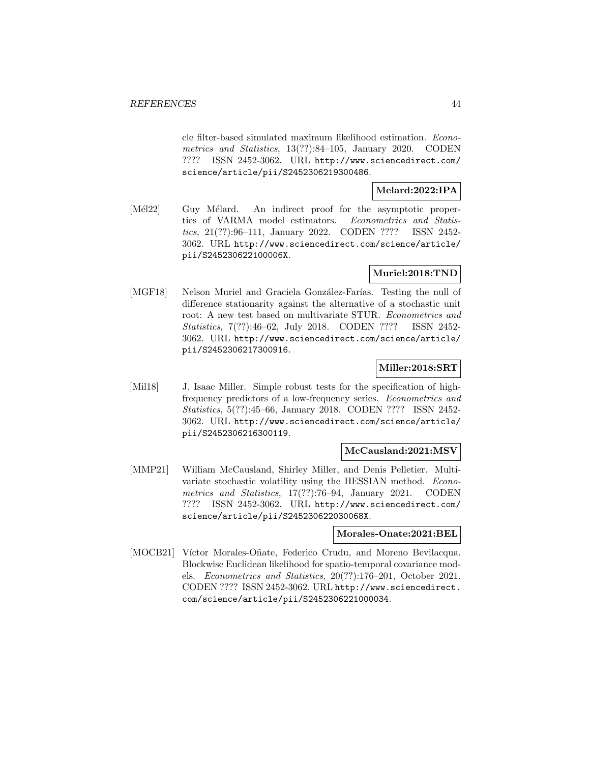cle filter-based simulated maximum likelihood estimation. Econometrics and Statistics, 13(??):84–105, January 2020. CODEN ???? ISSN 2452-3062. URL http://www.sciencedirect.com/ science/article/pii/S2452306219300486.

**Melard:2022:IPA**

[Mél22] Guy Mélard. An indirect proof for the asymptotic properties of VARMA model estimators. Econometrics and Statistics, 21(??):96–111, January 2022. CODEN ???? ISSN 2452- 3062. URL http://www.sciencedirect.com/science/article/ pii/S245230622100006X.

## **Muriel:2018:TND**

[MGF18] Nelson Muriel and Graciela González-Farías. Testing the null of difference stationarity against the alternative of a stochastic unit root: A new test based on multivariate STUR. Econometrics and Statistics, 7(??):46–62, July 2018. CODEN ???? ISSN 2452- 3062. URL http://www.sciencedirect.com/science/article/ pii/S2452306217300916.

### **Miller:2018:SRT**

[Mil18] J. Isaac Miller. Simple robust tests for the specification of highfrequency predictors of a low-frequency series. Econometrics and Statistics, 5(??):45–66, January 2018. CODEN ???? ISSN 2452- 3062. URL http://www.sciencedirect.com/science/article/ pii/S2452306216300119.

## **McCausland:2021:MSV**

[MMP21] William McCausland, Shirley Miller, and Denis Pelletier. Multivariate stochastic volatility using the HESSIAN method. Econometrics and Statistics, 17(??):76–94, January 2021. CODEN ???? ISSN 2452-3062. URL http://www.sciencedirect.com/ science/article/pii/S245230622030068X.

#### **Morales-Onate:2021:BEL**

[MOCB21] Víctor Morales-Oñate, Federico Crudu, and Moreno Bevilacqua. Blockwise Euclidean likelihood for spatio-temporal covariance models. Econometrics and Statistics, 20(??):176–201, October 2021. CODEN ???? ISSN 2452-3062. URL http://www.sciencedirect. com/science/article/pii/S2452306221000034.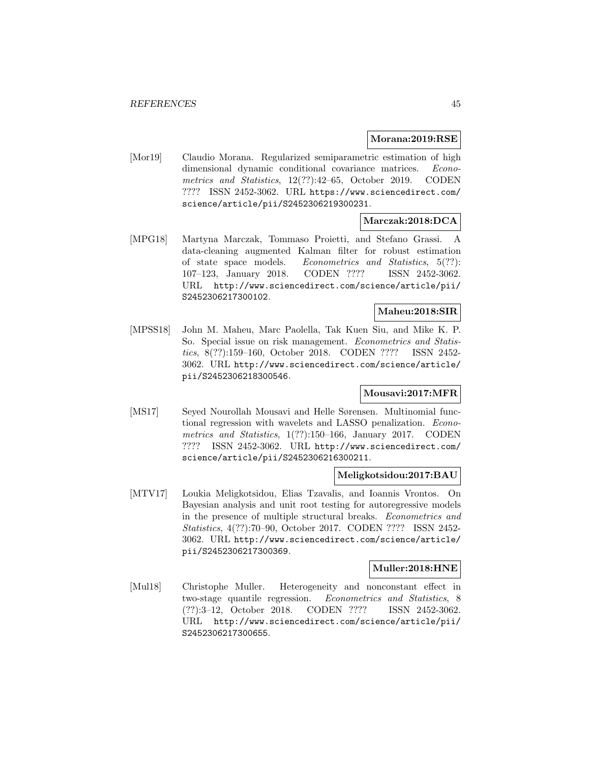#### **Morana:2019:RSE**

[Mor19] Claudio Morana. Regularized semiparametric estimation of high dimensional dynamic conditional covariance matrices. Econometrics and Statistics, 12(??):42–65, October 2019. CODEN ???? ISSN 2452-3062. URL https://www.sciencedirect.com/ science/article/pii/S2452306219300231.

## **Marczak:2018:DCA**

[MPG18] Martyna Marczak, Tommaso Proietti, and Stefano Grassi. A data-cleaning augmented Kalman filter for robust estimation of state space models. Econometrics and Statistics, 5(??): 107–123, January 2018. CODEN ???? ISSN 2452-3062. URL http://www.sciencedirect.com/science/article/pii/ S2452306217300102.

## **Maheu:2018:SIR**

[MPSS18] John M. Maheu, Marc Paolella, Tak Kuen Siu, and Mike K. P. So. Special issue on risk management. *Econometrics and Statis*tics, 8(??):159–160, October 2018. CODEN ???? ISSN 2452- 3062. URL http://www.sciencedirect.com/science/article/ pii/S2452306218300546.

## **Mousavi:2017:MFR**

[MS17] Seyed Nourollah Mousavi and Helle Sørensen. Multinomial functional regression with wavelets and LASSO penalization. Econometrics and Statistics, 1(??):150–166, January 2017. CODEN ???? ISSN 2452-3062. URL http://www.sciencedirect.com/ science/article/pii/S2452306216300211.

## **Meligkotsidou:2017:BAU**

[MTV17] Loukia Meligkotsidou, Elias Tzavalis, and Ioannis Vrontos. On Bayesian analysis and unit root testing for autoregressive models in the presence of multiple structural breaks. Econometrics and Statistics, 4(??):70–90, October 2017. CODEN ???? ISSN 2452- 3062. URL http://www.sciencedirect.com/science/article/ pii/S2452306217300369.

#### **Muller:2018:HNE**

[Mul18] Christophe Muller. Heterogeneity and nonconstant effect in two-stage quantile regression. Econometrics and Statistics, 8 (??):3–12, October 2018. CODEN ???? ISSN 2452-3062. URL http://www.sciencedirect.com/science/article/pii/ S2452306217300655.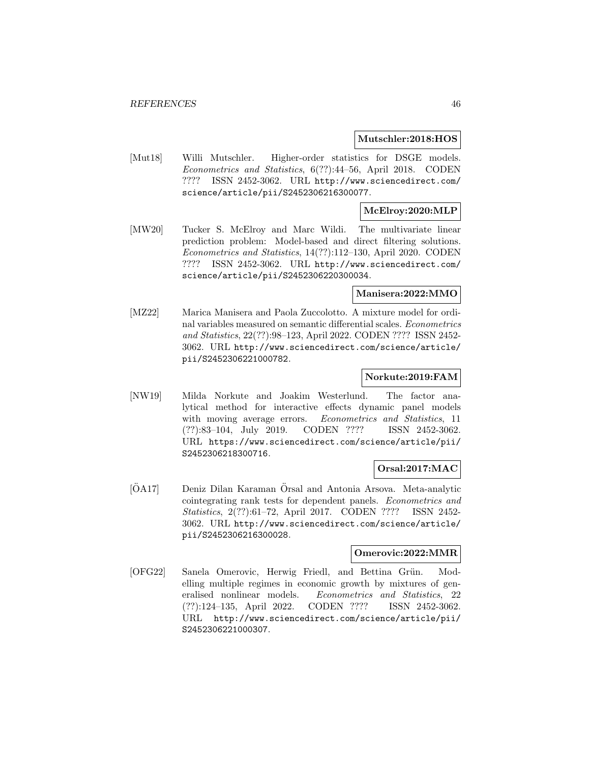#### **Mutschler:2018:HOS**

[Mut18] Willi Mutschler. Higher-order statistics for DSGE models. Econometrics and Statistics, 6(??):44–56, April 2018. CODEN ???? ISSN 2452-3062. URL http://www.sciencedirect.com/ science/article/pii/S2452306216300077.

## **McElroy:2020:MLP**

[MW20] Tucker S. McElroy and Marc Wildi. The multivariate linear prediction problem: Model-based and direct filtering solutions. Econometrics and Statistics, 14(??):112–130, April 2020. CODEN ???? ISSN 2452-3062. URL http://www.sciencedirect.com/ science/article/pii/S2452306220300034.

#### **Manisera:2022:MMO**

[MZ22] Marica Manisera and Paola Zuccolotto. A mixture model for ordinal variables measured on semantic differential scales. Econometrics and Statistics, 22(??):98–123, April 2022. CODEN ???? ISSN 2452- 3062. URL http://www.sciencedirect.com/science/article/ pii/S2452306221000782.

### **Norkute:2019:FAM**

[NW19] Milda Norkute and Joakim Westerlund. The factor analytical method for interactive effects dynamic panel models with moving average errors. Econometrics and Statistics, 11 (??):83–104, July 2019. CODEN ???? ISSN 2452-3062. URL https://www.sciencedirect.com/science/article/pii/ S2452306218300716.

## **Orsal:2017:MAC**

[ÖA17] Deniz Dilan Karaman Örsal and Antonia Arsova. Meta-analytic cointegrating rank tests for dependent panels. Econometrics and Statistics, 2(??):61–72, April 2017. CODEN ???? ISSN 2452- 3062. URL http://www.sciencedirect.com/science/article/ pii/S2452306216300028.

## **Omerovic:2022:MMR**

[OFG22] Sanela Omerovic, Herwig Friedl, and Bettina Grün. Modelling multiple regimes in economic growth by mixtures of generalised nonlinear models. Econometrics and Statistics, 22 (??):124–135, April 2022. CODEN ???? ISSN 2452-3062. URL http://www.sciencedirect.com/science/article/pii/ S2452306221000307.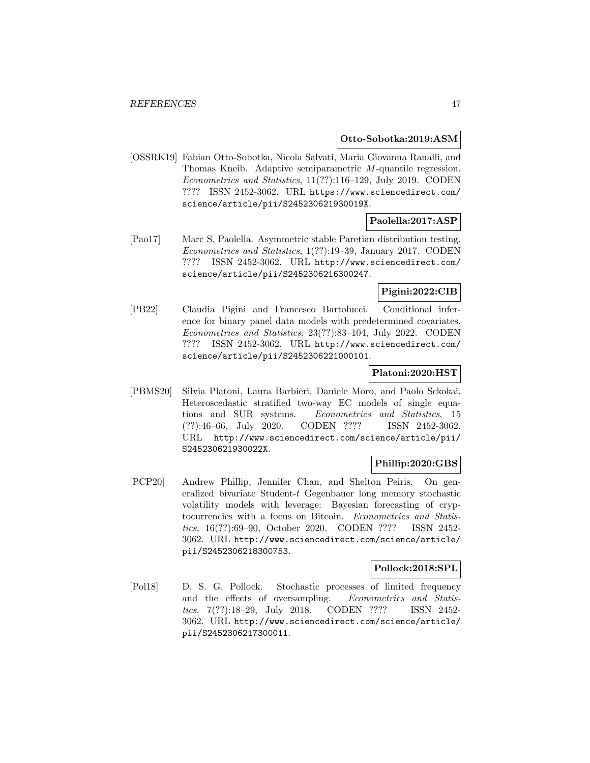#### **Otto-Sobotka:2019:ASM**

[OSSRK19] Fabian Otto-Sobotka, Nicola Salvati, Maria Giovanna Ranalli, and Thomas Kneib. Adaptive semiparametric M-quantile regression. Econometrics and Statistics, 11(??):116–129, July 2019. CODEN ???? ISSN 2452-3062. URL https://www.sciencedirect.com/ science/article/pii/S245230621930019X.

## **Paolella:2017:ASP**

[Pao17] Marc S. Paolella. Asymmetric stable Paretian distribution testing. Econometrics and Statistics, 1(??):19–39, January 2017. CODEN ???? ISSN 2452-3062. URL http://www.sciencedirect.com/ science/article/pii/S2452306216300247.

## **Pigini:2022:CIB**

[PB22] Claudia Pigini and Francesco Bartolucci. Conditional inference for binary panel data models with predetermined covariates. Econometrics and Statistics, 23(??):83–104, July 2022. CODEN ???? ISSN 2452-3062. URL http://www.sciencedirect.com/ science/article/pii/S2452306221000101.

#### **Platoni:2020:HST**

[PBMS20] Silvia Platoni, Laura Barbieri, Daniele Moro, and Paolo Sckokai. Heteroscedastic stratified two-way EC models of single equations and SUR systems. Econometrics and Statistics, 15 (??):46–66, July 2020. CODEN ???? ISSN 2452-3062. URL http://www.sciencedirect.com/science/article/pii/ S245230621930022X.

## **Phillip:2020:GBS**

[PCP20] Andrew Phillip, Jennifer Chan, and Shelton Peiris. On generalized bivariate Student-t Gegenbauer long memory stochastic volatility models with leverage: Bayesian forecasting of cryptocurrencies with a focus on Bitcoin. Econometrics and Statistics, 16(??):69–90, October 2020. CODEN ???? ISSN 2452- 3062. URL http://www.sciencedirect.com/science/article/ pii/S2452306218300753.

#### **Pollock:2018:SPL**

[Pol18] D. S. G. Pollock. Stochastic processes of limited frequency and the effects of oversampling. Econometrics and Statistics, 7(??):18–29, July 2018. CODEN ???? ISSN 2452- 3062. URL http://www.sciencedirect.com/science/article/ pii/S2452306217300011.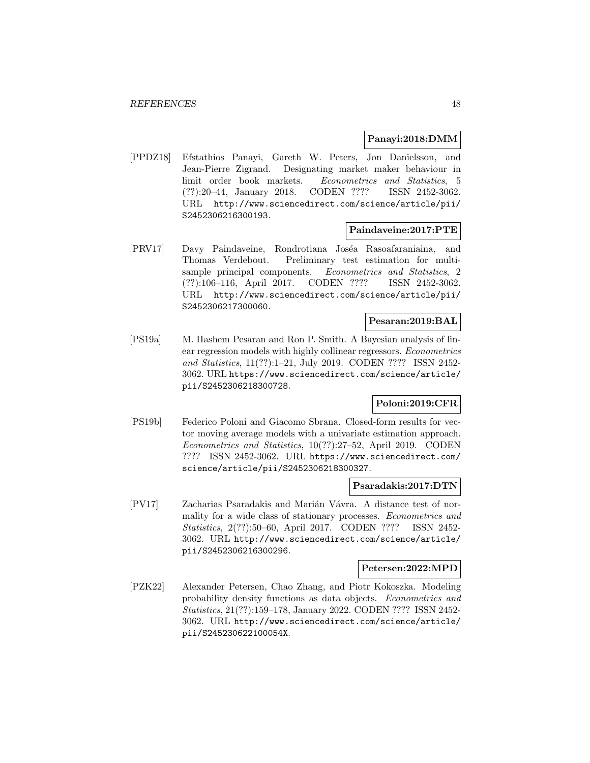### **Panayi:2018:DMM**

[PPDZ18] Efstathios Panayi, Gareth W. Peters, Jon Danielsson, and Jean-Pierre Zigrand. Designating market maker behaviour in limit order book markets. Econometrics and Statistics, 5 (??):20–44, January 2018. CODEN ???? ISSN 2452-3062. URL http://www.sciencedirect.com/science/article/pii/ S2452306216300193.

## **Paindaveine:2017:PTE**

[PRV17] Davy Paindaveine, Rondrotiana Joséa Rasoafaraniaina, and Thomas Verdebout. Preliminary test estimation for multisample principal components. Econometrics and Statistics, 2 (??):106–116, April 2017. CODEN ???? ISSN 2452-3062. URL http://www.sciencedirect.com/science/article/pii/ S2452306217300060.

## **Pesaran:2019:BAL**

[PS19a] M. Hashem Pesaran and Ron P. Smith. A Bayesian analysis of linear regression models with highly collinear regressors. Econometrics and Statistics, 11(??):1–21, July 2019. CODEN ???? ISSN 2452- 3062. URL https://www.sciencedirect.com/science/article/ pii/S2452306218300728.

## **Poloni:2019:CFR**

[PS19b] Federico Poloni and Giacomo Sbrana. Closed-form results for vector moving average models with a univariate estimation approach. Econometrics and Statistics, 10(??):27–52, April 2019. CODEN ???? ISSN 2452-3062. URL https://www.sciencedirect.com/ science/article/pii/S2452306218300327.

## **Psaradakis:2017:DTN**

[PV17] Zacharias Psaradakis and Marián Vávra. A distance test of normality for a wide class of stationary processes. Econometrics and Statistics, 2(??):50–60, April 2017. CODEN ???? ISSN 2452- 3062. URL http://www.sciencedirect.com/science/article/ pii/S2452306216300296.

#### **Petersen:2022:MPD**

[PZK22] Alexander Petersen, Chao Zhang, and Piotr Kokoszka. Modeling probability density functions as data objects. Econometrics and Statistics, 21(??):159–178, January 2022. CODEN ???? ISSN 2452- 3062. URL http://www.sciencedirect.com/science/article/ pii/S245230622100054X.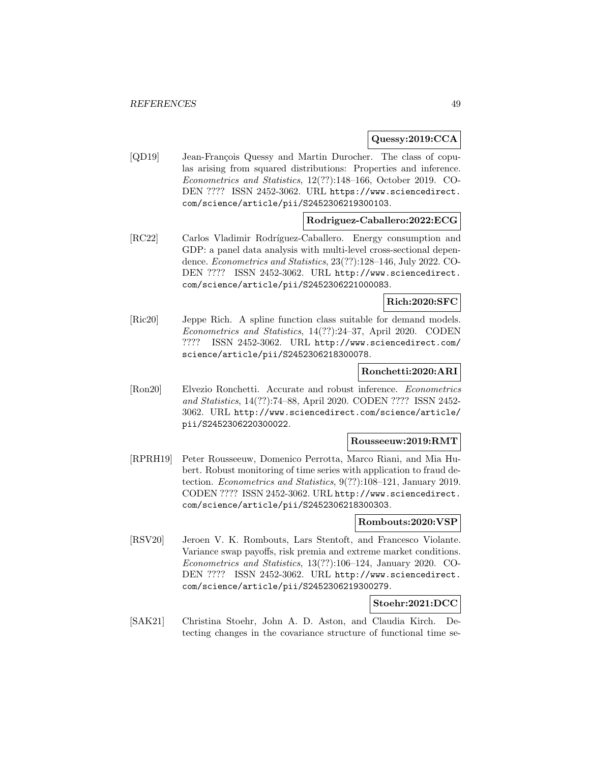### **Quessy:2019:CCA**

[QD19] Jean-François Quessy and Martin Durocher. The class of copulas arising from squared distributions: Properties and inference. Econometrics and Statistics, 12(??):148–166, October 2019. CO-DEN ???? ISSN 2452-3062. URL https://www.sciencedirect. com/science/article/pii/S2452306219300103.

#### **Rodriguez-Caballero:2022:ECG**

[RC22] Carlos Vladimir Rodríguez-Caballero. Energy consumption and GDP: a panel data analysis with multi-level cross-sectional dependence. Econometrics and Statistics, 23(??):128–146, July 2022. CO-DEN ???? ISSN 2452-3062. URL http://www.sciencedirect. com/science/article/pii/S2452306221000083.

## **Rich:2020:SFC**

[Ric20] Jeppe Rich. A spline function class suitable for demand models. Econometrics and Statistics, 14(??):24–37, April 2020. CODEN ???? ISSN 2452-3062. URL http://www.sciencedirect.com/ science/article/pii/S2452306218300078.

### **Ronchetti:2020:ARI**

[Ron20] Elvezio Ronchetti. Accurate and robust inference. Econometrics and Statistics, 14(??):74–88, April 2020. CODEN ???? ISSN 2452- 3062. URL http://www.sciencedirect.com/science/article/ pii/S2452306220300022.

### **Rousseeuw:2019:RMT**

[RPRH19] Peter Rousseeuw, Domenico Perrotta, Marco Riani, and Mia Hubert. Robust monitoring of time series with application to fraud detection. Econometrics and Statistics, 9(??):108–121, January 2019. CODEN ???? ISSN 2452-3062. URL http://www.sciencedirect. com/science/article/pii/S2452306218300303.

#### **Rombouts:2020:VSP**

[RSV20] Jeroen V. K. Rombouts, Lars Stentoft, and Francesco Violante. Variance swap payoffs, risk premia and extreme market conditions. Econometrics and Statistics, 13(??):106–124, January 2020. CO-DEN ???? ISSN 2452-3062. URL http://www.sciencedirect. com/science/article/pii/S2452306219300279.

## **Stoehr:2021:DCC**

[SAK21] Christina Stoehr, John A. D. Aston, and Claudia Kirch. Detecting changes in the covariance structure of functional time se-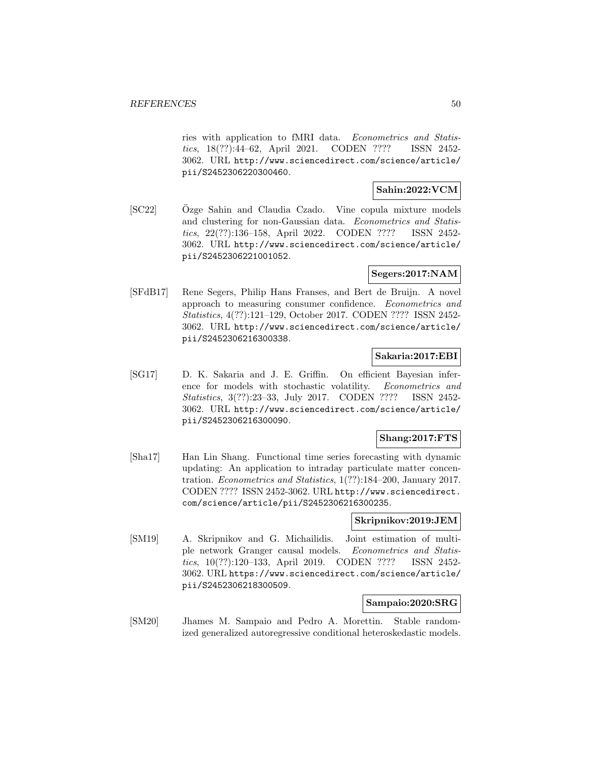ries with application to fMRI data. Econometrics and Statistics, 18(??):44–62, April 2021. CODEN ???? ISSN 2452- 3062. URL http://www.sciencedirect.com/science/article/ pii/S2452306220300460.

## **Sahin:2022:VCM**

[SC22] Ozge Sahin and Claudia Czado. Vine copula mixture models and clustering for non-Gaussian data. Econometrics and Statistics, 22(??):136–158, April 2022. CODEN ???? ISSN 2452- 3062. URL http://www.sciencedirect.com/science/article/ pii/S2452306221001052.

## **Segers:2017:NAM**

[SFdB17] Rene Segers, Philip Hans Franses, and Bert de Bruijn. A novel approach to measuring consumer confidence. Econometrics and Statistics, 4(??):121–129, October 2017. CODEN ???? ISSN 2452- 3062. URL http://www.sciencedirect.com/science/article/ pii/S2452306216300338.

## **Sakaria:2017:EBI**

[SG17] D. K. Sakaria and J. E. Griffin. On efficient Bayesian inference for models with stochastic volatility. Econometrics and Statistics, 3(??):23–33, July 2017. CODEN ???? ISSN 2452- 3062. URL http://www.sciencedirect.com/science/article/ pii/S2452306216300090.

## **Shang:2017:FTS**

[Sha17] Han Lin Shang. Functional time series forecasting with dynamic updating: An application to intraday particulate matter concentration. Econometrics and Statistics, 1(??):184–200, January 2017. CODEN ???? ISSN 2452-3062. URL http://www.sciencedirect. com/science/article/pii/S2452306216300235.

## **Skripnikov:2019:JEM**

[SM19] A. Skripnikov and G. Michailidis. Joint estimation of multiple network Granger causal models. Econometrics and Statistics, 10(??):120–133, April 2019. CODEN ???? ISSN 2452- 3062. URL https://www.sciencedirect.com/science/article/ pii/S2452306218300509.

## **Sampaio:2020:SRG**

[SM20] Jhames M. Sampaio and Pedro A. Morettin. Stable randomized generalized autoregressive conditional heteroskedastic models.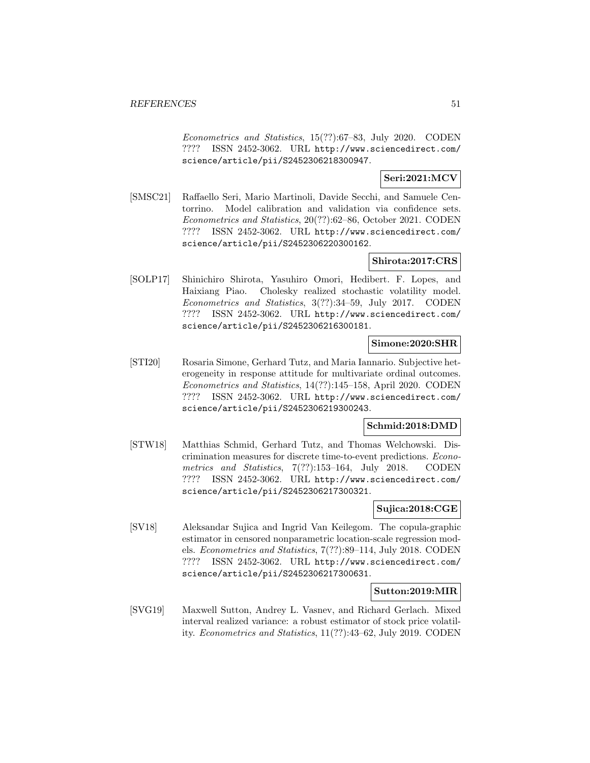Econometrics and Statistics, 15(??):67–83, July 2020. CODEN ???? ISSN 2452-3062. URL http://www.sciencedirect.com/ science/article/pii/S2452306218300947.

## **Seri:2021:MCV**

[SMSC21] Raffaello Seri, Mario Martinoli, Davide Secchi, and Samuele Centorrino. Model calibration and validation via confidence sets. Econometrics and Statistics, 20(??):62–86, October 2021. CODEN ???? ISSN 2452-3062. URL http://www.sciencedirect.com/ science/article/pii/S2452306220300162.

## **Shirota:2017:CRS**

[SOLP17] Shinichiro Shirota, Yasuhiro Omori, Hedibert. F. Lopes, and Haixiang Piao. Cholesky realized stochastic volatility model. Econometrics and Statistics, 3(??):34–59, July 2017. CODEN ???? ISSN 2452-3062. URL http://www.sciencedirect.com/ science/article/pii/S2452306216300181.

## **Simone:2020:SHR**

[STI20] Rosaria Simone, Gerhard Tutz, and Maria Iannario. Subjective heterogeneity in response attitude for multivariate ordinal outcomes. Econometrics and Statistics, 14(??):145–158, April 2020. CODEN ???? ISSN 2452-3062. URL http://www.sciencedirect.com/ science/article/pii/S2452306219300243.

## **Schmid:2018:DMD**

[STW18] Matthias Schmid, Gerhard Tutz, and Thomas Welchowski. Discrimination measures for discrete time-to-event predictions. Econometrics and Statistics, 7(??):153–164, July 2018. CODEN ???? ISSN 2452-3062. URL http://www.sciencedirect.com/ science/article/pii/S2452306217300321.

## **Sujica:2018:CGE**

[SV18] Aleksandar Sujica and Ingrid Van Keilegom. The copula-graphic estimator in censored nonparametric location-scale regression models. Econometrics and Statistics, 7(??):89–114, July 2018. CODEN ???? ISSN 2452-3062. URL http://www.sciencedirect.com/ science/article/pii/S2452306217300631.

## **Sutton:2019:MIR**

[SVG19] Maxwell Sutton, Andrey L. Vasnev, and Richard Gerlach. Mixed interval realized variance: a robust estimator of stock price volatility. Econometrics and Statistics, 11(??):43–62, July 2019. CODEN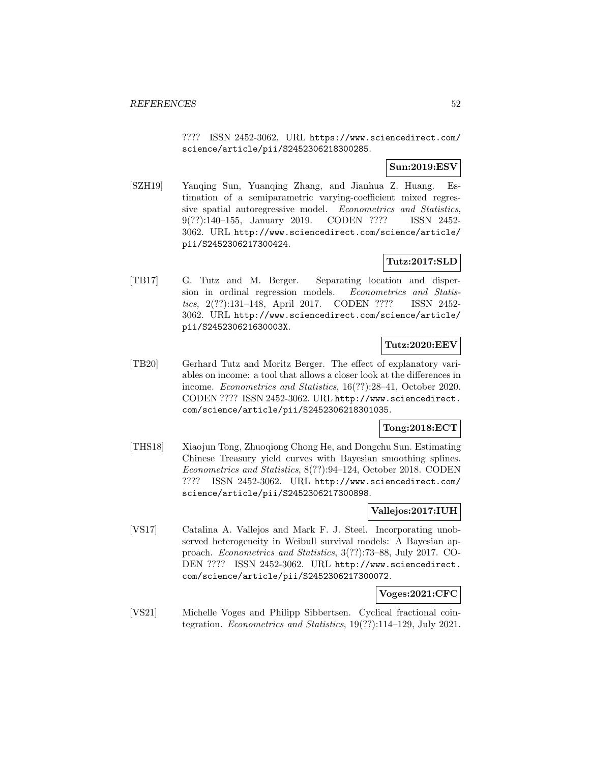???? ISSN 2452-3062. URL https://www.sciencedirect.com/ science/article/pii/S2452306218300285.

## **Sun:2019:ESV**

[SZH19] Yanqing Sun, Yuanqing Zhang, and Jianhua Z. Huang. Estimation of a semiparametric varying-coefficient mixed regressive spatial autoregressive model. Econometrics and Statistics, 9(??):140–155, January 2019. CODEN ???? ISSN 2452- 3062. URL http://www.sciencedirect.com/science/article/ pii/S2452306217300424.

## **Tutz:2017:SLD**

[TB17] G. Tutz and M. Berger. Separating location and dispersion in ordinal regression models. Econometrics and Statistics, 2(??):131–148, April 2017. CODEN ???? ISSN 2452- 3062. URL http://www.sciencedirect.com/science/article/ pii/S245230621630003X.

## **Tutz:2020:EEV**

[TB20] Gerhard Tutz and Moritz Berger. The effect of explanatory variables on income: a tool that allows a closer look at the differences in income. Econometrics and Statistics, 16(??):28–41, October 2020. CODEN ???? ISSN 2452-3062. URL http://www.sciencedirect. com/science/article/pii/S2452306218301035.

## **Tong:2018:ECT**

[THS18] Xiaojun Tong, Zhuoqiong Chong He, and Dongchu Sun. Estimating Chinese Treasury yield curves with Bayesian smoothing splines. Econometrics and Statistics, 8(??):94–124, October 2018. CODEN ???? ISSN 2452-3062. URL http://www.sciencedirect.com/ science/article/pii/S2452306217300898.

## **Vallejos:2017:IUH**

[VS17] Catalina A. Vallejos and Mark F. J. Steel. Incorporating unobserved heterogeneity in Weibull survival models: A Bayesian approach. Econometrics and Statistics, 3(??):73–88, July 2017. CO-DEN ???? ISSN 2452-3062. URL http://www.sciencedirect. com/science/article/pii/S2452306217300072.

## **Voges:2021:CFC**

[VS21] Michelle Voges and Philipp Sibbertsen. Cyclical fractional cointegration. Econometrics and Statistics, 19(??):114–129, July 2021.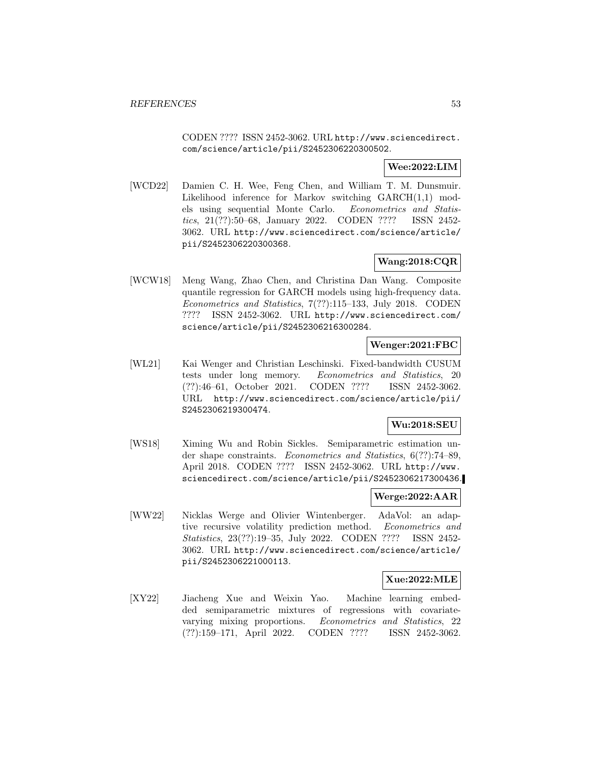CODEN ???? ISSN 2452-3062. URL http://www.sciencedirect. com/science/article/pii/S2452306220300502.

## **Wee:2022:LIM**

[WCD22] Damien C. H. Wee, Feng Chen, and William T. M. Dunsmuir. Likelihood inference for Markov switching GARCH(1,1) models using sequential Monte Carlo. Econometrics and Statistics, 21(??):50–68, January 2022. CODEN ???? ISSN 2452- 3062. URL http://www.sciencedirect.com/science/article/ pii/S2452306220300368.

## **Wang:2018:CQR**

[WCW18] Meng Wang, Zhao Chen, and Christina Dan Wang. Composite quantile regression for GARCH models using high-frequency data. Econometrics and Statistics, 7(??):115–133, July 2018. CODEN ???? ISSN 2452-3062. URL http://www.sciencedirect.com/ science/article/pii/S2452306216300284.

## **Wenger:2021:FBC**

[WL21] Kai Wenger and Christian Leschinski. Fixed-bandwidth CUSUM tests under long memory. Econometrics and Statistics, 20 (??):46–61, October 2021. CODEN ???? ISSN 2452-3062. URL http://www.sciencedirect.com/science/article/pii/ S2452306219300474.

## **Wu:2018:SEU**

[WS18] Ximing Wu and Robin Sickles. Semiparametric estimation under shape constraints. Econometrics and Statistics, 6(??):74–89, April 2018. CODEN ???? ISSN 2452-3062. URL http://www. sciencedirect.com/science/article/pii/S2452306217300436.

## **Werge:2022:AAR**

[WW22] Nicklas Werge and Olivier Wintenberger. AdaVol: an adaptive recursive volatility prediction method. Econometrics and Statistics, 23(??):19–35, July 2022. CODEN ???? ISSN 2452- 3062. URL http://www.sciencedirect.com/science/article/ pii/S2452306221000113.

## **Xue:2022:MLE**

[XY22] Jiacheng Xue and Weixin Yao. Machine learning embedded semiparametric mixtures of regressions with covariatevarying mixing proportions. Econometrics and Statistics, 22 (??):159–171, April 2022. CODEN ???? ISSN 2452-3062.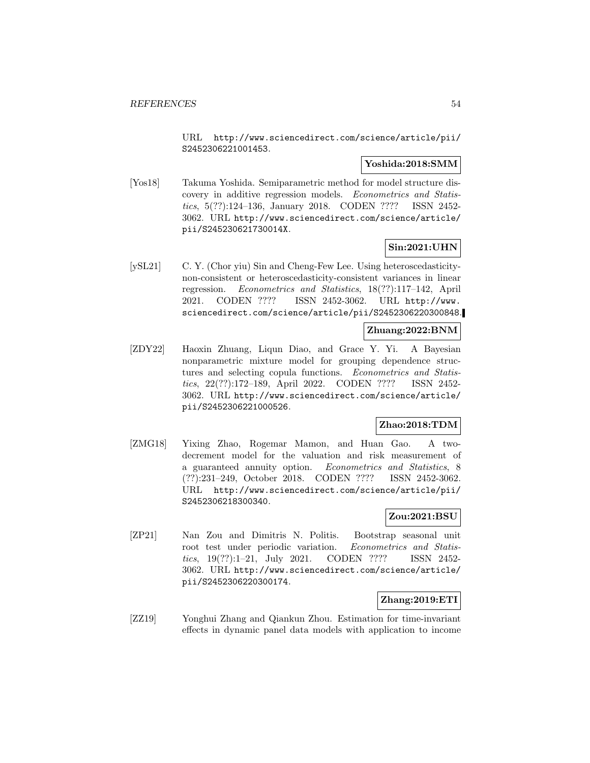URL http://www.sciencedirect.com/science/article/pii/ S2452306221001453.

## **Yoshida:2018:SMM**

[Yos18] Takuma Yoshida. Semiparametric method for model structure discovery in additive regression models. Econometrics and Statistics, 5(??):124–136, January 2018. CODEN ???? ISSN 2452- 3062. URL http://www.sciencedirect.com/science/article/ pii/S245230621730014X.

## **Sin:2021:UHN**

[ySL21] C. Y. (Chor yiu) Sin and Cheng-Few Lee. Using heteroscedasticitynon-consistent or heteroscedasticity-consistent variances in linear regression. Econometrics and Statistics, 18(??):117–142, April 2021. CODEN ???? ISSN 2452-3062. URL http://www. sciencedirect.com/science/article/pii/S2452306220300848.

## **Zhuang:2022:BNM**

[ZDY22] Haoxin Zhuang, Liqun Diao, and Grace Y. Yi. A Bayesian nonparametric mixture model for grouping dependence structures and selecting copula functions. Econometrics and Statistics, 22(??):172–189, April 2022. CODEN ???? ISSN 2452- 3062. URL http://www.sciencedirect.com/science/article/ pii/S2452306221000526.

## **Zhao:2018:TDM**

[ZMG18] Yixing Zhao, Rogemar Mamon, and Huan Gao. A twodecrement model for the valuation and risk measurement of a guaranteed annuity option. Econometrics and Statistics, 8 (??):231–249, October 2018. CODEN ???? ISSN 2452-3062. URL http://www.sciencedirect.com/science/article/pii/ S2452306218300340.

## **Zou:2021:BSU**

[ZP21] Nan Zou and Dimitris N. Politis. Bootstrap seasonal unit root test under periodic variation. Econometrics and Statistics, 19(??):1–21, July 2021. CODEN ???? ISSN 2452- 3062. URL http://www.sciencedirect.com/science/article/ pii/S2452306220300174.

## **Zhang:2019:ETI**

[ZZ19] Yonghui Zhang and Qiankun Zhou. Estimation for time-invariant effects in dynamic panel data models with application to income